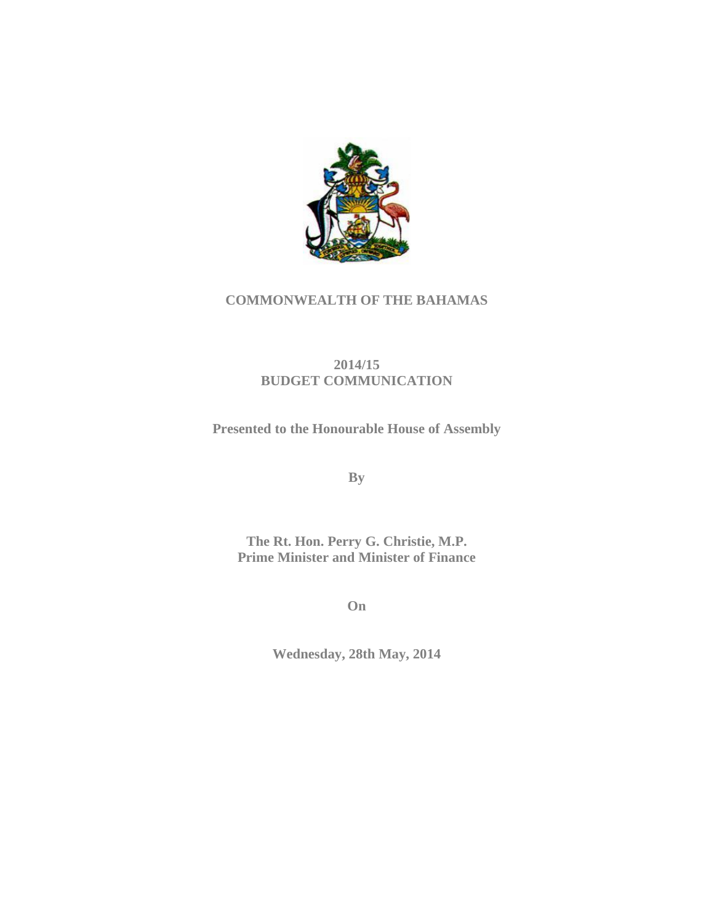

# **COMMONWEALTH OF THE BAHAMAS**

# **2014/15 BUDGET COMMUNICATION**

**Presented to the Honourable House of Assembly** 

**By**

**The Rt. Hon. Perry G. Christie, M.P. Prime Minister and Minister of Finance** 

**On** 

**Wednesday, 28th May, 2014**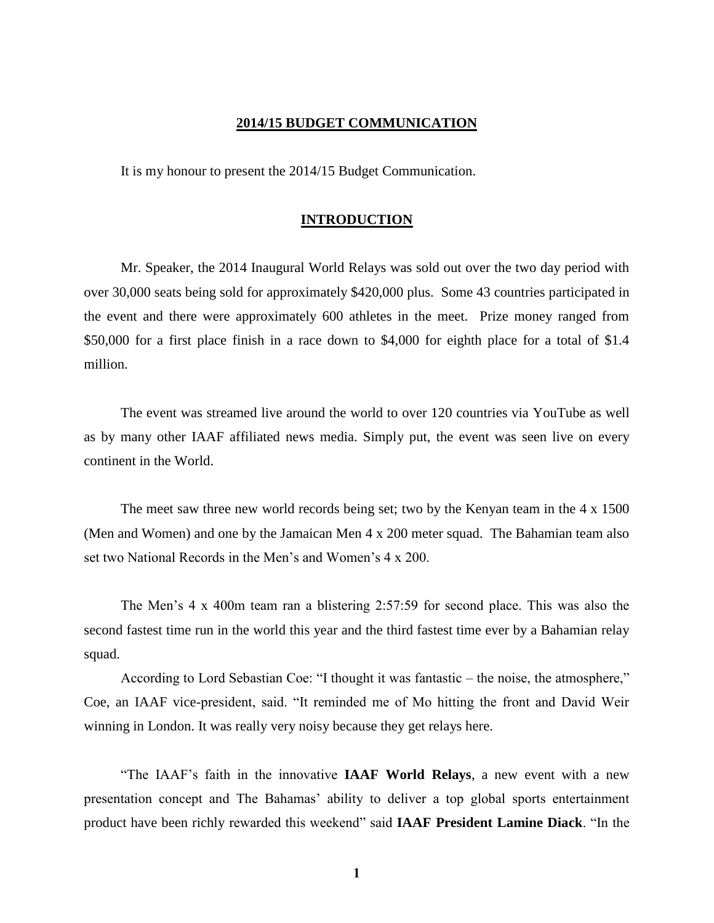## **2014/15 BUDGET COMMUNICATION**

It is my honour to present the 2014/15 Budget Communication.

## **INTRODUCTION**

Mr. Speaker, the 2014 Inaugural World Relays was sold out over the two day period with over 30,000 seats being sold for approximately \$420,000 plus. Some 43 countries participated in the event and there were approximately 600 athletes in the meet. Prize money ranged from \$50,000 for a first place finish in a race down to \$4,000 for eighth place for a total of \$1.4 million.

The event was streamed live around the world to over 120 countries via YouTube as well as by many other IAAF affiliated news media. Simply put, the event was seen live on every continent in the World.

The meet saw three new world records being set; two by the Kenyan team in the 4 x 1500 (Men and Women) and one by the Jamaican Men 4 x 200 meter squad. The Bahamian team also set two National Records in the Men's and Women's 4 x 200.

The Men's 4 x 400m team ran a blistering 2:57:59 for second place. This was also the second fastest time run in the world this year and the third fastest time ever by a Bahamian relay squad.

According to Lord Sebastian Coe: "I thought it was fantastic – the noise, the atmosphere," Coe, an IAAF vice-president, said. "It reminded me of Mo hitting the front and David Weir winning in London. It was really very noisy because they get relays here.

"The IAAF's faith in the innovative **IAAF World Relays**, a new event with a new presentation concept and The Bahamas' ability to deliver a top global sports entertainment product have been richly rewarded this weekend" said **IAAF President Lamine Diack**. "In the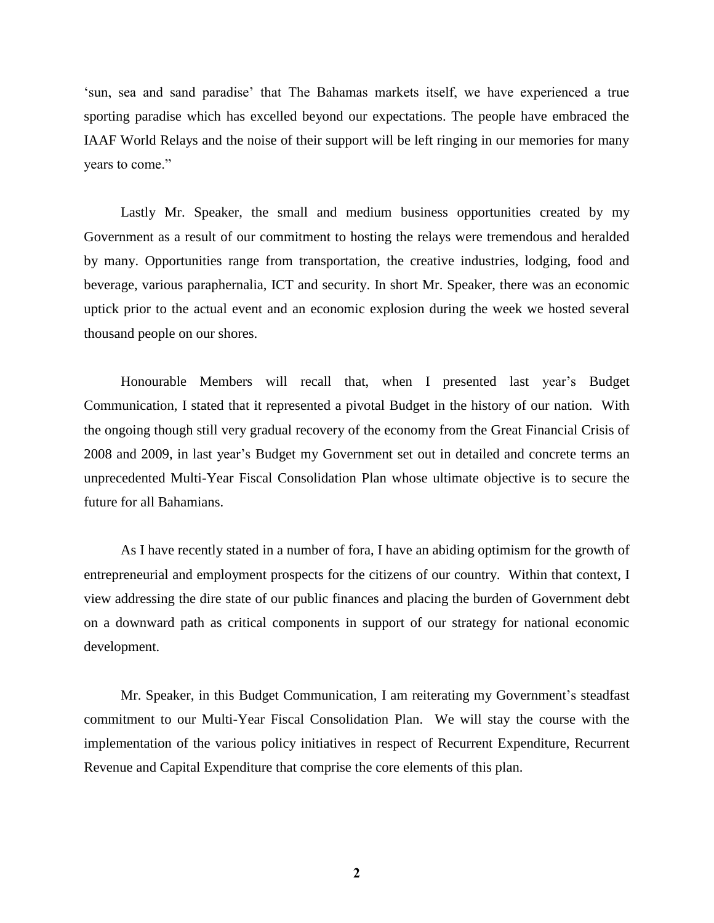'sun, sea and sand paradise' that The Bahamas markets itself, we have experienced a true sporting paradise which has excelled beyond our expectations. The people have embraced the IAAF World Relays and the noise of their support will be left ringing in our memories for many years to come."

Lastly Mr. Speaker, the small and medium business opportunities created by my Government as a result of our commitment to hosting the relays were tremendous and heralded by many. Opportunities range from transportation, the creative industries, lodging, food and beverage, various paraphernalia, ICT and security. In short Mr. Speaker, there was an economic uptick prior to the actual event and an economic explosion during the week we hosted several thousand people on our shores.

Honourable Members will recall that, when I presented last year's Budget Communication, I stated that it represented a pivotal Budget in the history of our nation. With the ongoing though still very gradual recovery of the economy from the Great Financial Crisis of 2008 and 2009, in last year's Budget my Government set out in detailed and concrete terms an unprecedented Multi-Year Fiscal Consolidation Plan whose ultimate objective is to secure the future for all Bahamians.

As I have recently stated in a number of fora, I have an abiding optimism for the growth of entrepreneurial and employment prospects for the citizens of our country. Within that context, I view addressing the dire state of our public finances and placing the burden of Government debt on a downward path as critical components in support of our strategy for national economic development.

Mr. Speaker, in this Budget Communication, I am reiterating my Government's steadfast commitment to our Multi-Year Fiscal Consolidation Plan. We will stay the course with the implementation of the various policy initiatives in respect of Recurrent Expenditure, Recurrent Revenue and Capital Expenditure that comprise the core elements of this plan.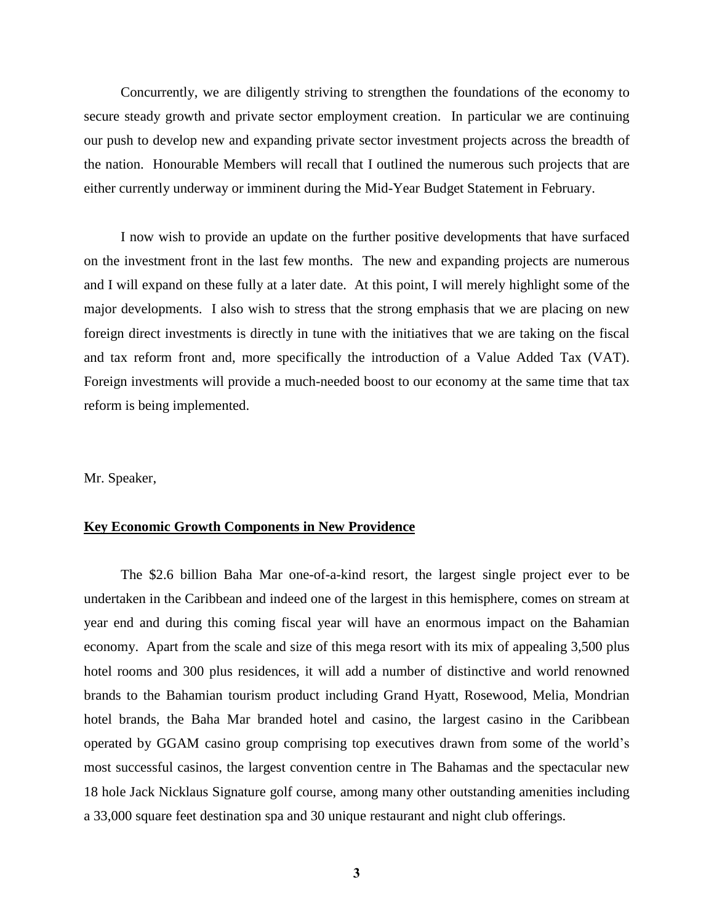Concurrently, we are diligently striving to strengthen the foundations of the economy to secure steady growth and private sector employment creation. In particular we are continuing our push to develop new and expanding private sector investment projects across the breadth of the nation. Honourable Members will recall that I outlined the numerous such projects that are either currently underway or imminent during the Mid-Year Budget Statement in February.

I now wish to provide an update on the further positive developments that have surfaced on the investment front in the last few months. The new and expanding projects are numerous and I will expand on these fully at a later date. At this point, I will merely highlight some of the major developments. I also wish to stress that the strong emphasis that we are placing on new foreign direct investments is directly in tune with the initiatives that we are taking on the fiscal and tax reform front and, more specifically the introduction of a Value Added Tax (VAT). Foreign investments will provide a much-needed boost to our economy at the same time that tax reform is being implemented.

### Mr. Speaker,

## **Key Economic Growth Components in New Providence**

The \$2.6 billion Baha Mar one-of-a-kind resort, the largest single project ever to be undertaken in the Caribbean and indeed one of the largest in this hemisphere, comes on stream at year end and during this coming fiscal year will have an enormous impact on the Bahamian economy. Apart from the scale and size of this mega resort with its mix of appealing 3,500 plus hotel rooms and 300 plus residences, it will add a number of distinctive and world renowned brands to the Bahamian tourism product including Grand Hyatt, Rosewood, Melia, Mondrian hotel brands, the Baha Mar branded hotel and casino, the largest casino in the Caribbean operated by GGAM casino group comprising top executives drawn from some of the world's most successful casinos, the largest convention centre in The Bahamas and the spectacular new 18 hole Jack Nicklaus Signature golf course, among many other outstanding amenities including a 33,000 square feet destination spa and 30 unique restaurant and night club offerings.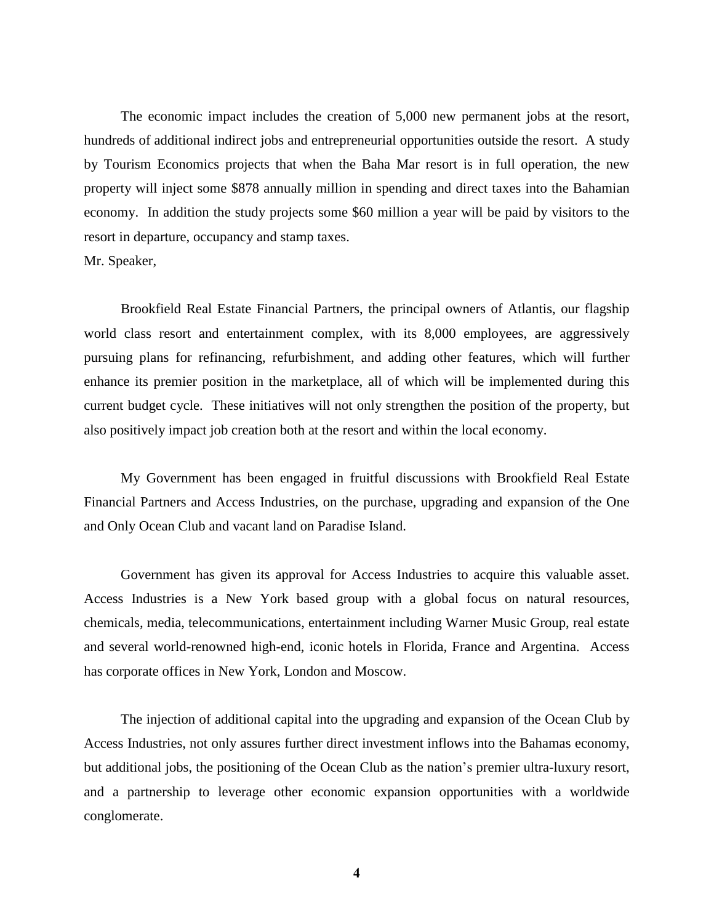The economic impact includes the creation of 5,000 new permanent jobs at the resort, hundreds of additional indirect jobs and entrepreneurial opportunities outside the resort. A study by Tourism Economics projects that when the Baha Mar resort is in full operation, the new property will inject some \$878 annually million in spending and direct taxes into the Bahamian economy. In addition the study projects some \$60 million a year will be paid by visitors to the resort in departure, occupancy and stamp taxes.

Mr. Speaker,

Brookfield Real Estate Financial Partners, the principal owners of Atlantis, our flagship world class resort and entertainment complex, with its 8,000 employees, are aggressively pursuing plans for refinancing, refurbishment, and adding other features, which will further enhance its premier position in the marketplace, all of which will be implemented during this current budget cycle. These initiatives will not only strengthen the position of the property, but also positively impact job creation both at the resort and within the local economy.

My Government has been engaged in fruitful discussions with Brookfield Real Estate Financial Partners and Access Industries, on the purchase, upgrading and expansion of the One and Only Ocean Club and vacant land on Paradise Island.

Government has given its approval for Access Industries to acquire this valuable asset. Access Industries is a New York based group with a global focus on natural resources, chemicals, media, telecommunications, entertainment including Warner Music Group, real estate and several world-renowned high-end, iconic hotels in Florida, France and Argentina. Access has corporate offices in New York, London and Moscow.

The injection of additional capital into the upgrading and expansion of the Ocean Club by Access Industries, not only assures further direct investment inflows into the Bahamas economy, but additional jobs, the positioning of the Ocean Club as the nation's premier ultra-luxury resort, and a partnership to leverage other economic expansion opportunities with a worldwide conglomerate.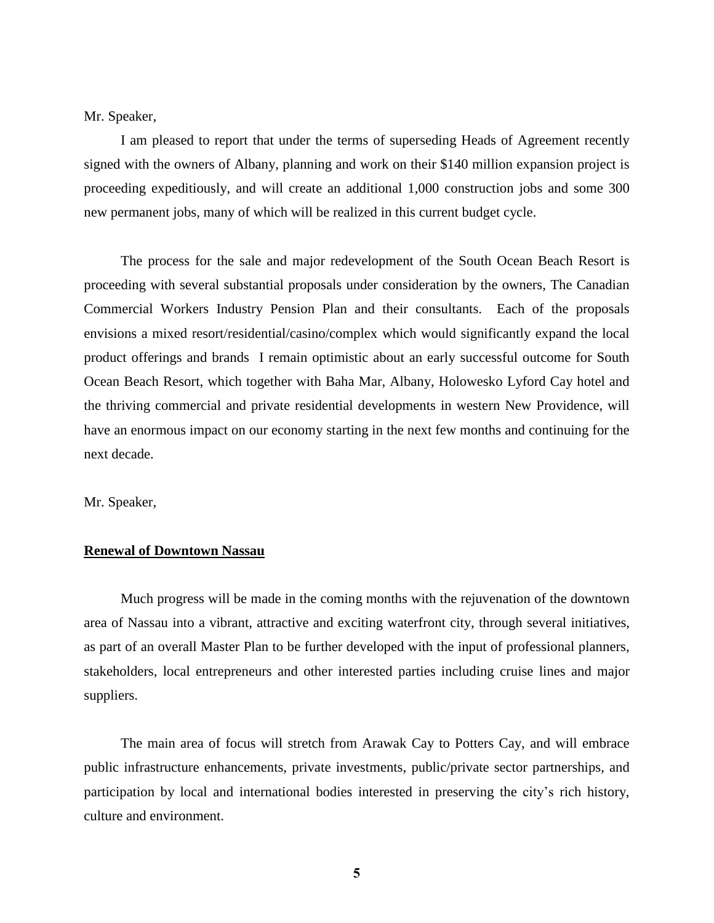Mr. Speaker,

I am pleased to report that under the terms of superseding Heads of Agreement recently signed with the owners of Albany, planning and work on their \$140 million expansion project is proceeding expeditiously, and will create an additional 1,000 construction jobs and some 300 new permanent jobs, many of which will be realized in this current budget cycle.

The process for the sale and major redevelopment of the South Ocean Beach Resort is proceeding with several substantial proposals under consideration by the owners, The Canadian Commercial Workers Industry Pension Plan and their consultants. Each of the proposals envisions a mixed resort/residential/casino/complex which would significantly expand the local product offerings and brands I remain optimistic about an early successful outcome for South Ocean Beach Resort, which together with Baha Mar, Albany, Holowesko Lyford Cay hotel and the thriving commercial and private residential developments in western New Providence, will have an enormous impact on our economy starting in the next few months and continuing for the next decade.

Mr. Speaker,

## **Renewal of Downtown Nassau**

Much progress will be made in the coming months with the rejuvenation of the downtown area of Nassau into a vibrant, attractive and exciting waterfront city, through several initiatives, as part of an overall Master Plan to be further developed with the input of professional planners, stakeholders, local entrepreneurs and other interested parties including cruise lines and major suppliers.

The main area of focus will stretch from Arawak Cay to Potters Cay, and will embrace public infrastructure enhancements, private investments, public/private sector partnerships, and participation by local and international bodies interested in preserving the city's rich history, culture and environment.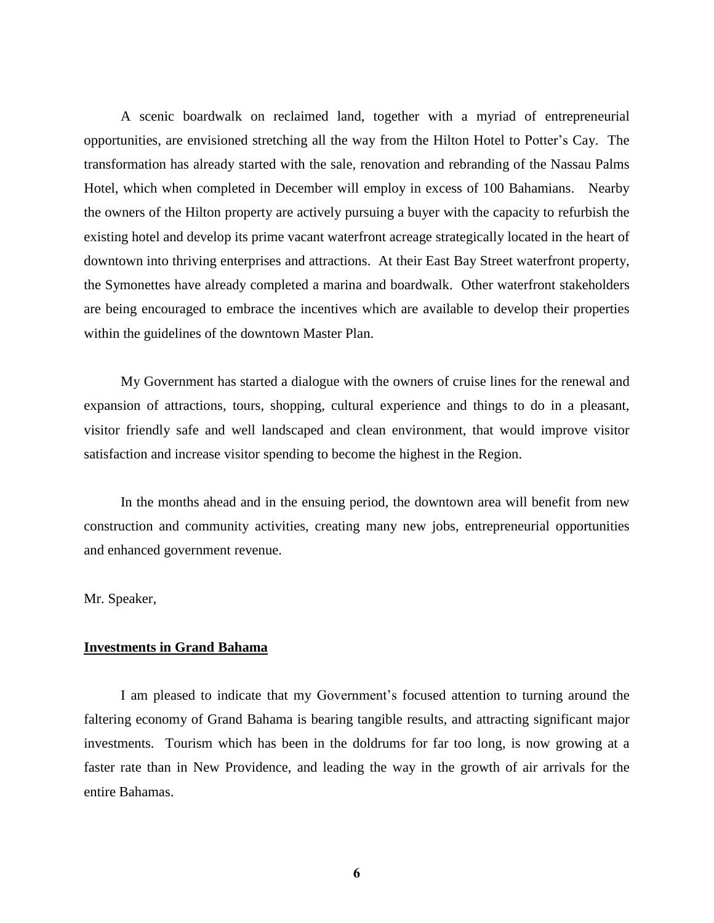A scenic boardwalk on reclaimed land, together with a myriad of entrepreneurial opportunities, are envisioned stretching all the way from the Hilton Hotel to Potter's Cay. The transformation has already started with the sale, renovation and rebranding of the Nassau Palms Hotel, which when completed in December will employ in excess of 100 Bahamians. Nearby the owners of the Hilton property are actively pursuing a buyer with the capacity to refurbish the existing hotel and develop its prime vacant waterfront acreage strategically located in the heart of downtown into thriving enterprises and attractions. At their East Bay Street waterfront property, the Symonettes have already completed a marina and boardwalk. Other waterfront stakeholders are being encouraged to embrace the incentives which are available to develop their properties within the guidelines of the downtown Master Plan.

My Government has started a dialogue with the owners of cruise lines for the renewal and expansion of attractions, tours, shopping, cultural experience and things to do in a pleasant, visitor friendly safe and well landscaped and clean environment, that would improve visitor satisfaction and increase visitor spending to become the highest in the Region.

In the months ahead and in the ensuing period, the downtown area will benefit from new construction and community activities, creating many new jobs, entrepreneurial opportunities and enhanced government revenue.

Mr. Speaker,

## **Investments in Grand Bahama**

I am pleased to indicate that my Government's focused attention to turning around the faltering economy of Grand Bahama is bearing tangible results, and attracting significant major investments. Tourism which has been in the doldrums for far too long, is now growing at a faster rate than in New Providence, and leading the way in the growth of air arrivals for the entire Bahamas.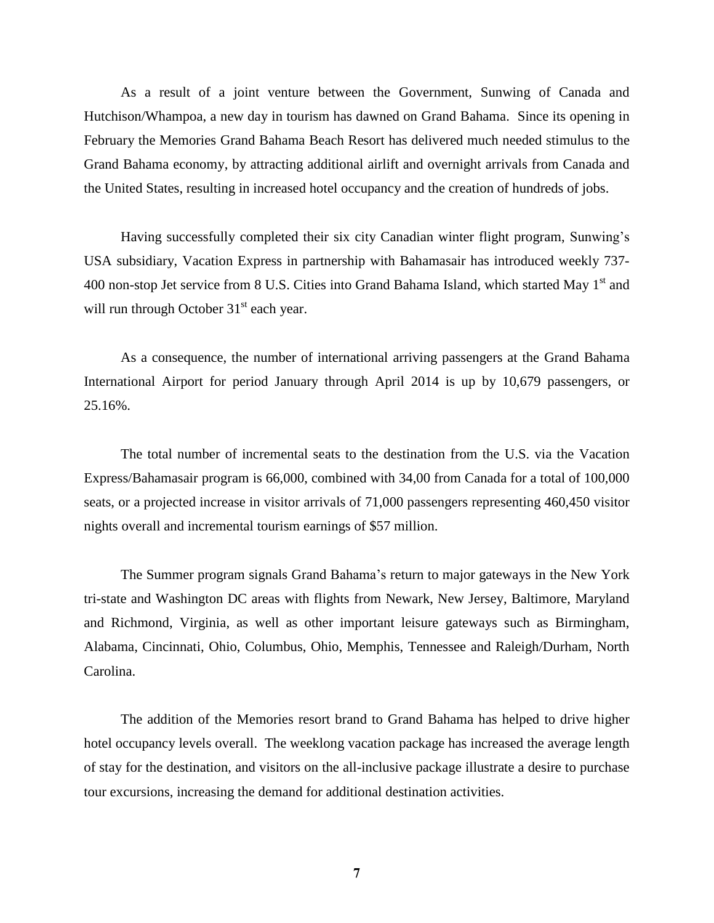As a result of a joint venture between the Government, Sunwing of Canada and Hutchison/Whampoa, a new day in tourism has dawned on Grand Bahama. Since its opening in February the Memories Grand Bahama Beach Resort has delivered much needed stimulus to the Grand Bahama economy, by attracting additional airlift and overnight arrivals from Canada and the United States, resulting in increased hotel occupancy and the creation of hundreds of jobs.

Having successfully completed their six city Canadian winter flight program, Sunwing's USA subsidiary, Vacation Express in partnership with Bahamasair has introduced weekly 737- 400 non-stop Jet service from 8 U.S. Cities into Grand Bahama Island, which started May  $1<sup>st</sup>$  and will run through October  $31<sup>st</sup>$  each year.

As a consequence, the number of international arriving passengers at the Grand Bahama International Airport for period January through April 2014 is up by 10,679 passengers, or 25.16%.

The total number of incremental seats to the destination from the U.S. via the Vacation Express/Bahamasair program is 66,000, combined with 34,00 from Canada for a total of 100,000 seats, or a projected increase in visitor arrivals of 71,000 passengers representing 460,450 visitor nights overall and incremental tourism earnings of \$57 million.

The Summer program signals Grand Bahama's return to major gateways in the New York tri-state and Washington DC areas with flights from Newark, New Jersey, Baltimore, Maryland and Richmond, Virginia, as well as other important leisure gateways such as Birmingham, Alabama, Cincinnati, Ohio, Columbus, Ohio, Memphis, Tennessee and Raleigh/Durham, North Carolina.

The addition of the Memories resort brand to Grand Bahama has helped to drive higher hotel occupancy levels overall. The weeklong vacation package has increased the average length of stay for the destination, and visitors on the all-inclusive package illustrate a desire to purchase tour excursions, increasing the demand for additional destination activities.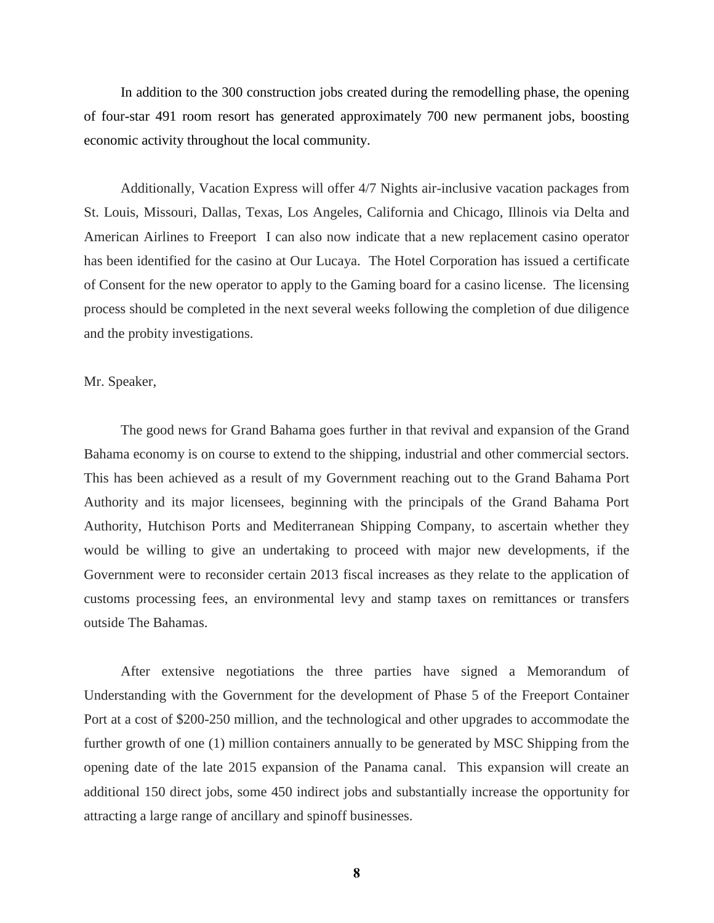In addition to the 300 construction jobs created during the remodelling phase, the opening of four-star 491 room resort has generated approximately 700 new permanent jobs, boosting economic activity throughout the local community.

Additionally, Vacation Express will offer 4/7 Nights air-inclusive vacation packages from St. Louis, Missouri, Dallas, Texas, Los Angeles, California and Chicago, Illinois via Delta and American Airlines to Freeport I can also now indicate that a new replacement casino operator has been identified for the casino at Our Lucaya. The Hotel Corporation has issued a certificate of Consent for the new operator to apply to the Gaming board for a casino license. The licensing process should be completed in the next several weeks following the completion of due diligence and the probity investigations.

#### Mr. Speaker,

The good news for Grand Bahama goes further in that revival and expansion of the Grand Bahama economy is on course to extend to the shipping, industrial and other commercial sectors. This has been achieved as a result of my Government reaching out to the Grand Bahama Port Authority and its major licensees, beginning with the principals of the Grand Bahama Port Authority, Hutchison Ports and Mediterranean Shipping Company, to ascertain whether they would be willing to give an undertaking to proceed with major new developments, if the Government were to reconsider certain 2013 fiscal increases as they relate to the application of customs processing fees, an environmental levy and stamp taxes on remittances or transfers outside The Bahamas.

After extensive negotiations the three parties have signed a Memorandum of Understanding with the Government for the development of Phase 5 of the Freeport Container Port at a cost of \$200-250 million, and the technological and other upgrades to accommodate the further growth of one (1) million containers annually to be generated by MSC Shipping from the opening date of the late 2015 expansion of the Panama canal. This expansion will create an additional 150 direct jobs, some 450 indirect jobs and substantially increase the opportunity for attracting a large range of ancillary and spinoff businesses.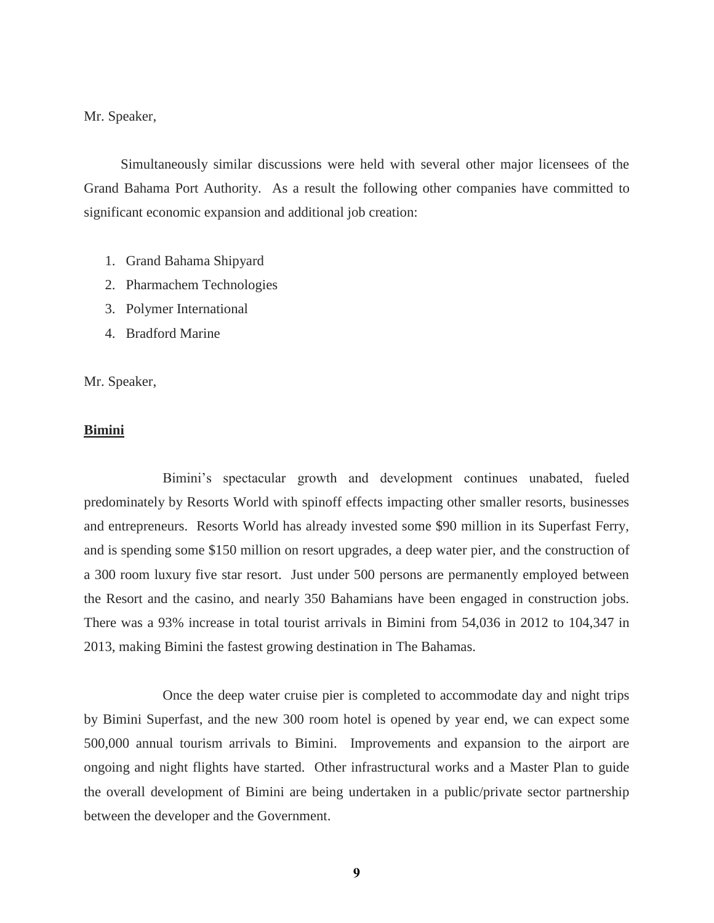Mr. Speaker,

Simultaneously similar discussions were held with several other major licensees of the Grand Bahama Port Authority. As a result the following other companies have committed to significant economic expansion and additional job creation:

- 1. Grand Bahama Shipyard
- 2. Pharmachem Technologies
- 3. Polymer International
- 4. Bradford Marine

Mr. Speaker,

#### **Bimini**

Bimini's spectacular growth and development continues unabated, fueled predominately by Resorts World with spinoff effects impacting other smaller resorts, businesses and entrepreneurs. Resorts World has already invested some \$90 million in its Superfast Ferry, and is spending some \$150 million on resort upgrades, a deep water pier, and the construction of a 300 room luxury five star resort. Just under 500 persons are permanently employed between the Resort and the casino, and nearly 350 Bahamians have been engaged in construction jobs. There was a 93% increase in total tourist arrivals in Bimini from 54,036 in 2012 to 104,347 in 2013, making Bimini the fastest growing destination in The Bahamas.

Once the deep water cruise pier is completed to accommodate day and night trips by Bimini Superfast, and the new 300 room hotel is opened by year end, we can expect some 500,000 annual tourism arrivals to Bimini. Improvements and expansion to the airport are ongoing and night flights have started. Other infrastructural works and a Master Plan to guide the overall development of Bimini are being undertaken in a public/private sector partnership between the developer and the Government.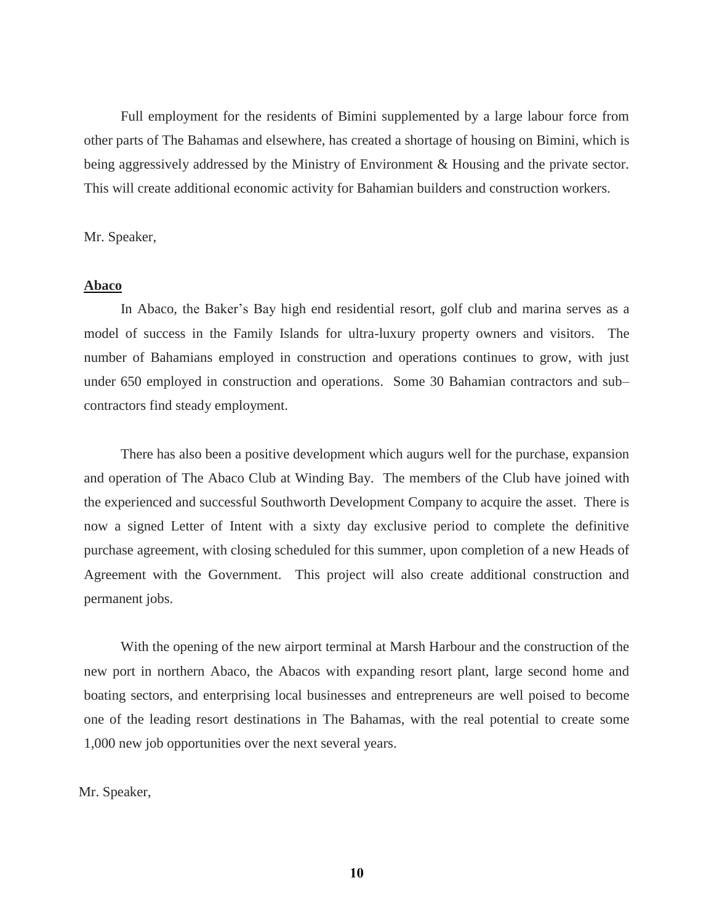Full employment for the residents of Bimini supplemented by a large labour force from other parts of The Bahamas and elsewhere, has created a shortage of housing on Bimini, which is being aggressively addressed by the Ministry of Environment & Housing and the private sector. This will create additional economic activity for Bahamian builders and construction workers.

Mr. Speaker,

#### **Abaco**

In Abaco, the Baker's Bay high end residential resort, golf club and marina serves as a model of success in the Family Islands for ultra-luxury property owners and visitors. The number of Bahamians employed in construction and operations continues to grow, with just under 650 employed in construction and operations. Some 30 Bahamian contractors and sub– contractors find steady employment.

There has also been a positive development which augurs well for the purchase, expansion and operation of The Abaco Club at Winding Bay. The members of the Club have joined with the experienced and successful Southworth Development Company to acquire the asset. There is now a signed Letter of Intent with a sixty day exclusive period to complete the definitive purchase agreement, with closing scheduled for this summer, upon completion of a new Heads of Agreement with the Government. This project will also create additional construction and permanent jobs.

With the opening of the new airport terminal at Marsh Harbour and the construction of the new port in northern Abaco, the Abacos with expanding resort plant, large second home and boating sectors, and enterprising local businesses and entrepreneurs are well poised to become one of the leading resort destinations in The Bahamas, with the real potential to create some 1,000 new job opportunities over the next several years.

Mr. Speaker,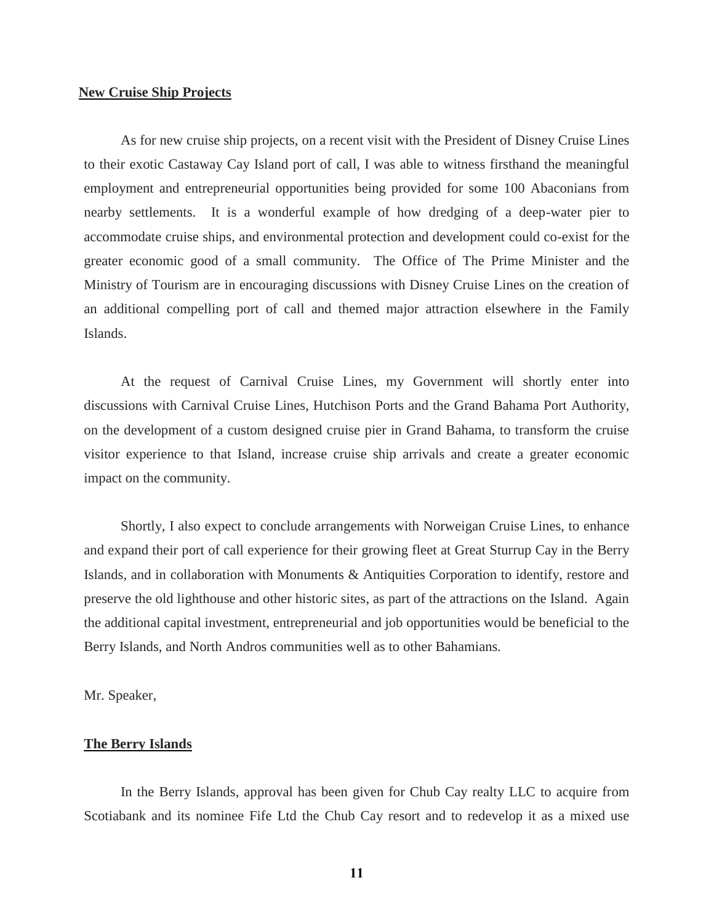#### **New Cruise Ship Projects**

As for new cruise ship projects, on a recent visit with the President of Disney Cruise Lines to their exotic Castaway Cay Island port of call, I was able to witness firsthand the meaningful employment and entrepreneurial opportunities being provided for some 100 Abaconians from nearby settlements. It is a wonderful example of how dredging of a deep-water pier to accommodate cruise ships, and environmental protection and development could co-exist for the greater economic good of a small community. The Office of The Prime Minister and the Ministry of Tourism are in encouraging discussions with Disney Cruise Lines on the creation of an additional compelling port of call and themed major attraction elsewhere in the Family Islands.

At the request of Carnival Cruise Lines, my Government will shortly enter into discussions with Carnival Cruise Lines, Hutchison Ports and the Grand Bahama Port Authority, on the development of a custom designed cruise pier in Grand Bahama, to transform the cruise visitor experience to that Island, increase cruise ship arrivals and create a greater economic impact on the community.

Shortly, I also expect to conclude arrangements with Norweigan Cruise Lines, to enhance and expand their port of call experience for their growing fleet at Great Sturrup Cay in the Berry Islands, and in collaboration with Monuments & Antiquities Corporation to identify, restore and preserve the old lighthouse and other historic sites, as part of the attractions on the Island. Again the additional capital investment, entrepreneurial and job opportunities would be beneficial to the Berry Islands, and North Andros communities well as to other Bahamians.

Mr. Speaker,

## **The Berry Islands**

In the Berry Islands, approval has been given for Chub Cay realty LLC to acquire from Scotiabank and its nominee Fife Ltd the Chub Cay resort and to redevelop it as a mixed use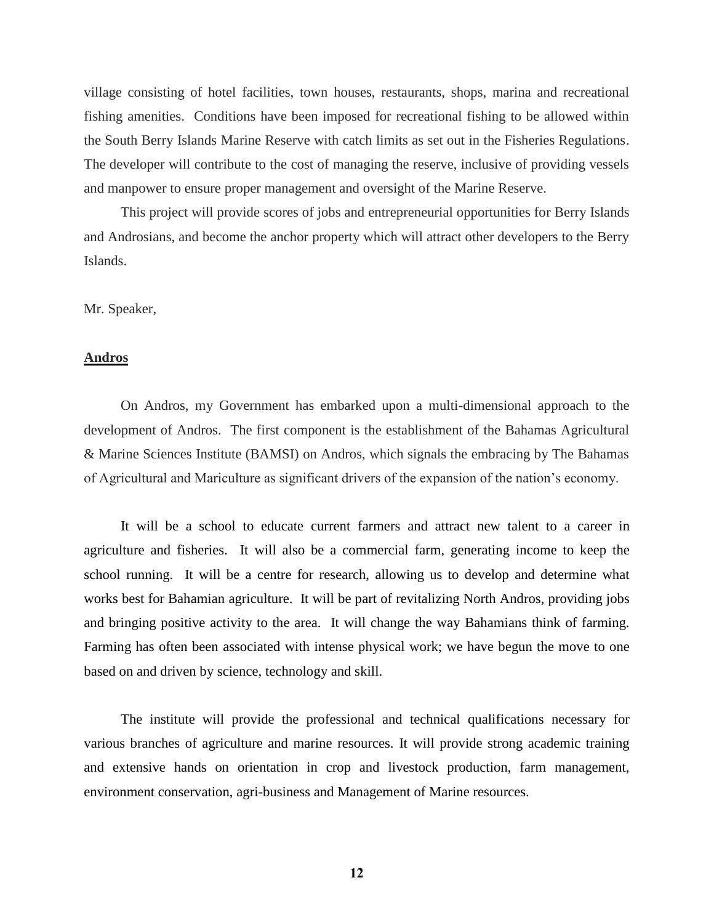village consisting of hotel facilities, town houses, restaurants, shops, marina and recreational fishing amenities. Conditions have been imposed for recreational fishing to be allowed within the South Berry Islands Marine Reserve with catch limits as set out in the Fisheries Regulations. The developer will contribute to the cost of managing the reserve, inclusive of providing vessels and manpower to ensure proper management and oversight of the Marine Reserve.

This project will provide scores of jobs and entrepreneurial opportunities for Berry Islands and Androsians, and become the anchor property which will attract other developers to the Berry Islands.

## Mr. Speaker,

## **Andros**

On Andros, my Government has embarked upon a multi-dimensional approach to the development of Andros. The first component is the establishment of the Bahamas Agricultural & Marine Sciences Institute (BAMSI) on Andros, which signals the embracing by The Bahamas of Agricultural and Mariculture as significant drivers of the expansion of the nation's economy.

It will be a school to educate current farmers and attract new talent to a career in agriculture and fisheries. It will also be a commercial farm, generating income to keep the school running. It will be a centre for research, allowing us to develop and determine what works best for Bahamian agriculture. It will be part of revitalizing North Andros, providing jobs and bringing positive activity to the area. It will change the way Bahamians think of farming. Farming has often been associated with intense physical work; we have begun the move to one based on and driven by science, technology and skill.

The institute will provide the professional and technical qualifications necessary for various branches of agriculture and marine resources. It will provide strong academic training and extensive hands on orientation in crop and livestock production, farm management, environment conservation, agri-business and Management of Marine resources.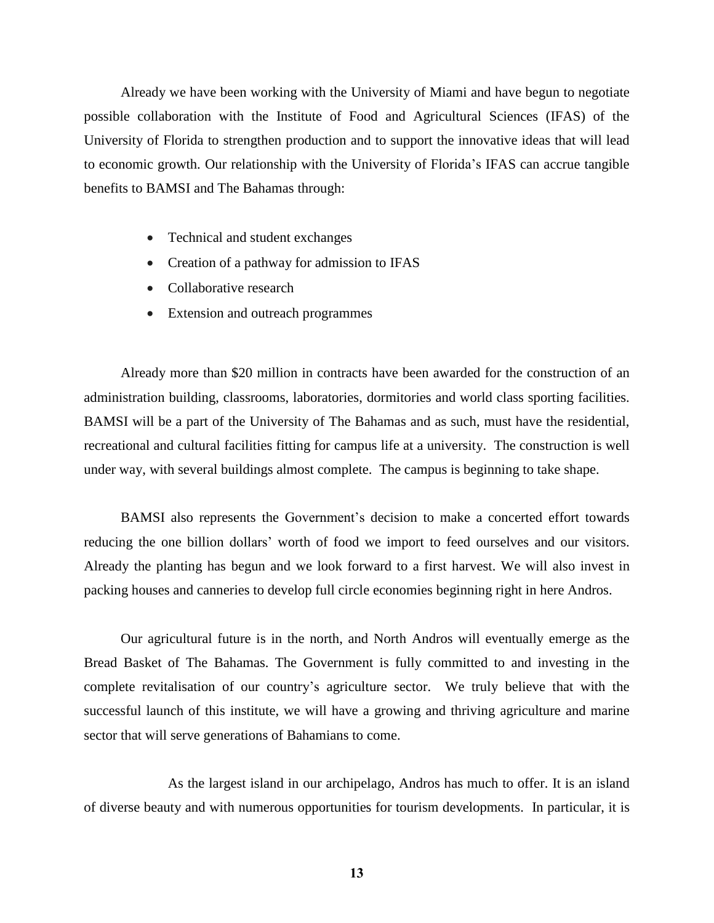Already we have been working with the University of Miami and have begun to negotiate possible collaboration with the Institute of Food and Agricultural Sciences (IFAS) of the University of Florida to strengthen production and to support the innovative ideas that will lead to economic growth. Our relationship with the University of Florida's IFAS can accrue tangible benefits to BAMSI and The Bahamas through:

- Technical and student exchanges
- Creation of a pathway for admission to IFAS
- Collaborative research
- Extension and outreach programmes

Already more than \$20 million in contracts have been awarded for the construction of an administration building, classrooms, laboratories, dormitories and world class sporting facilities. BAMSI will be a part of the University of The Bahamas and as such, must have the residential, recreational and cultural facilities fitting for campus life at a university. The construction is well under way, with several buildings almost complete. The campus is beginning to take shape.

BAMSI also represents the Government's decision to make a concerted effort towards reducing the one billion dollars' worth of food we import to feed ourselves and our visitors. Already the planting has begun and we look forward to a first harvest. We will also invest in packing houses and canneries to develop full circle economies beginning right in here Andros.

Our agricultural future is in the north, and North Andros will eventually emerge as the Bread Basket of The Bahamas. The Government is fully committed to and investing in the complete revitalisation of our country's agriculture sector. We truly believe that with the successful launch of this institute, we will have a growing and thriving agriculture and marine sector that will serve generations of Bahamians to come.

As the largest island in our archipelago, Andros has much to offer. It is an island of diverse beauty and with numerous opportunities for tourism developments. In particular, it is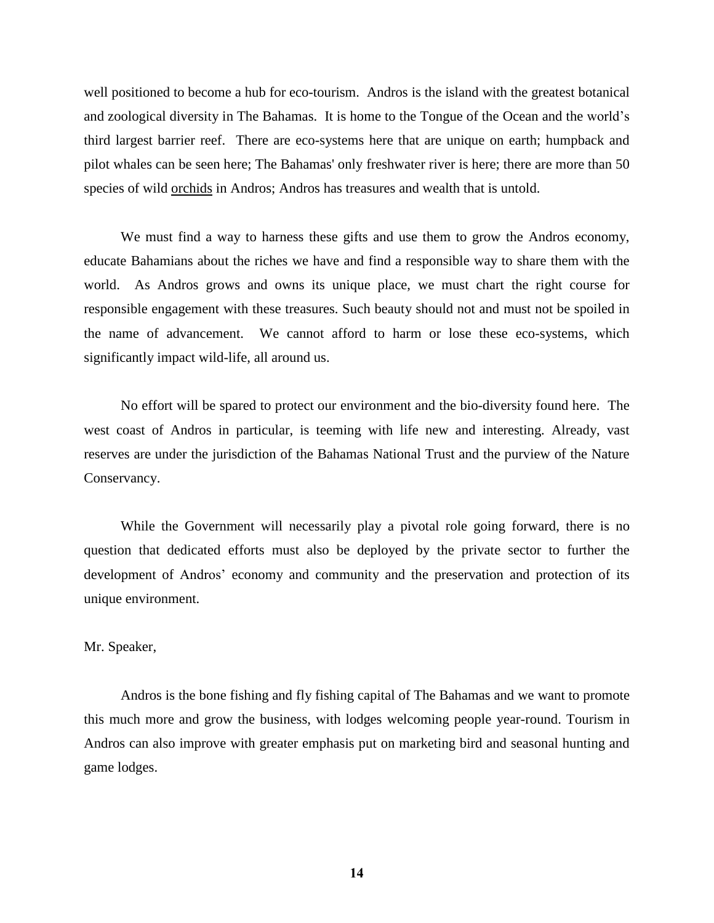well positioned to become a hub for eco-tourism. Andros is the island with the greatest botanical and zoological diversity in The Bahamas. It is home to the Tongue of the Ocean and the world's third largest barrier reef. There are eco-systems here that are unique on earth; humpback and pilot whales can be seen here; The Bahamas' only freshwater river is here; there are more than 50 species of wild orchids in Andros; Andros has treasures and wealth that is untold.

We must find a way to harness these gifts and use them to grow the Andros economy, educate Bahamians about the riches we have and find a responsible way to share them with the world. As Andros grows and owns its unique place, we must chart the right course for responsible engagement with these treasures. Such beauty should not and must not be spoiled in the name of advancement. We cannot afford to harm or lose these eco-systems, which significantly impact wild-life, all around us.

No effort will be spared to protect our environment and the bio-diversity found here. The west coast of Andros in particular, is teeming with life new and interesting. Already, vast reserves are under the jurisdiction of the Bahamas National Trust and the purview of the Nature Conservancy.

While the Government will necessarily play a pivotal role going forward, there is no question that dedicated efforts must also be deployed by the private sector to further the development of Andros' economy and community and the preservation and protection of its unique environment.

## Mr. Speaker,

Andros is the bone fishing and fly fishing capital of The Bahamas and we want to promote this much more and grow the business, with lodges welcoming people year-round. Tourism in Andros can also improve with greater emphasis put on marketing bird and seasonal hunting and game lodges.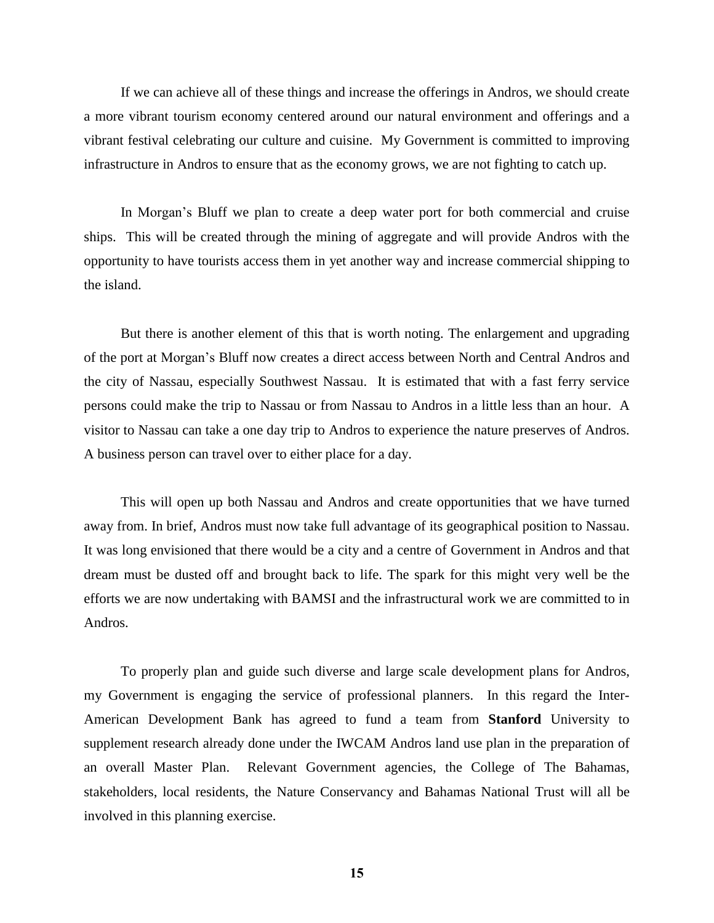If we can achieve all of these things and increase the offerings in Andros, we should create a more vibrant tourism economy centered around our natural environment and offerings and a vibrant festival celebrating our culture and cuisine. My Government is committed to improving infrastructure in Andros to ensure that as the economy grows, we are not fighting to catch up.

In Morgan's Bluff we plan to create a deep water port for both commercial and cruise ships. This will be created through the mining of aggregate and will provide Andros with the opportunity to have tourists access them in yet another way and increase commercial shipping to the island.

But there is another element of this that is worth noting. The enlargement and upgrading of the port at Morgan's Bluff now creates a direct access between North and Central Andros and the city of Nassau, especially Southwest Nassau. It is estimated that with a fast ferry service persons could make the trip to Nassau or from Nassau to Andros in a little less than an hour. A visitor to Nassau can take a one day trip to Andros to experience the nature preserves of Andros. A business person can travel over to either place for a day.

This will open up both Nassau and Andros and create opportunities that we have turned away from. In brief, Andros must now take full advantage of its geographical position to Nassau. It was long envisioned that there would be a city and a centre of Government in Andros and that dream must be dusted off and brought back to life. The spark for this might very well be the efforts we are now undertaking with BAMSI and the infrastructural work we are committed to in Andros.

To properly plan and guide such diverse and large scale development plans for Andros, my Government is engaging the service of professional planners. In this regard the Inter-American Development Bank has agreed to fund a team from **Stanford** University to supplement research already done under the IWCAM Andros land use plan in the preparation of an overall Master Plan. Relevant Government agencies, the College of The Bahamas, stakeholders, local residents, the Nature Conservancy and Bahamas National Trust will all be involved in this planning exercise.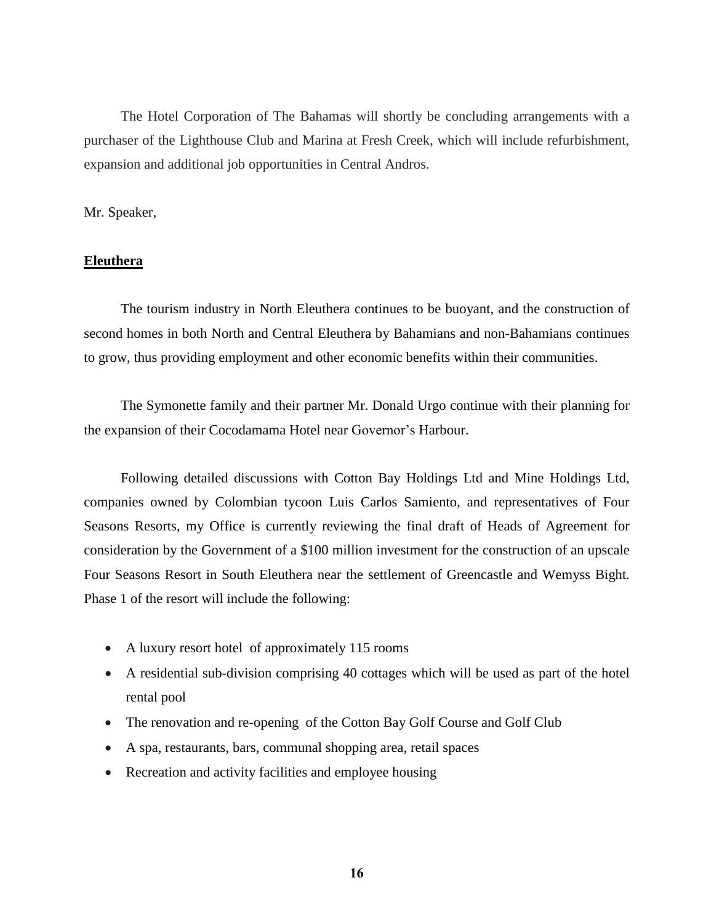The Hotel Corporation of The Bahamas will shortly be concluding arrangements with a purchaser of the Lighthouse Club and Marina at Fresh Creek, which will include refurbishment, expansion and additional job opportunities in Central Andros.

## Mr. Speaker,

## **Eleuthera**

The tourism industry in North Eleuthera continues to be buoyant, and the construction of second homes in both North and Central Eleuthera by Bahamians and non-Bahamians continues to grow, thus providing employment and other economic benefits within their communities.

The Symonette family and their partner Mr. Donald Urgo continue with their planning for the expansion of their Cocodamama Hotel near Governor's Harbour.

Following detailed discussions with Cotton Bay Holdings Ltd and Mine Holdings Ltd, companies owned by Colombian tycoon Luis Carlos Samiento, and representatives of Four Seasons Resorts, my Office is currently reviewing the final draft of Heads of Agreement for consideration by the Government of a \$100 million investment for the construction of an upscale Four Seasons Resort in South Eleuthera near the settlement of Greencastle and Wemyss Bight. Phase 1 of the resort will include the following:

- A luxury resort hotel of approximately 115 rooms
- A residential sub-division comprising 40 cottages which will be used as part of the hotel rental pool
- The renovation and re-opening of the Cotton Bay Golf Course and Golf Club
- A spa, restaurants, bars, communal shopping area, retail spaces
- Recreation and activity facilities and employee housing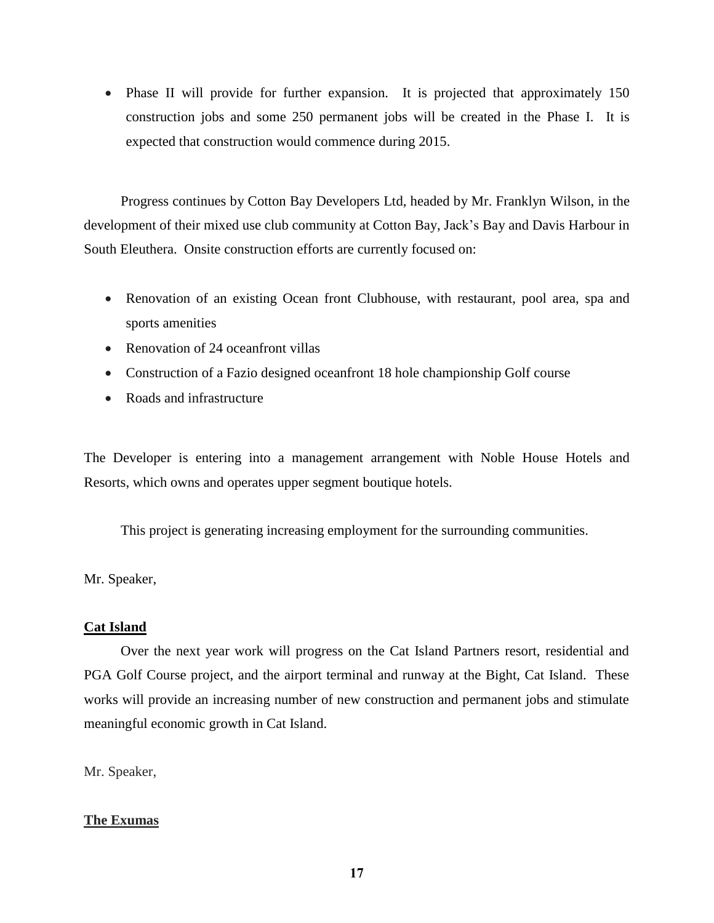• Phase II will provide for further expansion. It is projected that approximately 150 construction jobs and some 250 permanent jobs will be created in the Phase I. It is expected that construction would commence during 2015.

Progress continues by Cotton Bay Developers Ltd, headed by Mr. Franklyn Wilson, in the development of their mixed use club community at Cotton Bay, Jack's Bay and Davis Harbour in South Eleuthera. Onsite construction efforts are currently focused on:

- Renovation of an existing Ocean front Clubhouse, with restaurant, pool area, spa and sports amenities
- Renovation of 24 oceanfront villas
- Construction of a Fazio designed oceanfront 18 hole championship Golf course
- Roads and infrastructure

The Developer is entering into a management arrangement with Noble House Hotels and Resorts, which owns and operates upper segment boutique hotels.

This project is generating increasing employment for the surrounding communities.

Mr. Speaker,

## **Cat Island**

Over the next year work will progress on the Cat Island Partners resort, residential and PGA Golf Course project, and the airport terminal and runway at the Bight, Cat Island. These works will provide an increasing number of new construction and permanent jobs and stimulate meaningful economic growth in Cat Island.

Mr. Speaker,

# **The Exumas**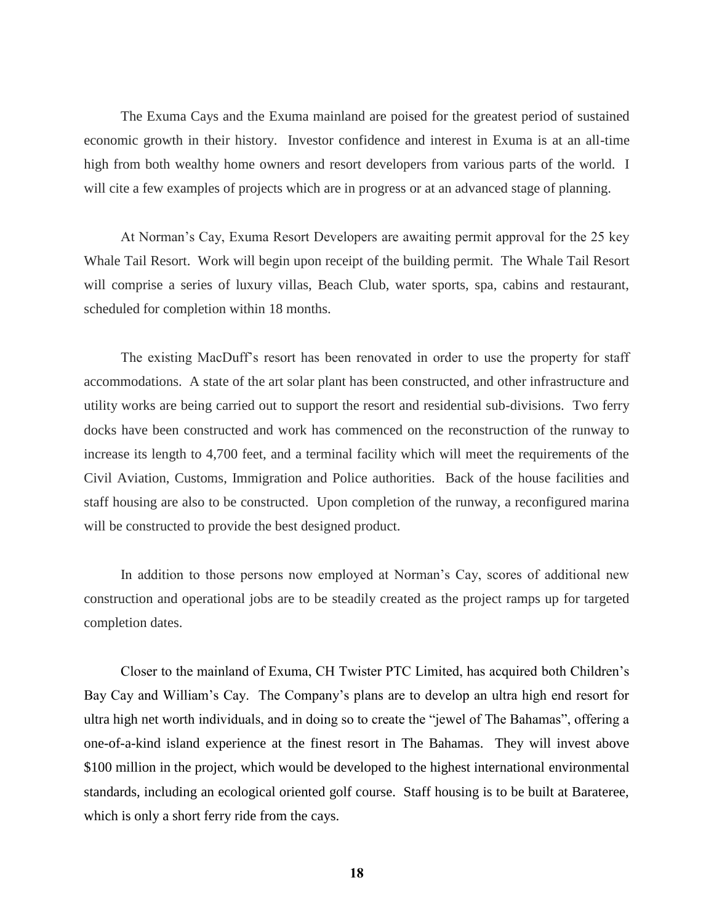The Exuma Cays and the Exuma mainland are poised for the greatest period of sustained economic growth in their history. Investor confidence and interest in Exuma is at an all-time high from both wealthy home owners and resort developers from various parts of the world. I will cite a few examples of projects which are in progress or at an advanced stage of planning.

At Norman's Cay, Exuma Resort Developers are awaiting permit approval for the 25 key Whale Tail Resort. Work will begin upon receipt of the building permit. The Whale Tail Resort will comprise a series of luxury villas, Beach Club, water sports, spa, cabins and restaurant, scheduled for completion within 18 months.

The existing MacDuff's resort has been renovated in order to use the property for staff accommodations. A state of the art solar plant has been constructed, and other infrastructure and utility works are being carried out to support the resort and residential sub-divisions. Two ferry docks have been constructed and work has commenced on the reconstruction of the runway to increase its length to 4,700 feet, and a terminal facility which will meet the requirements of the Civil Aviation, Customs, Immigration and Police authorities. Back of the house facilities and staff housing are also to be constructed. Upon completion of the runway, a reconfigured marina will be constructed to provide the best designed product.

In addition to those persons now employed at Norman's Cay, scores of additional new construction and operational jobs are to be steadily created as the project ramps up for targeted completion dates.

Closer to the mainland of Exuma, CH Twister PTC Limited, has acquired both Children's Bay Cay and William's Cay. The Company's plans are to develop an ultra high end resort for ultra high net worth individuals, and in doing so to create the "jewel of The Bahamas", offering a one-of-a-kind island experience at the finest resort in The Bahamas. They will invest above \$100 million in the project, which would be developed to the highest international environmental standards, including an ecological oriented golf course. Staff housing is to be built at Barateree, which is only a short ferry ride from the cays.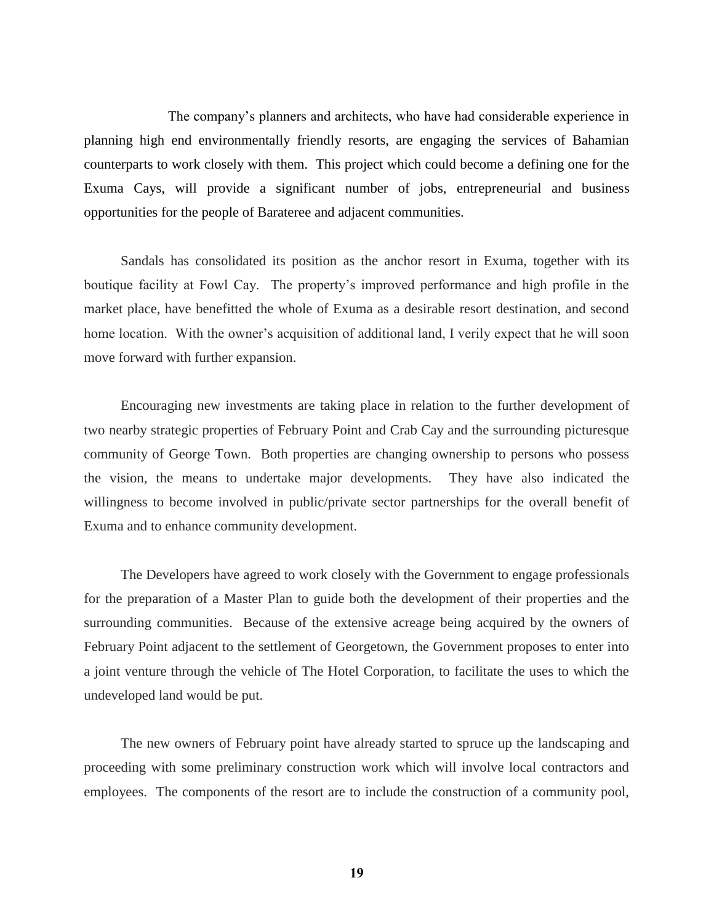The company's planners and architects, who have had considerable experience in planning high end environmentally friendly resorts, are engaging the services of Bahamian counterparts to work closely with them. This project which could become a defining one for the Exuma Cays, will provide a significant number of jobs, entrepreneurial and business opportunities for the people of Barateree and adjacent communities.

Sandals has consolidated its position as the anchor resort in Exuma, together with its boutique facility at Fowl Cay. The property's improved performance and high profile in the market place, have benefitted the whole of Exuma as a desirable resort destination, and second home location. With the owner's acquisition of additional land, I verily expect that he will soon move forward with further expansion.

Encouraging new investments are taking place in relation to the further development of two nearby strategic properties of February Point and Crab Cay and the surrounding picturesque community of George Town. Both properties are changing ownership to persons who possess the vision, the means to undertake major developments. They have also indicated the willingness to become involved in public/private sector partnerships for the overall benefit of Exuma and to enhance community development.

The Developers have agreed to work closely with the Government to engage professionals for the preparation of a Master Plan to guide both the development of their properties and the surrounding communities. Because of the extensive acreage being acquired by the owners of February Point adjacent to the settlement of Georgetown, the Government proposes to enter into a joint venture through the vehicle of The Hotel Corporation, to facilitate the uses to which the undeveloped land would be put.

The new owners of February point have already started to spruce up the landscaping and proceeding with some preliminary construction work which will involve local contractors and employees. The components of the resort are to include the construction of a community pool,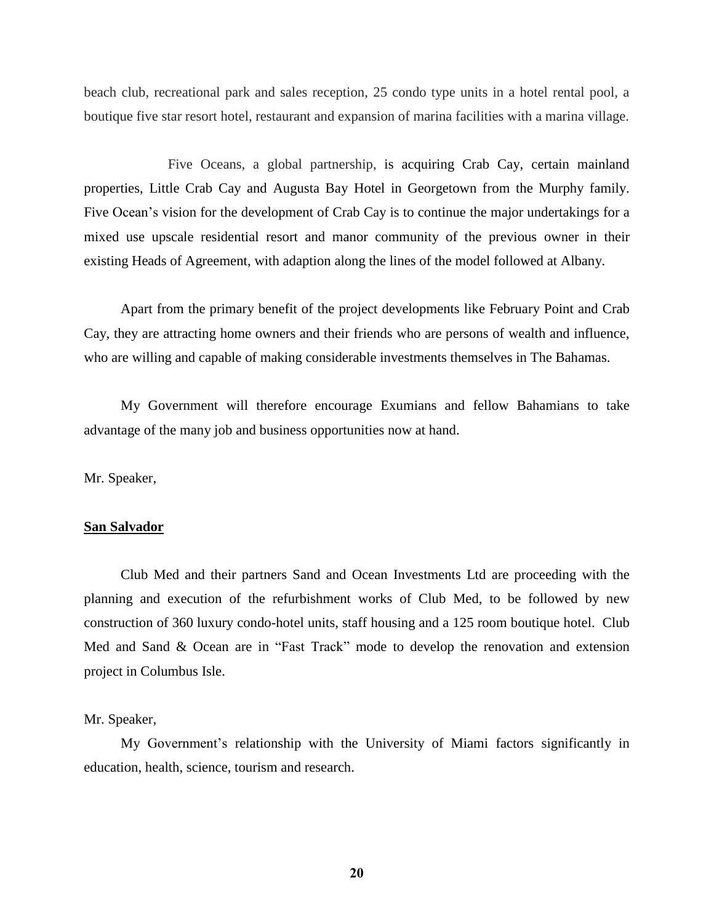beach club, recreational park and sales reception, 25 condo type units in a hotel rental pool, a boutique five star resort hotel, restaurant and expansion of marina facilities with a marina village.

Five Oceans, a global partnership, is acquiring Crab Cay, certain mainland properties, Little Crab Cay and Augusta Bay Hotel in Georgetown from the Murphy family. Five Ocean's vision for the development of Crab Cay is to continue the major undertakings for a mixed use upscale residential resort and manor community of the previous owner in their existing Heads of Agreement, with adaption along the lines of the model followed at Albany.

Apart from the primary benefit of the project developments like February Point and Crab Cay, they are attracting home owners and their friends who are persons of wealth and influence, who are willing and capable of making considerable investments themselves in The Bahamas.

My Government will therefore encourage Exumians and fellow Bahamians to take advantage of the many job and business opportunities now at hand.

Mr. Speaker,

## **San Salvador**

Club Med and their partners Sand and Ocean Investments Ltd are proceeding with the planning and execution of the refurbishment works of Club Med, to be followed by new construction of 360 luxury condo-hotel units, staff housing and a 125 room boutique hotel. Club Med and Sand & Ocean are in "Fast Track" mode to develop the renovation and extension project in Columbus Isle.

#### Mr. Speaker,

My Government's relationship with the University of Miami factors significantly in education, health, science, tourism and research.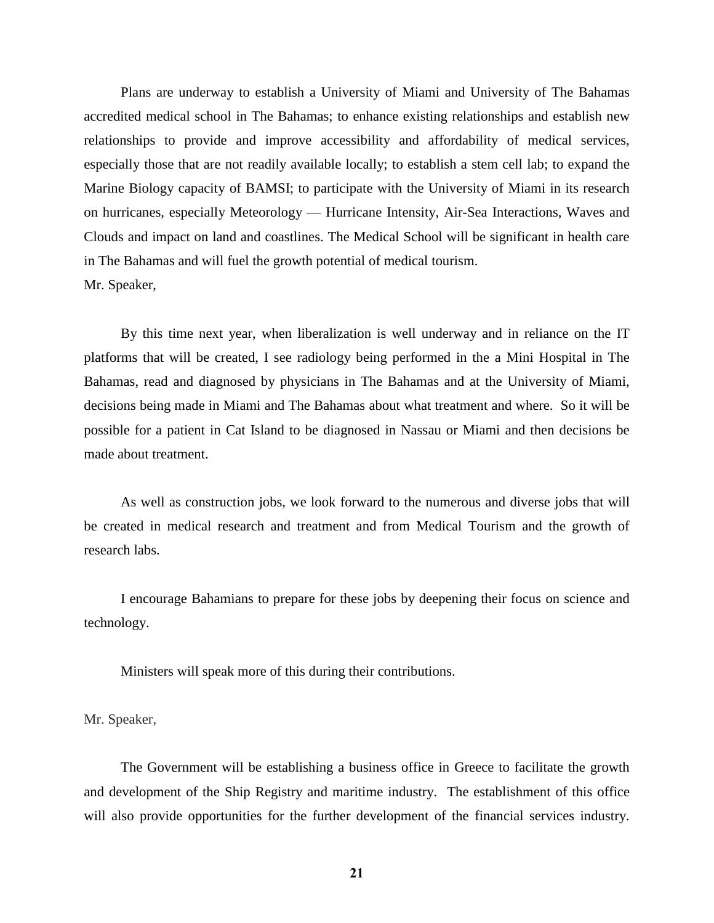Plans are underway to establish a University of Miami and University of The Bahamas accredited medical school in The Bahamas; to enhance existing relationships and establish new relationships to provide and improve accessibility and affordability of medical services, especially those that are not readily available locally; to establish a stem cell lab; to expand the Marine Biology capacity of BAMSI; to participate with the University of Miami in its research on hurricanes, especially Meteorology — Hurricane Intensity, Air-Sea Interactions, Waves and Clouds and impact on land and coastlines. The Medical School will be significant in health care in The Bahamas and will fuel the growth potential of medical tourism. Mr. Speaker,

By this time next year, when liberalization is well underway and in reliance on the IT platforms that will be created, I see radiology being performed in the a Mini Hospital in The Bahamas, read and diagnosed by physicians in The Bahamas and at the University of Miami, decisions being made in Miami and The Bahamas about what treatment and where. So it will be possible for a patient in Cat Island to be diagnosed in Nassau or Miami and then decisions be made about treatment.

As well as construction jobs, we look forward to the numerous and diverse jobs that will be created in medical research and treatment and from Medical Tourism and the growth of research labs.

I encourage Bahamians to prepare for these jobs by deepening their focus on science and technology.

Ministers will speak more of this during their contributions.

Mr. Speaker,

The Government will be establishing a business office in Greece to facilitate the growth and development of the Ship Registry and maritime industry. The establishment of this office will also provide opportunities for the further development of the financial services industry.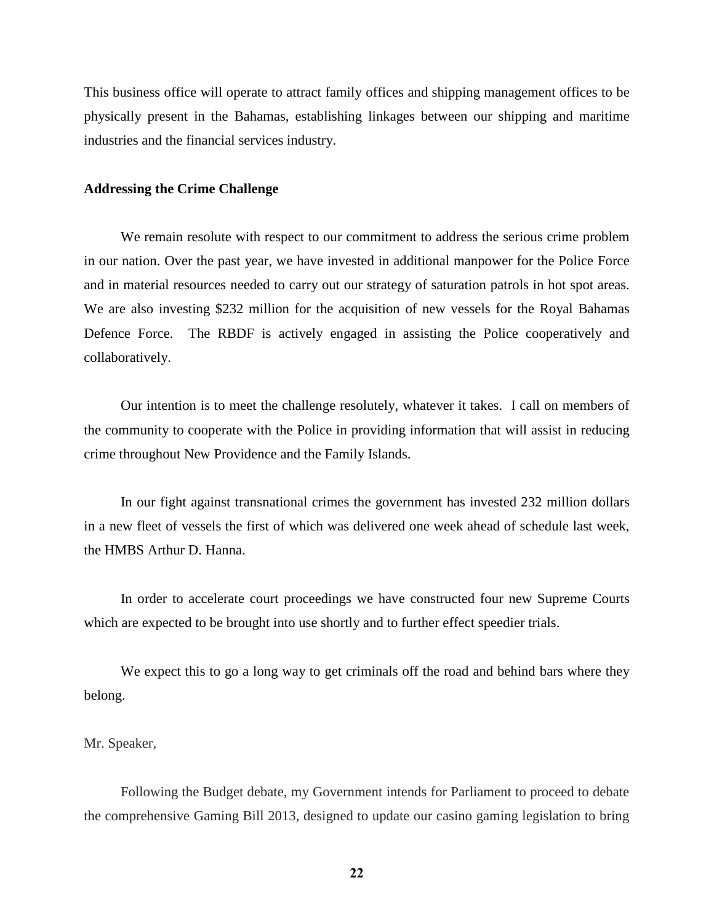This business office will operate to attract family offices and shipping management offices to be physically present in the Bahamas, establishing linkages between our shipping and maritime industries and the financial services industry.

## **Addressing the Crime Challenge**

We remain resolute with respect to our commitment to address the serious crime problem in our nation. Over the past year, we have invested in additional manpower for the Police Force and in material resources needed to carry out our strategy of saturation patrols in hot spot areas. We are also investing \$232 million for the acquisition of new vessels for the Royal Bahamas Defence Force. The RBDF is actively engaged in assisting the Police cooperatively and collaboratively.

Our intention is to meet the challenge resolutely, whatever it takes. I call on members of the community to cooperate with the Police in providing information that will assist in reducing crime throughout New Providence and the Family Islands.

In our fight against transnational crimes the government has invested 232 million dollars in a new fleet of vessels the first of which was delivered one week ahead of schedule last week, the HMBS Arthur D. Hanna.

In order to accelerate court proceedings we have constructed four new Supreme Courts which are expected to be brought into use shortly and to further effect speedier trials.

We expect this to go a long way to get criminals off the road and behind bars where they belong.

Mr. Speaker,

Following the Budget debate, my Government intends for Parliament to proceed to debate the comprehensive Gaming Bill 2013, designed to update our casino gaming legislation to bring

**22**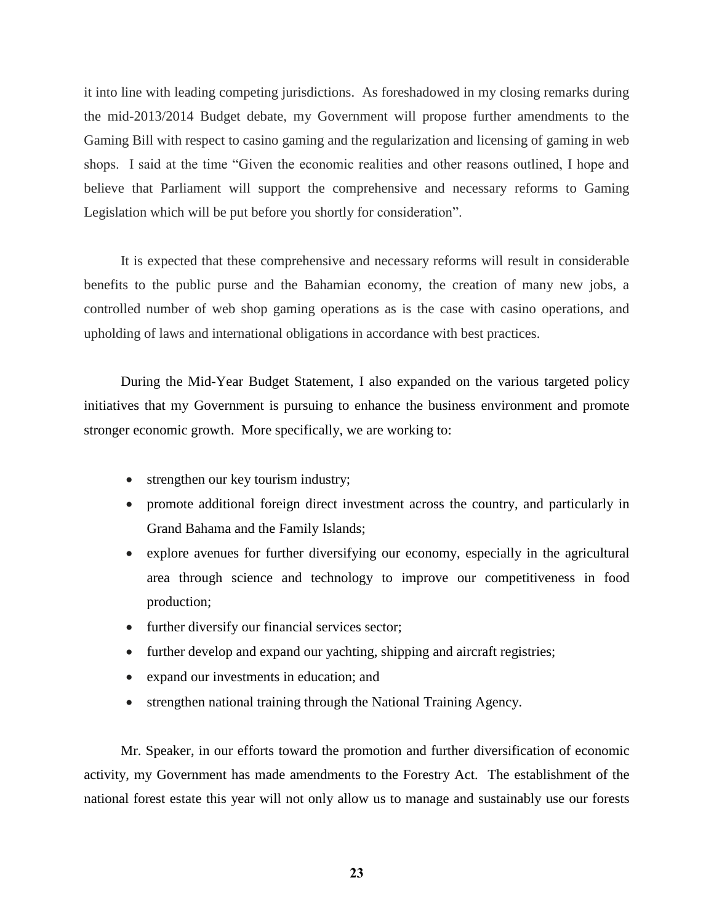it into line with leading competing jurisdictions. As foreshadowed in my closing remarks during the mid-2013/2014 Budget debate, my Government will propose further amendments to the Gaming Bill with respect to casino gaming and the regularization and licensing of gaming in web shops. I said at the time "Given the economic realities and other reasons outlined, I hope and believe that Parliament will support the comprehensive and necessary reforms to Gaming Legislation which will be put before you shortly for consideration".

It is expected that these comprehensive and necessary reforms will result in considerable benefits to the public purse and the Bahamian economy, the creation of many new jobs, a controlled number of web shop gaming operations as is the case with casino operations, and upholding of laws and international obligations in accordance with best practices.

During the Mid-Year Budget Statement, I also expanded on the various targeted policy initiatives that my Government is pursuing to enhance the business environment and promote stronger economic growth. More specifically, we are working to:

- strengthen our key tourism industry;
- promote additional foreign direct investment across the country, and particularly in Grand Bahama and the Family Islands;
- explore avenues for further diversifying our economy, especially in the agricultural area through science and technology to improve our competitiveness in food production;
- further diversify our financial services sector;
- further develop and expand our yachting, shipping and aircraft registries;
- expand our investments in education; and
- strengthen national training through the National Training Agency.

Mr. Speaker, in our efforts toward the promotion and further diversification of economic activity, my Government has made amendments to the Forestry Act. The establishment of the national forest estate this year will not only allow us to manage and sustainably use our forests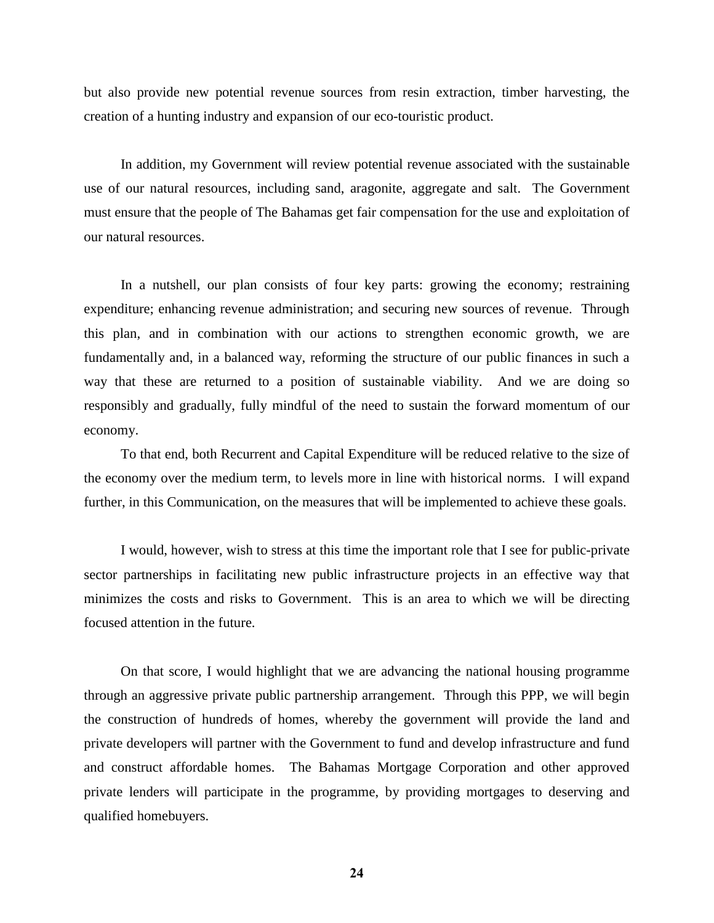but also provide new potential revenue sources from resin extraction, timber harvesting, the creation of a hunting industry and expansion of our eco-touristic product.

In addition, my Government will review potential revenue associated with the sustainable use of our natural resources, including sand, aragonite, aggregate and salt. The Government must ensure that the people of The Bahamas get fair compensation for the use and exploitation of our natural resources.

In a nutshell, our plan consists of four key parts: growing the economy; restraining expenditure; enhancing revenue administration; and securing new sources of revenue. Through this plan, and in combination with our actions to strengthen economic growth, we are fundamentally and, in a balanced way, reforming the structure of our public finances in such a way that these are returned to a position of sustainable viability. And we are doing so responsibly and gradually, fully mindful of the need to sustain the forward momentum of our economy.

To that end, both Recurrent and Capital Expenditure will be reduced relative to the size of the economy over the medium term, to levels more in line with historical norms. I will expand further, in this Communication, on the measures that will be implemented to achieve these goals.

I would, however, wish to stress at this time the important role that I see for public-private sector partnerships in facilitating new public infrastructure projects in an effective way that minimizes the costs and risks to Government. This is an area to which we will be directing focused attention in the future.

On that score, I would highlight that we are advancing the national housing programme through an aggressive private public partnership arrangement. Through this PPP, we will begin the construction of hundreds of homes, whereby the government will provide the land and private developers will partner with the Government to fund and develop infrastructure and fund and construct affordable homes. The Bahamas Mortgage Corporation and other approved private lenders will participate in the programme, by providing mortgages to deserving and qualified homebuyers.

**24**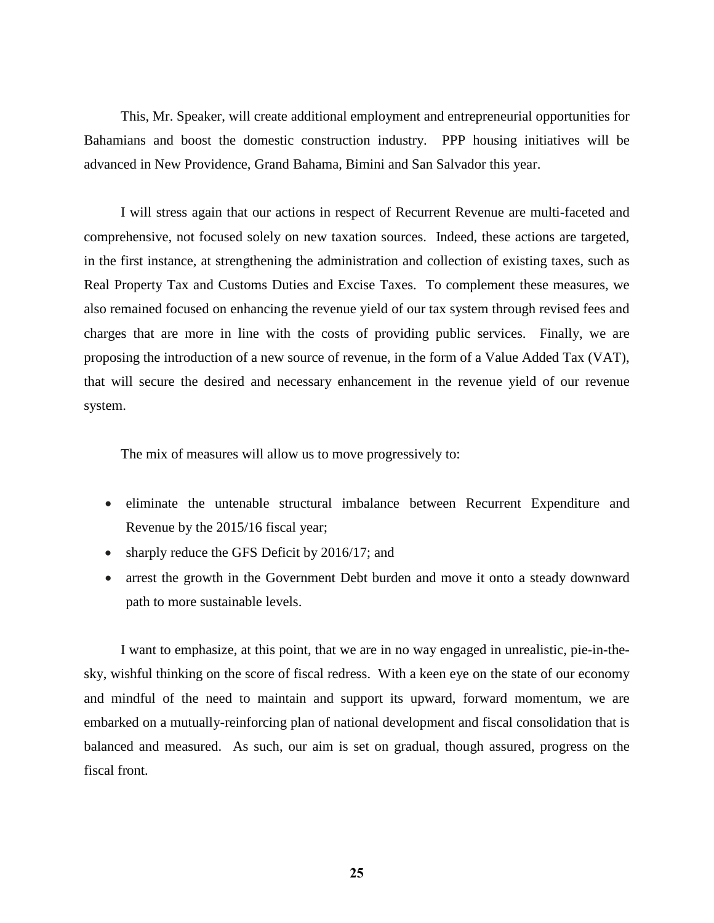This, Mr. Speaker, will create additional employment and entrepreneurial opportunities for Bahamians and boost the domestic construction industry. PPP housing initiatives will be advanced in New Providence, Grand Bahama, Bimini and San Salvador this year.

I will stress again that our actions in respect of Recurrent Revenue are multi-faceted and comprehensive, not focused solely on new taxation sources. Indeed, these actions are targeted, in the first instance, at strengthening the administration and collection of existing taxes, such as Real Property Tax and Customs Duties and Excise Taxes. To complement these measures, we also remained focused on enhancing the revenue yield of our tax system through revised fees and charges that are more in line with the costs of providing public services. Finally, we are proposing the introduction of a new source of revenue, in the form of a Value Added Tax (VAT), that will secure the desired and necessary enhancement in the revenue yield of our revenue system.

The mix of measures will allow us to move progressively to:

- eliminate the untenable structural imbalance between Recurrent Expenditure and Revenue by the 2015/16 fiscal year;
- sharply reduce the GFS Deficit by 2016/17; and
- arrest the growth in the Government Debt burden and move it onto a steady downward path to more sustainable levels.

I want to emphasize, at this point, that we are in no way engaged in unrealistic, pie-in-thesky, wishful thinking on the score of fiscal redress. With a keen eye on the state of our economy and mindful of the need to maintain and support its upward, forward momentum, we are embarked on a mutually-reinforcing plan of national development and fiscal consolidation that is balanced and measured. As such, our aim is set on gradual, though assured, progress on the fiscal front.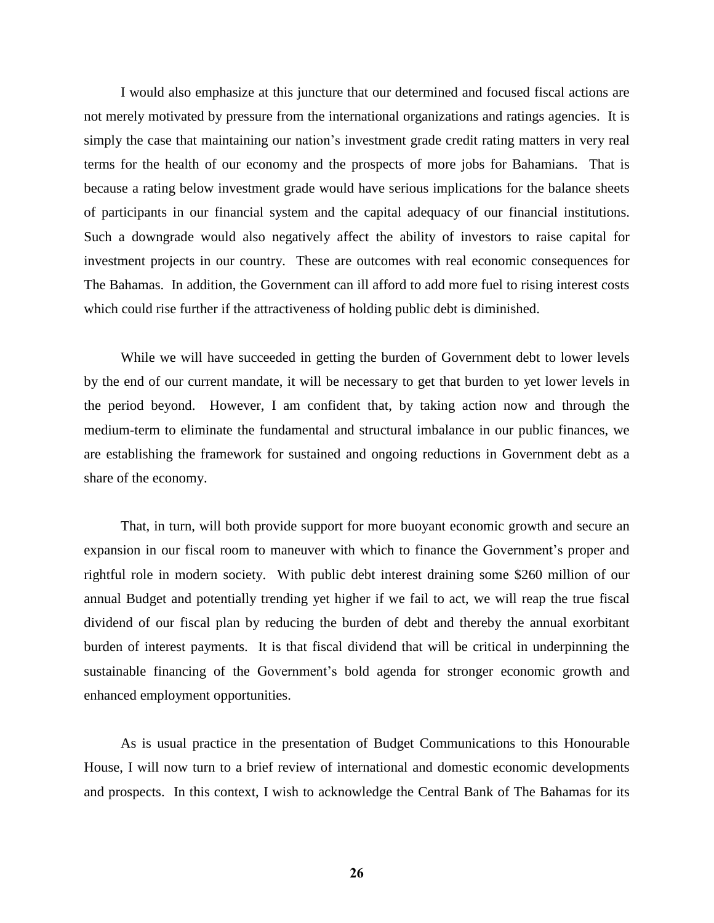I would also emphasize at this juncture that our determined and focused fiscal actions are not merely motivated by pressure from the international organizations and ratings agencies. It is simply the case that maintaining our nation's investment grade credit rating matters in very real terms for the health of our economy and the prospects of more jobs for Bahamians. That is because a rating below investment grade would have serious implications for the balance sheets of participants in our financial system and the capital adequacy of our financial institutions. Such a downgrade would also negatively affect the ability of investors to raise capital for investment projects in our country. These are outcomes with real economic consequences for The Bahamas. In addition, the Government can ill afford to add more fuel to rising interest costs which could rise further if the attractiveness of holding public debt is diminished.

While we will have succeeded in getting the burden of Government debt to lower levels by the end of our current mandate, it will be necessary to get that burden to yet lower levels in the period beyond. However, I am confident that, by taking action now and through the medium-term to eliminate the fundamental and structural imbalance in our public finances, we are establishing the framework for sustained and ongoing reductions in Government debt as a share of the economy.

That, in turn, will both provide support for more buoyant economic growth and secure an expansion in our fiscal room to maneuver with which to finance the Government's proper and rightful role in modern society. With public debt interest draining some \$260 million of our annual Budget and potentially trending yet higher if we fail to act, we will reap the true fiscal di[vidend of o](http://en.wikipedia.org/wiki/Orchid)ur fiscal plan by reducing the burden of debt and thereby the annual exorbitant burden of interest payments. It is that fiscal dividend that will be critical in underpinning the sustainable financing of the Government's bold agenda for stronger economic growth and enhanced employment opportunities.

As is usual practice in the presentation of Budget Communications to this Honourable House, I will now turn to a brief review of international and domestic economic developments and prospects. In this context, I wish to acknowledge the Central Bank of The Bahamas for its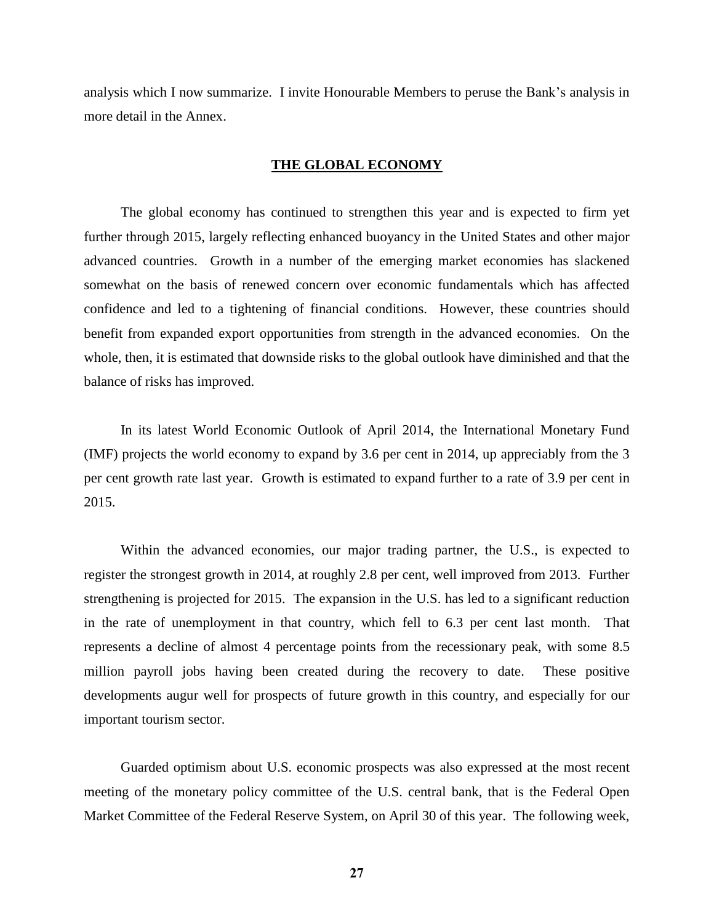analysis which I now summarize. I invite Honourable Members to peruse the Bank's analysis in more detail in the Annex.

#### **THE GLOBAL ECONOMY**

The global economy has continued to strengthen this year and is expected to firm yet further through 2015, largely reflecting enhanced buoyancy in the United States and other major advanced countries. Growth in a number of the emerging market economies has slackened somewhat on the basis of renewed concern over economic fundamentals which has affected confidence and led to a tightening of financial conditions. However, these countries should benefit from expanded export opportunities from strength in the advanced economies. On the whole, then, it is estimated that downside risks to the global outlook have diminished and that the balance of risks has improved.

In its latest World Economic Outlook of April 2014, the International Monetary Fund (IMF) projects the world economy to expand by 3.6 per cent in 2014, up appreciably from the 3 per cent growth rate last year. Growth is estimated to expand further to a rate of 3.9 per cent in 2015.

Within the advanced economies, our major trading partner, the U.S., is expected to register the strongest growth in 2014, at roughly 2.8 per cent, well improved from 2013. Further strengthening is projected for 2015. The expansion in the U.S. has led to a significant reduction in the rate of unemployment in that country, which fell to 6.3 per cent last month. That represents a decline of almost 4 percentage points from the recessionary peak, with some 8.5 million payroll jobs having been created during the recovery to date. These positive developments augur well for prospects of future growth in this country, and especially for our important tourism sector.

Guarded optimism about U.S. economic prospects was also expressed at the most recent meeting of the monetary policy committee of the U.S. central bank, that is the Federal Open Market Committee of the Federal Reserve System, on April 30 of this year. The following week,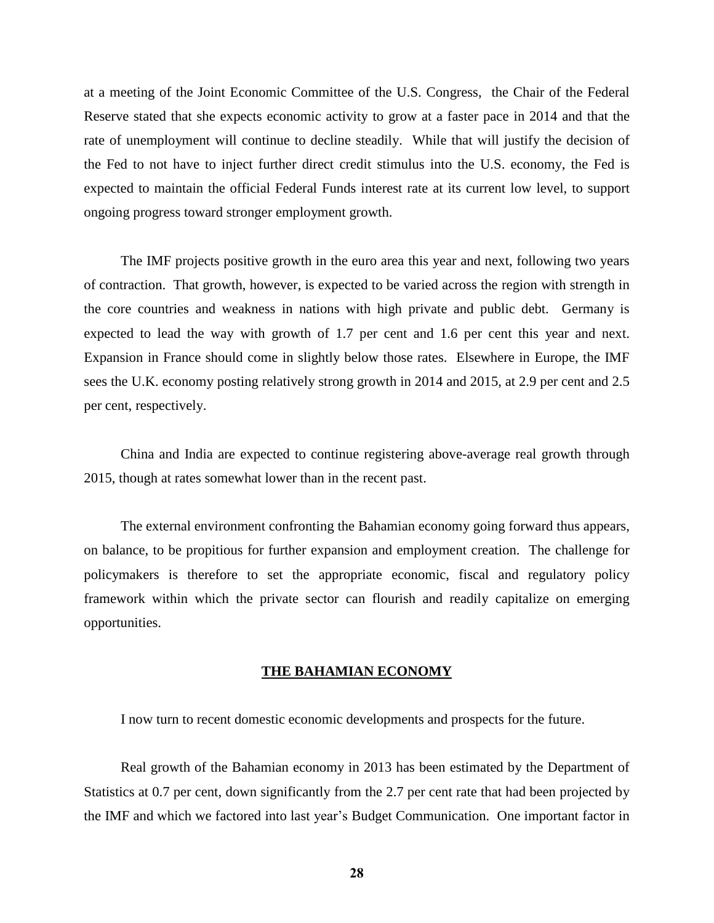at a meeting of the Joint Economic Committee of the U.S. Congress, the Chair of the Federal Reserve stated that she expects economic activity to grow at a faster pace in 2014 and that the rate of unemployment will continue to decline steadily. While that will justify the decision of the Fed to not have to inject further direct credit stimulus into the U.S. economy, the Fed is expected to maintain the official Federal Funds interest rate at its current low level, to support ongoing progress toward stronger employment growth.

The IMF projects positive growth in the euro area this year and next, following two years of contraction. That growth, however, is expected to be varied across the region with strength in the core countries and weakness in nations with high private and public debt. Germany is expected to lead the way with growth of 1.7 per cent and 1.6 per cent this year and next. Expansion in France should come in slightly below those rates. Elsewhere in Europe, the IMF sees the U.K. economy posting relatively strong growth in 2014 and 2015, at 2.9 per cent and 2.5 per cent, respectively.

China and India are expected to continue registering above-average real growth through 2015, though at rates somewhat lower than in the recent past.

The external environment confronting the Bahamian economy going forward thus appears, on balance, to be propitious for further expansion and employment creation. The challenge for policymakers is therefore to set the appropriate economic, fiscal and regulatory policy framework within which the private sector can flourish and readily capitalize on emerging opportunities.

#### **THE BAHAMIAN ECONOMY**

I now turn to recent domestic economic developments and prospects for the future.

Real growth of the Bahamian economy in 2013 has been estimated by the Department of Statistics at 0.7 per cent, down significantly from the 2.7 per cent rate that had been projected by the IMF and which we factored into last year's Budget Communication. One important factor in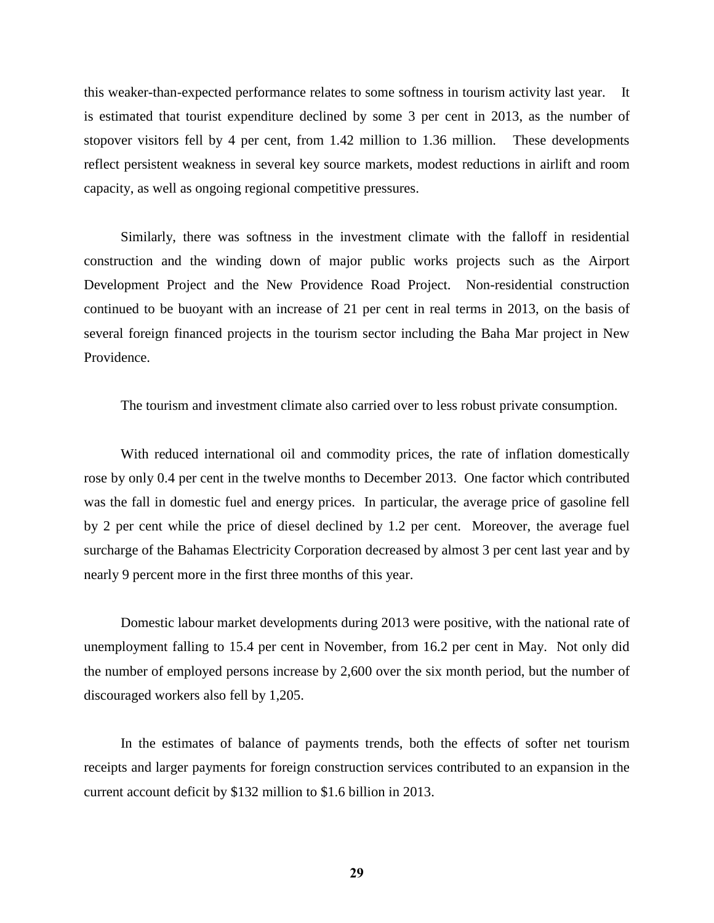this weaker-than-expected performance relates to some softness in tourism activity last year. It is estimated that tourist expenditure declined by some 3 per cent in 2013, as the number of stopover visitors fell by 4 per cent, from 1.42 million to 1.36 million. These developments reflect persistent weakness in several key source markets, modest reductions in airlift and room capacity, as well as ongoing regional competitive pressures.

Similarly, there was softness in the investment climate with the falloff in residential construction and the winding down of major public works projects such as the Airport Development Project and the New Providence Road Project. Non-residential construction continued to be buoyant with an increase of 21 per cent in real terms in 2013, on the basis of several foreign financed projects in the tourism sector including the Baha Mar project in New Providence.

The tourism and investment climate also carried over to less robust private consumption.

With reduced international oil and commodity prices, the rate of inflation domestically rose by only 0.4 per cent in the twelve months to December 2013. One factor which contributed was the fall in domestic fuel and energy prices. In particular, the average price of gasoline fell by 2 per cent while the price of diesel declined by 1.2 per cent. Moreover, the average fuel surcharge of the Bahamas Electricity Corporation decreased by almost 3 per cent last year and by nearly 9 percent more in the first three months of this year.

Domestic labour market developments during 2013 were positive, with the national rate of unemployment falling to 15.4 per cent in November, from 16.2 per cent in May. Not only did the number of employed persons increase by 2,600 over the six month period, but the number of discouraged workers also fell by 1,205.

In the estimates of balance of payments trends, both the effects of softer net tourism receipts and larger payments for foreign construction services contributed to an expansion in the current account deficit by \$132 million to \$1.6 billion in 2013.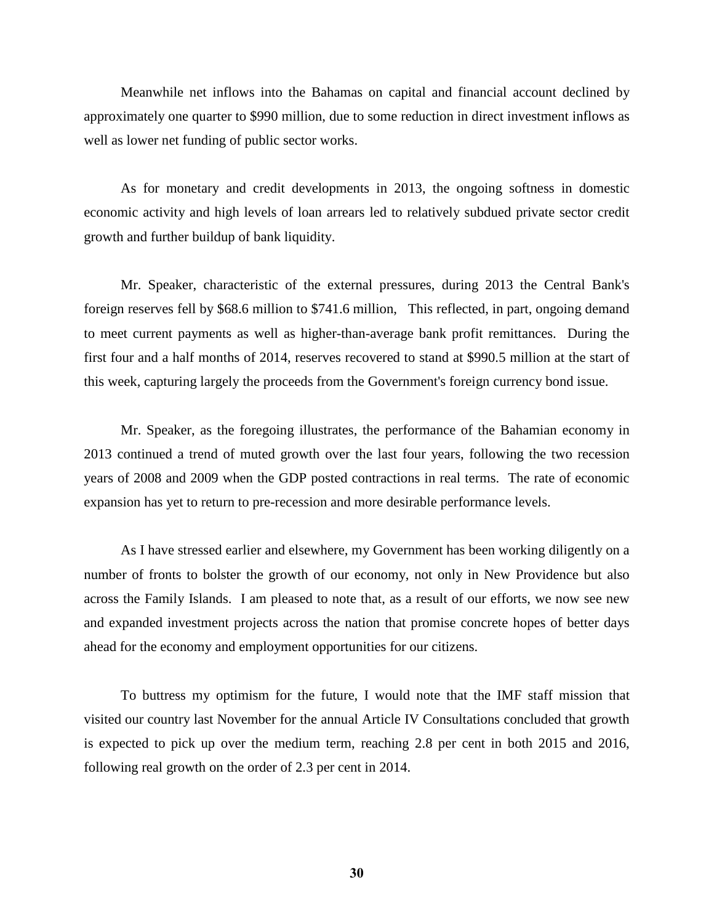Meanwhile net inflows into the Bahamas on capital and financial account declined by approximately one quarter to \$990 million, due to some reduction in direct investment inflows as well as lower net funding of public sector works.

As for monetary and credit developments in 2013, the ongoing softness in domestic economic activity and high levels of loan arrears led to relatively subdued private sector credit growth and further buildup of bank liquidity.

Mr. Speaker, characteristic of the external pressures, during 2013 the Central Bank's foreign reserves fell by \$68.6 million to \$741.6 million, This reflected, in part, ongoing demand to meet current payments as well as higher-than-average bank profit remittances. During the first four and a half months of 2014, reserves recovered to stand at \$990.5 million at the start of this week, capturing largely the proceeds from the Government's foreign currency bond issue.

Mr. Speaker, as the foregoing illustrates, the performance of the Bahamian economy in 2013 continued a trend of muted growth over the last four years, following the two recession years of 2008 and 2009 when the GDP posted contractions in real terms. The rate of economic expansion has yet to return to pre-recession and more desirable performance levels.

As I have stressed earlier and elsewhere, my Government has been working diligently on a number of fronts to bolster the growth of our economy, not only in New Providence but also across the Family Islands. I am pleased to note that, as a result of our efforts, we now see new and expanded investment projects across the nation that promise concrete hopes of better days ahead for the economy and employment opportunities for our citizens.

To buttress my optimism for the future, I would note that the IMF staff mission that visited our country last November for the annual Article IV Consultations concluded that growth is expected to pick up over the medium term, reaching 2.8 per cent in both 2015 and 2016, following real growth on the order of 2.3 per cent in 2014.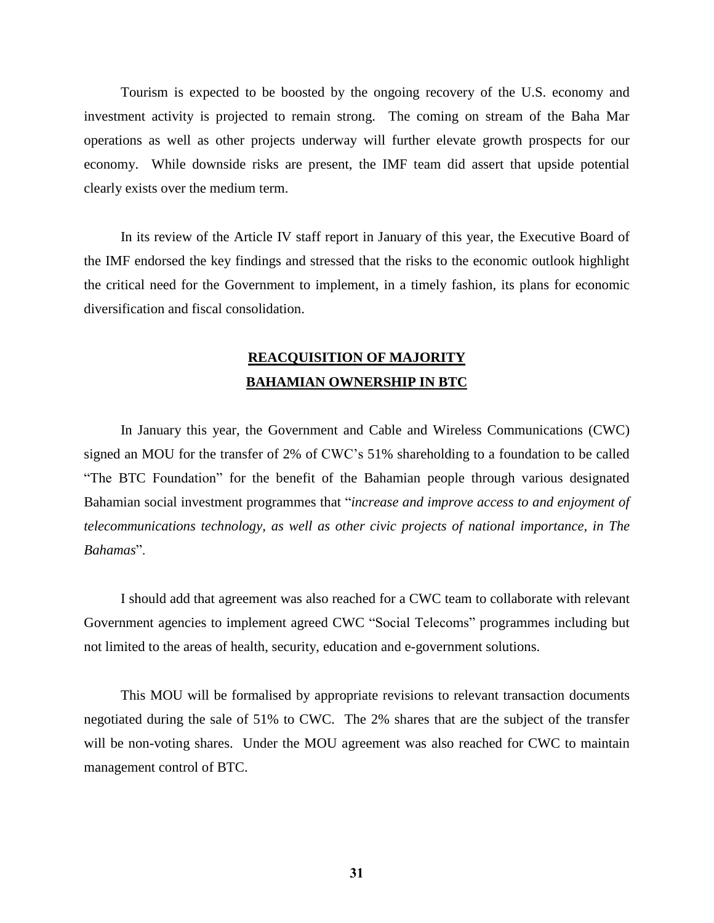Tourism is expected to be boosted by the ongoing recovery of the U.S. economy and investment activity is projected to remain strong. The coming on stream of the Baha Mar operations as well as other projects underway will further elevate growth prospects for our economy. While downside risks are present, the IMF team did assert that upside potential clearly exists over the medium term.

In its review of the Article IV staff report in January of this year, the Executive Board of the IMF endorsed the key findings and stressed that the risks to the economic outlook highlight the critical need for the Government to implement, in a timely fashion, its plans for economic diversification and fiscal consolidation.

# **REACQUISITION OF MAJORITY BAHAMIAN OWNERSHIP IN BTC**

In January this year, the Government and Cable and Wireless Communications (CWC) signed an MOU for the transfer of 2% of CWC's 51% shareholding to a foundation to be called "The BTC Foundation" for the benefit of the Bahamian people through various designated Bahamian social investment programmes that "*increase and improve access to and enjoyment of telecommunications technology, as well as other civic projects of national importance, in The Bahamas*".

I should add that agreement was also reached for a CWC team to collaborate with relevant Government agencies to implement agreed CWC "Social Telecoms" programmes including but not limited to the areas of health, security, education and e-government solutions.

This MOU will be formalised by appropriate revisions to relevant transaction documents negotiated during the sale of 51% to CWC. The 2% shares that are the subject of the transfer will be non-voting shares. Under the MOU agreement was also reached for CWC to maintain management control of BTC.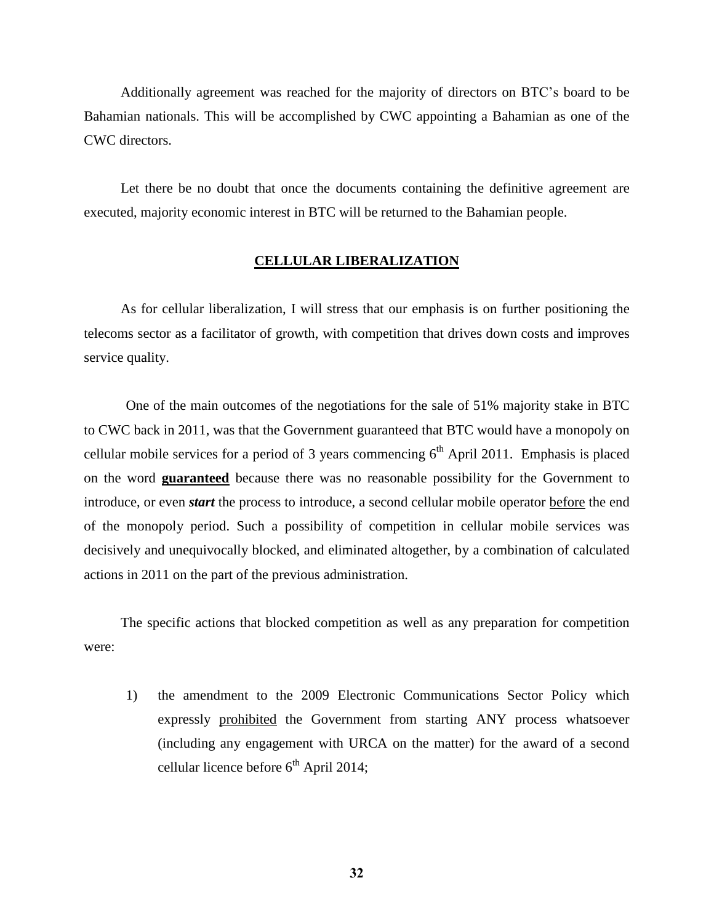Additionally agreement was reached for the majority of directors on BTC's board to be Bahamian nationals. This will be accomplished by CWC appointing a Bahamian as one of the CWC directors.

Let there be no doubt that once the documents containing the definitive agreement are executed, majority economic interest in BTC will be returned to the Bahamian people.

#### **CELLULAR LIBERALIZATION**

As for cellular liberalization, I will stress that our emphasis is on further positioning the telecoms sector as a facilitator of growth, with competition that drives down costs and improves service quality.

One of the main outcomes of the negotiations for the sale of 51% majority stake in BTC to CWC back in 2011, was that the Government guaranteed that BTC would have a monopoly on cellular mobile services for a period of 3 years commencing  $6<sup>th</sup>$  April 2011. Emphasis is placed on the word **guaranteed** because there was no reasonable possibility for the Government to introduce, or even *start* the process to introduce, a second cellular mobile operator before the end of the monopoly period. Such a possibility of competition in cellular mobile services was decisively and unequivocally blocked, and eliminated altogether, by a combination of calculated actions in 2011 on the part of the previous administration.

The specific actions that blocked competition as well as any preparation for competition were:

1) the amendment to the 2009 Electronic Communications Sector Policy which expressly prohibited the Government from starting ANY process whatsoever (including any engagement with URCA on the matter) for the award of a second cellular licence before  $6<sup>th</sup>$  April 2014;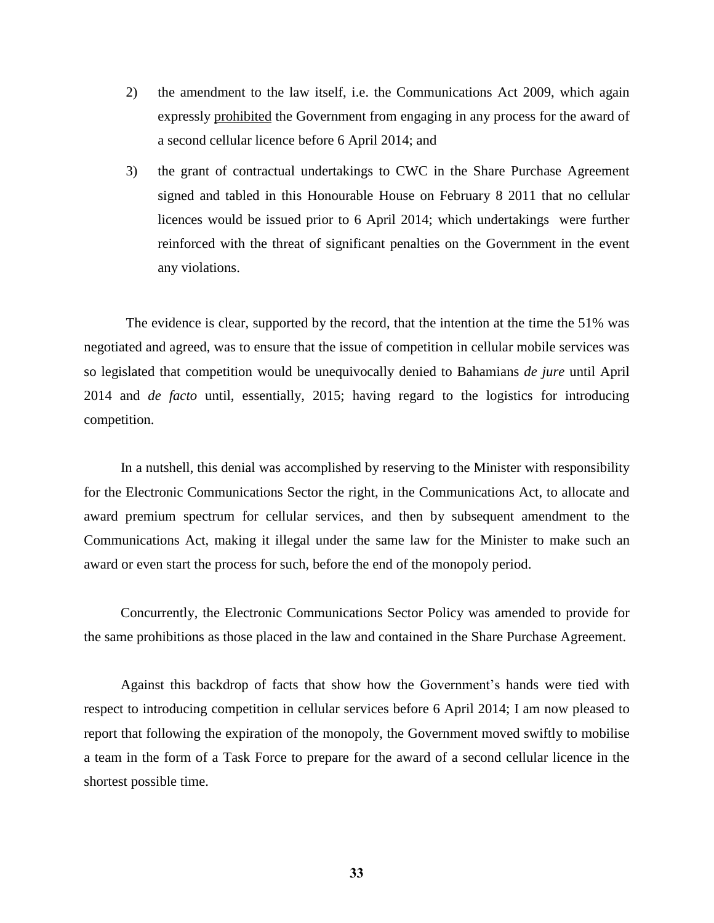- 2) the amendment to the law itself, i.e. the Communications Act 2009, which again expressly prohibited the Government from engaging in any process for the award of a second cellular licence before 6 April 2014; and
- 3) the grant of contractual undertakings to CWC in the Share Purchase Agreement signed and tabled in this Honourable House on February 8 2011 that no cellular licences would be issued prior to 6 April 2014; which undertakings were further reinforced with the threat of significant penalties on the Government in the event any violations.

The evidence is clear, supported by the record, that the intention at the time the 51% was negotiated and agreed, was to ensure that the issue of competition in cellular mobile services was so legislated that competition would be unequivocally denied to Bahamians *de jure* until April 2014 and *de facto* until, essentially, 2015; having regard to the logistics for introducing competition.

In a nutshell, this denial was accomplished by reserving to the Minister with responsibility for the Electronic Communications Sector the right, in the Communications Act, to allocate and award premium spectrum for cellular services, and then by subsequent amendment to the Communications Act, making it illegal under the same law for the Minister to make such an award or even start the process for such, before the end of the monopoly period.

Concurrently, the Electronic Communications Sector Policy was amended to provide for the same prohibitions as those placed in the law and contained in the Share Purchase Agreement.

Against this backdrop of facts that show how the Government's hands were tied with respect to introducing competition in cellular services before 6 April 2014; I am now pleased to report that following the expiration of the monopoly, the Government moved swiftly to mobilise a team in the form of a Task Force to prepare for the award of a second cellular licence in the shortest possible time.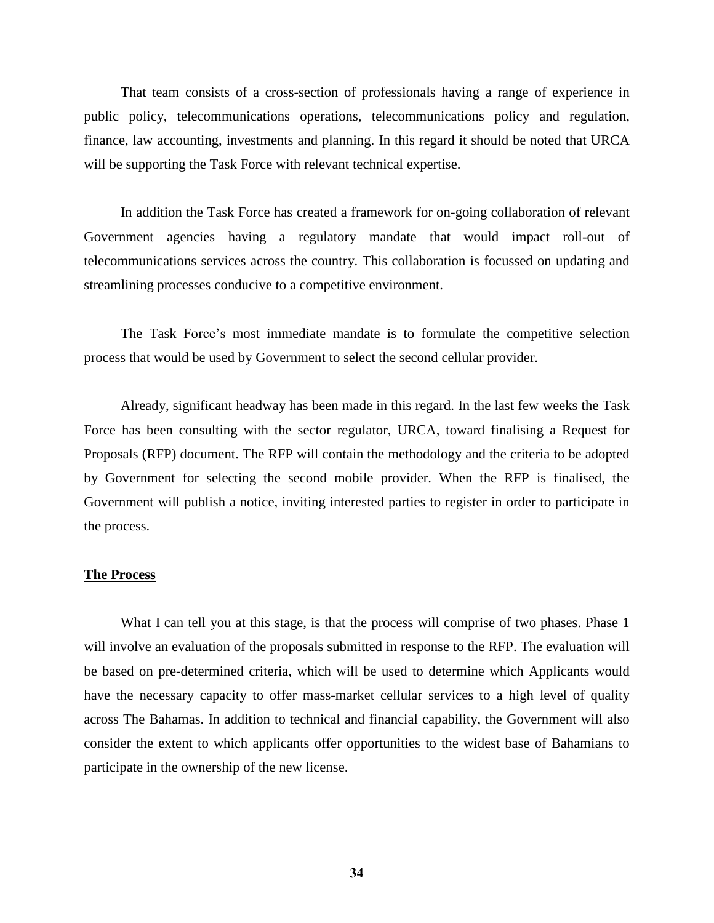That team consists of a cross-section of professionals having a range of experience in public policy, telecommunications operations, telecommunications policy and regulation, finance, law accounting, investments and planning. In this regard it should be noted that URCA will be supporting the Task Force with relevant technical expertise.

In addition the Task Force has created a framework for on-going collaboration of relevant Government agencies having a regulatory mandate that would impact roll-out of telecommunications services across the country. This collaboration is focussed on updating and streamlining processes conducive to a competitive environment.

The Task Force's most immediate mandate is to formulate the competitive selection process that would be used by Government to select the second cellular provider.

Already, significant headway has been made in this regard. In the last few weeks the Task Force has been consulting with the sector regulator, URCA, toward finalising a Request for Proposals (RFP) document. The RFP will contain the methodology and the criteria to be adopted by Government for selecting the second mobile provider. When the RFP is finalised, the Government will publish a notice, inviting interested parties to register in order to participate in the process.

#### **The Process**

What I can tell you at this stage, is that the process will comprise of two phases. Phase 1 will involve an evaluation of the proposals submitted in response to the RFP. The evaluation will be based on pre-determined criteria, which will be used to determine which Applicants would have the necessary capacity to offer mass-market cellular services to a high level of quality across The Bahamas. In addition to technical and financial capability, the Government will also consider the extent to which applicants offer opportunities to the widest base of Bahamians to participate in the ownership of the new license.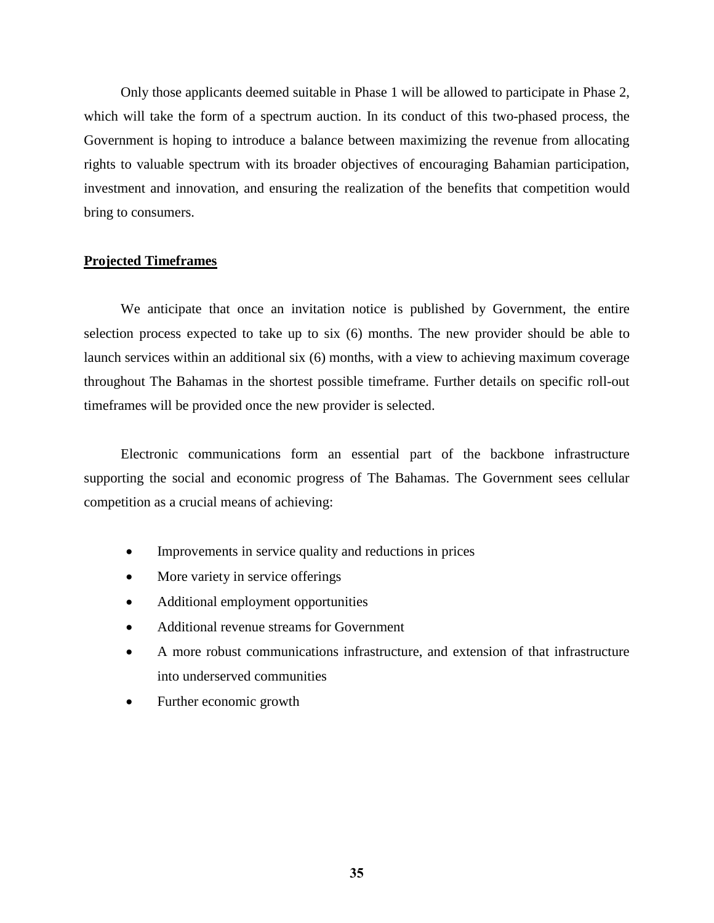Only those applicants deemed suitable in Phase 1 will be allowed to participate in Phase 2, which will take the form of a spectrum auction. In its conduct of this two-phased process, the Government is hoping to introduce a balance between maximizing the revenue from allocating rights to valuable spectrum with its broader objectives of encouraging Bahamian participation, investment and innovation, and ensuring the realization of the benefits that competition would bring to consumers.

## **Projected Timeframes**

We anticipate that once an invitation notice is published by Government, the entire selection process expected to take up to six (6) months. The new provider should be able to launch services within an additional six (6) months, with a view to achieving maximum coverage throughout The Bahamas in the shortest possible timeframe. Further details on specific roll-out timeframes will be provided once the new provider is selected.

Electronic communications form an essential part of the backbone infrastructure supporting the social and economic progress of The Bahamas. The Government sees cellular competition as a crucial means of achieving:

- Improvements in service quality and reductions in prices
- More variety in service offerings
- Additional employment opportunities
- Additional revenue streams for Government
- A more robust communications infrastructure, and extension of that infrastructure into underserved communities
- Further economic growth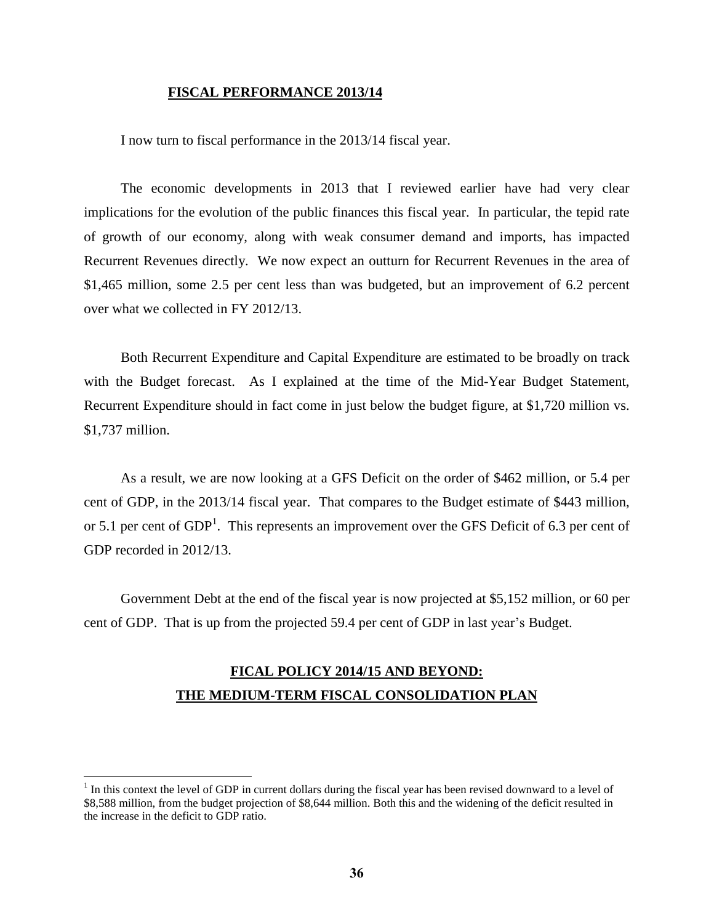#### **FISCAL PERFORMANCE 2013/14**

I now turn to fiscal performance in the 2013/14 fiscal year.

The economic developments in 2013 that I reviewed earlier have had very clear implications for the evolution of the public finances this fiscal year. In particular, the tepid rate of growth of our economy, along with weak consumer demand and imports, has impacted Recurrent Revenues directly. We now expect an outturn for Recurrent Revenues in the area of \$1,465 million, some 2.5 per cent less than was budgeted, but an improvement of 6.2 percent over what we collected in FY 2012/13.

Both Recurrent Expenditure and Capital Expenditure are estimated to be broadly on track with the Budget forecast. As I explained at the time of the Mid-Year Budget Statement, Recurrent Expenditure should in fact come in just below the budget figure, at \$1,720 million vs. \$1,737 million.

As a result, we are now looking at a GFS Deficit on the order of \$462 million, or 5.4 per cent of GDP, in the 2013/14 fiscal year. That compares to the Budget estimate of \$443 million, or 5.1 per cent of  $GDP<sup>1</sup>$ . This represents an improvement over the GFS Deficit of 6.3 per cent of GDP recorded in 2012/13.

Government Debt at the end of the fiscal year is now projected at \$5,152 million, or 60 per cent of GDP. That is up from the projected 59.4 per cent of GDP in last year's Budget.

## **FICAL POLICY 2014/15 AND BEYOND: THE MEDIUM-TERM FISCAL CONSOLIDATION PLAN**

 $\overline{a}$ 

 $1$  In this context the level of GDP in current dollars during the fiscal year has been revised downward to a level of \$8,588 million, from the budget projection of \$8,644 million. Both this and the widening of the deficit resulted in the increase in the deficit to GDP ratio.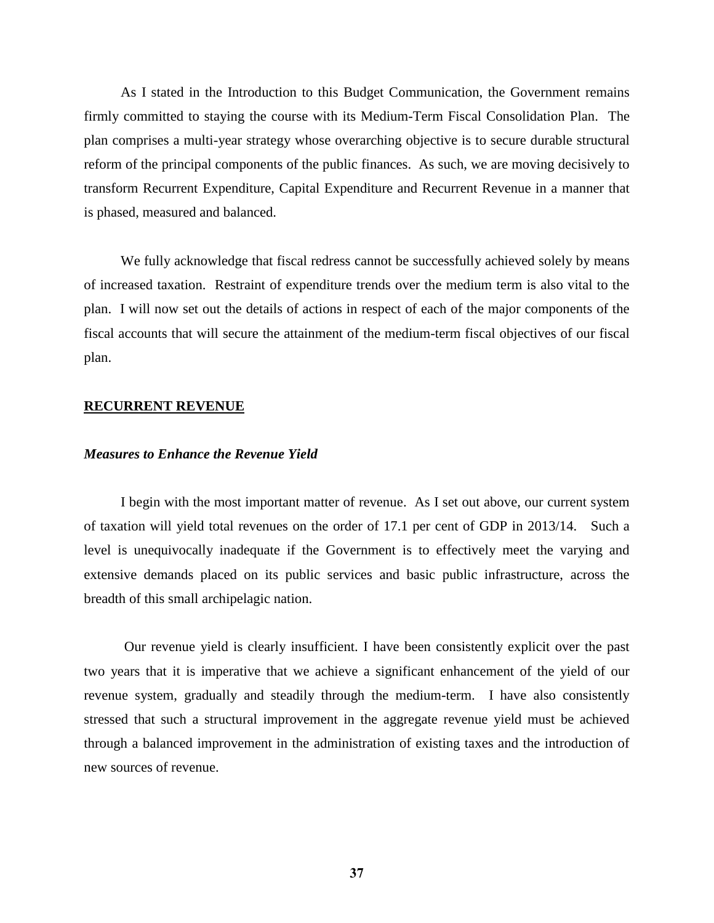As I stated in the Introduction to this Budget Communication, the Government remains firmly committed to staying the course with its Medium-Term Fiscal Consolidation Plan. The plan comprises a multi-year strategy whose overarching objective is to secure durable structural reform of the principal components of the public finances. As such, we are moving decisively to transform Recurrent Expenditure, Capital Expenditure and Recurrent Revenue in a manner that is phased, measured and balanced.

We fully acknowledge that fiscal redress cannot be successfully achieved solely by means of increased taxation. Restraint of expenditure trends over the medium term is also vital to the plan. I will now set out the details of actions in respect of each of the major components of the fiscal accounts that will secure the attainment of the medium-term fiscal objectives of our fiscal plan.

## **RECURRENT REVENUE**

## *Measures to Enhance the Revenue Yield*

I begin with the most important matter of revenue. As I set out above, our current system of taxation will yield total revenues on the order of 17.1 per cent of GDP in 2013/14. Such a level is unequivocally inadequate if the Government is to effectively meet the varying and extensive demands placed on its public services and basic public infrastructure, across the breadth of this small archipelagic nation.

Our revenue yield is clearly insufficient. I have been consistently explicit over the past two years that it is imperative that we achieve a significant enhancement of the yield of our revenue system, gradually and steadily through the medium-term. I have also consistently stressed that such a structural improvement in the aggregate revenue yield must be achieved through a balanced improvement in the administration of existing taxes and the introduction of new sources of revenue.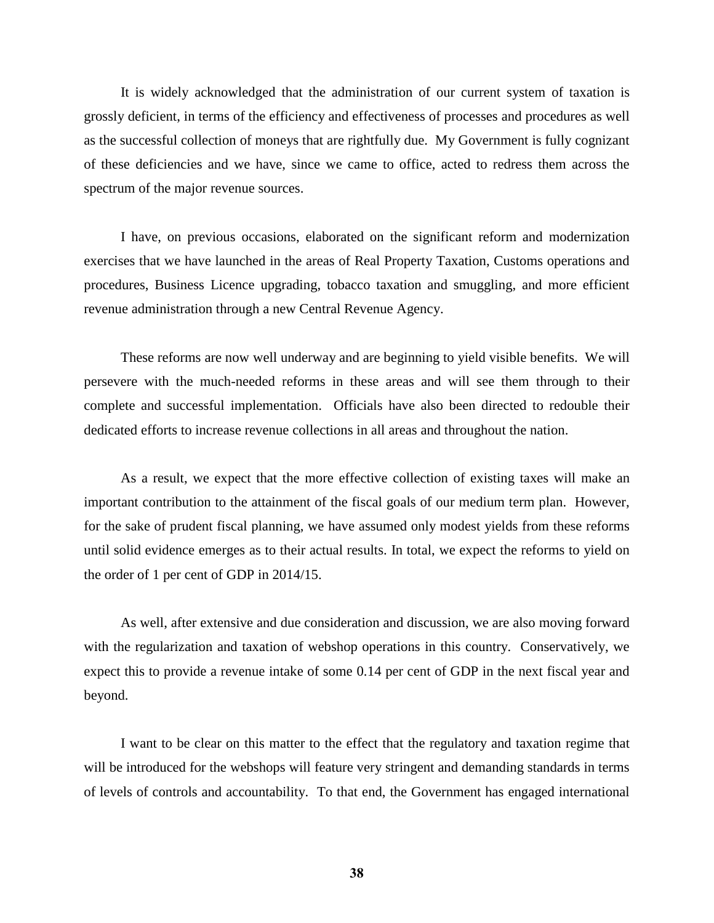It is widely acknowledged that the administration of our current system of taxation is grossly deficient, in terms of the efficiency and effectiveness of processes and procedures as well as the successful collection of moneys that are rightfully due. My Government is fully cognizant of these deficiencies and we have, since we came to office, acted to redress them across the spectrum of the major revenue sources.

I have, on previous occasions, elaborated on the significant reform and modernization exercises that we have launched in the areas of Real Property Taxation, Customs operations and procedures, Business Licence upgrading, tobacco taxation and smuggling, and more efficient revenue administration through a new Central Revenue Agency.

These reforms are now well underway and are beginning to yield visible benefits. We will persevere with the much-needed reforms in these areas and will see them through to their complete and successful implementation. Officials have also been directed to redouble their dedicated efforts to increase revenue collections in all areas and throughout the nation.

As a result, we expect that the more effective collection of existing taxes will make an important contribution to the attainment of the fiscal goals of our medium term plan. However, for the sake of prudent fiscal planning, we have assumed only modest yields from these reforms until solid evidence emerges as to their actual results. In total, we expect the reforms to yield on the order of 1 per cent of GDP in 2014/15.

As well, after extensive and due consideration and discussion, we are also moving forward with the regularization and taxation of webshop operations in this country. Conservatively, we expect this to provide a revenue intake of some 0.14 per cent of GDP in the next fiscal year and beyond.

I want to be clear on this matter to the effect that the regulatory and taxation regime that will be introduced for the webshops will feature very stringent and demanding standards in terms of levels of controls and accountability. To that end, the Government has engaged international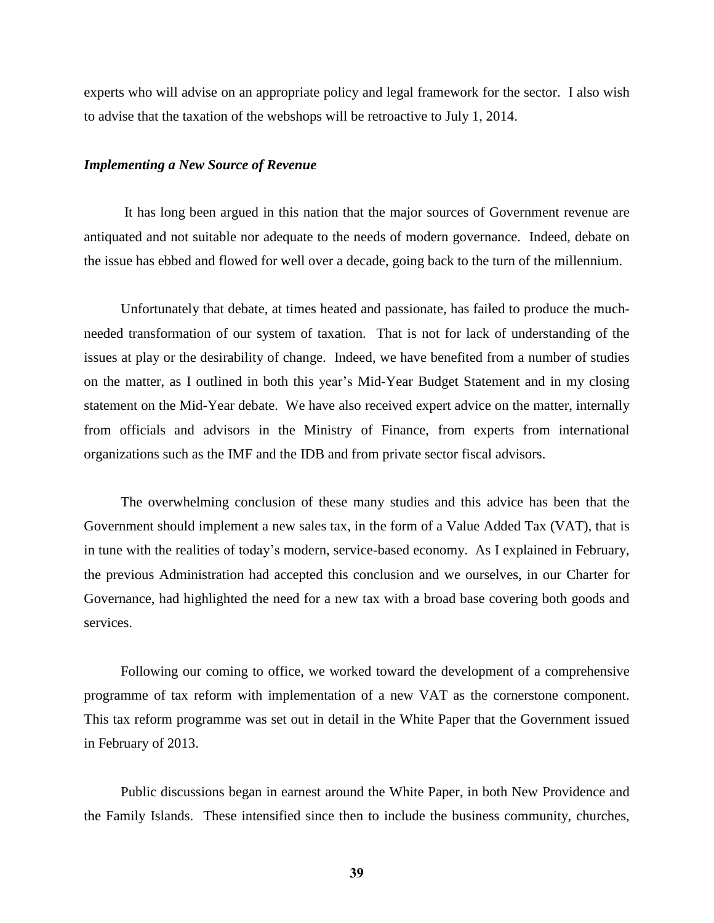experts who will advise on an appropriate policy and legal framework for the sector. I also wish to advise that the taxation of the webshops will be retroactive to July 1, 2014.

#### *Implementing a New Source of Revenue*

It has long been argued in this nation that the major sources of Government revenue are antiquated and not suitable nor adequate to the needs of modern governance. Indeed, debate on the issue has ebbed and flowed for well over a decade, going back to the turn of the millennium.

Unfortunately that debate, at times heated and passionate, has failed to produce the muchneeded transformation of our system of taxation. That is not for lack of understanding of the issues at play or the desirability of change. Indeed, we have benefited from a number of studies on the matter, as I outlined in both this year's Mid-Year Budget Statement and in my closing statement on the Mid-Year debate. We have also received expert advice on the matter, internally from officials and advisors in the Ministry of Finance, from experts from international organizations such as the IMF and the IDB and from private sector fiscal advisors.

The overwhelming conclusion of these many studies and this advice has been that the Government should implement a new sales tax, in the form of a Value Added Tax (VAT), that is in tune with the realities of today's modern, service-based economy. As I explained in February, the previous Administration had accepted this conclusion and we ourselves, in our Charter for Governance, had highlighted the need for a new tax with a broad base covering both goods and services.

Following our coming to office, we worked toward the development of a comprehensive programme of tax reform with implementation of a new VAT as the cornerstone component. This tax reform programme was set out in detail in the White Paper that the Government issued in February of 2013.

Public discussions began in earnest around the White Paper, in both New Providence and the Family Islands. These intensified since then to include the business community, churches,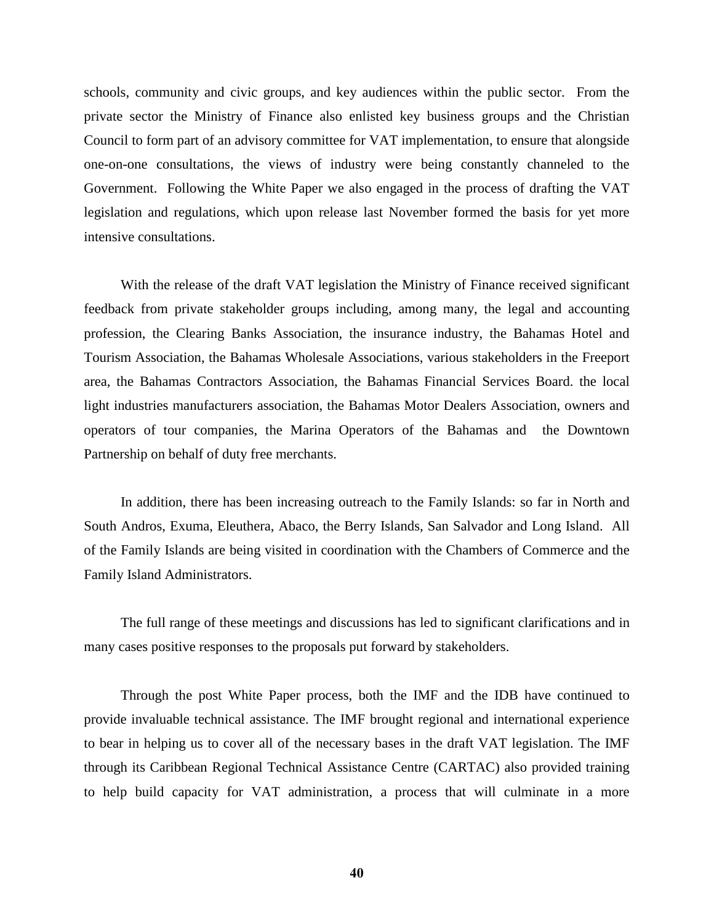schools, community and civic groups, and key audiences within the public sector. From the private sector the Ministry of Finance also enlisted key business groups and the Christian Council to form part of an advisory committee for VAT implementation, to ensure that alongside one-on-one consultations, the views of industry were being constantly channeled to the Government. Following the White Paper we also engaged in the process of drafting the VAT legislation and regulations, which upon release last November formed the basis for yet more intensive consultations.

With the release of the draft VAT legislation the Ministry of Finance received significant feedback from private stakeholder groups including, among many, the legal and accounting profession, the Clearing Banks Association, the insurance industry, the Bahamas Hotel and Tourism Association, the Bahamas Wholesale Associations, various stakeholders in the Freeport area, the Bahamas Contractors Association, the Bahamas Financial Services Board. the local light industries manufacturers association, the Bahamas Motor Dealers Association, owners and operators of tour companies, the Marina Operators of the Bahamas and the Downtown Partnership on behalf of duty free merchants.

In addition, there has been increasing outreach to the Family Islands: so far in North and South Andros, Exuma, Eleuthera, Abaco, the Berry Islands, San Salvador and Long Island. All of the Family Islands are being visited in coordination with the Chambers of Commerce and the Family Island Administrators.

The full range of these meetings and discussions has led to significant clarifications and in many cases positive responses to the proposals put forward by stakeholders.

Through the post White Paper process, both the IMF and the IDB have continued to provide invaluable technical assistance. The IMF brought regional and international experience to bear in helping us to cover all of the necessary bases in the draft VAT legislation. The IMF through its Caribbean Regional Technical Assistance Centre (CARTAC) also provided training to help build capacity for VAT administration, a process that will culminate in a more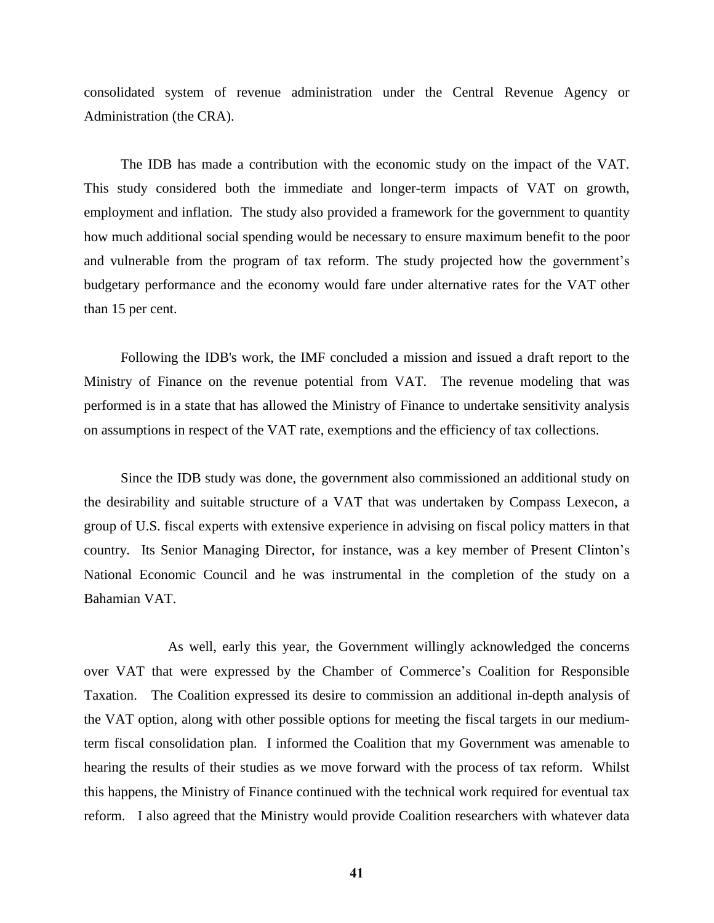consolidated system of revenue administration under the Central Revenue Agency or Administration (the CRA).

The IDB has made a contribution with the economic study on the impact of the VAT. This study considered both the immediate and longer-term impacts of VAT on growth, employment and inflation. The study also provided a framework for the government to quantity how much additional social spending would be necessary to ensure maximum benefit to the poor and vulnerable from the program of tax reform. The study projected how the government's budgetary performance and the economy would fare under alternative rates for the VAT other than 15 per cent.

Following the IDB's work, the IMF concluded a mission and issued a draft report to the Ministry of Finance on the revenue potential from VAT. The revenue modeling that was performed is in a state that has allowed the Ministry of Finance to undertake sensitivity analysis on assumptions in respect of the VAT rate, exemptions and the efficiency of tax collections.

Since the IDB study was done, the government also commissioned an additional study on the desirability and suitable structure of a VAT that was undertaken by Compass Lexecon, a group of U.S. fiscal experts with extensive experience in advising on fiscal policy matters in that country. Its Senior Managing Director, for instance, was a key member of Present Clinton's National Economic Council and he was instrumental in the completion of the study on a Bahamian VAT.

As well, early this year, the Government willingly acknowledged the concerns over VAT that were expressed by the Chamber of Commerce's Coalition for Responsible Taxation. The Coalition expressed its desire to commission an additional in-depth analysis of the VAT option, along with other possible options for meeting the fiscal targets in our mediumterm fiscal consolidation plan. I informed the Coalition that my Government was amenable to hearing the results of their studies as we move forward with the process of tax reform. Whilst this happens, the Ministry of Finance continued with the technical work required for eventual tax reform. I also agreed that the Ministry would provide Coalition researchers with whatever data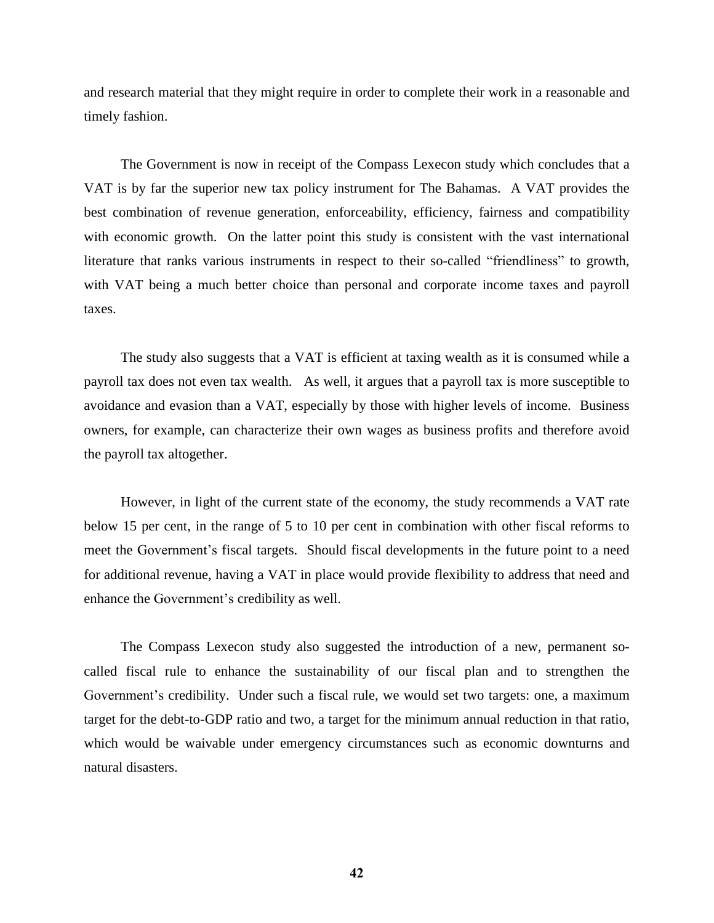and research material that they might require in order to complete their work in a reasonable and timely fashion.

The Government is now in receipt of the Compass Lexecon study which concludes that a VAT is by far the superior new tax policy instrument for The Bahamas. A VAT provides the best combination of revenue generation, enforceability, efficiency, fairness and compatibility with economic growth. On the latter point this study is consistent with the vast international literature that ranks various instruments in respect to their so-called "friendliness" to growth, with VAT being a much better choice than personal and corporate income taxes and payroll taxes.

The study also suggests that a VAT is efficient at taxing wealth as it is consumed while a payroll tax does not even tax wealth. As well, it argues that a payroll tax is more susceptible to avoidance and evasion than a VAT, especially by those with higher levels of income. Business owners, for example, can characterize their own wages as business profits and therefore avoid the payroll tax altogether.

However, in light of the current state of the economy, the study recommends a VAT rate below 15 per cent, in the range of 5 to 10 per cent in combination with other fiscal reforms to meet the Government's fiscal targets. Should fiscal developments in the future point to a need for additional revenue, having a VAT in place would provide flexibility to address that need and enhance the Government's credibility as well.

The Compass Lexecon study also suggested the introduction of a new, permanent socalled fiscal rule to enhance the sustainability of our fiscal plan and to strengthen the Government's credibility. Under such a fiscal rule, we would set two targets: one, a maximum target for the debt-to-GDP ratio and two, a target for the minimum annual reduction in that ratio, which would be waivable under emergency circumstances such as economic downturns and natural disasters.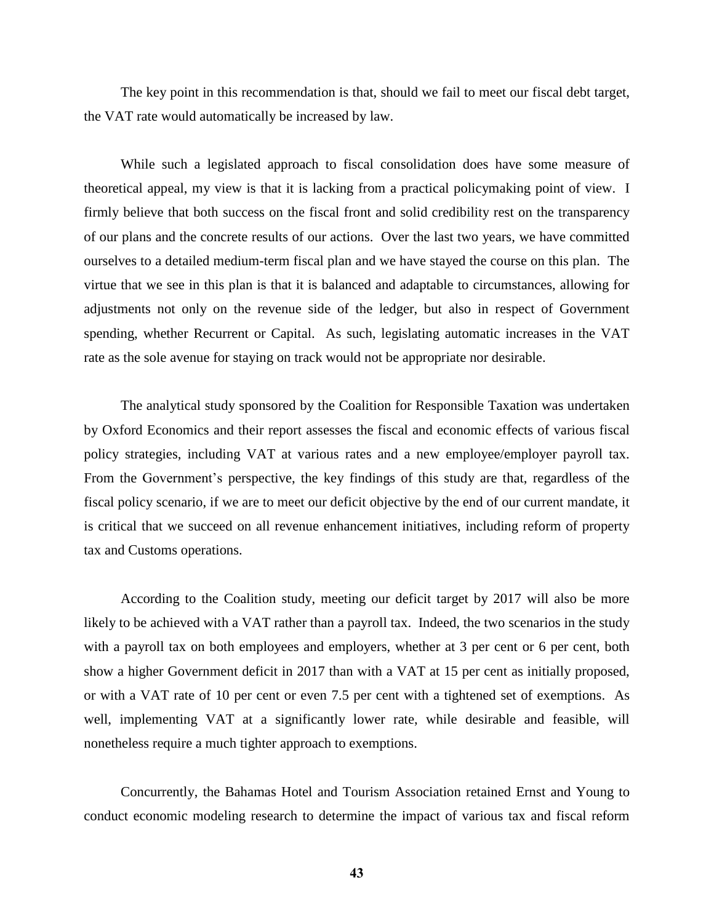The key point in this recommendation is that, should we fail to meet our fiscal debt target, the VAT rate would automatically be increased by law.

While such a legislated approach to fiscal consolidation does have some measure of theoretical appeal, my view is that it is lacking from a practical policymaking point of view. I firmly believe that both success on the fiscal front and solid credibility rest on the transparency of our plans and the concrete results of our actions. Over the last two years, we have committed ourselves to a detailed medium-term fiscal plan and we have stayed the course on this plan. The virtue that we see in this plan is that it is balanced and adaptable to circumstances, allowing for adjustments not only on the revenue side of the ledger, but also in respect of Government spending, whether Recurrent or Capital. As such, legislating automatic increases in the VAT rate as the sole avenue for staying on track would not be appropriate nor desirable.

The analytical study sponsored by the Coalition for Responsible Taxation was undertaken by Oxford Economics and their report assesses the fiscal and economic effects of various fiscal policy strategies, including VAT at various rates and a new employee/employer payroll tax. From the Government's perspective, the key findings of this study are that, regardless of the fiscal policy scenario, if we are to meet our deficit objective by the end of our current mandate, it is critical that we succeed on all revenue enhancement initiatives, including reform of property tax and Customs operations.

According to the Coalition study, meeting our deficit target by 2017 will also be more likely to be achieved with a VAT rather than a payroll tax. Indeed, the two scenarios in the study with a payroll tax on both employees and employers, whether at 3 per cent or 6 per cent, both show a higher Government deficit in 2017 than with a VAT at 15 per cent as initially proposed, or with a VAT rate of 10 per cent or even 7.5 per cent with a tightened set of exemptions. As well, implementing VAT at a significantly lower rate, while desirable and feasible, will nonetheless require a much tighter approach to exemptions.

Concurrently, the Bahamas Hotel and Tourism Association retained Ernst and Young to conduct economic modeling research to determine the impact of various tax and fiscal reform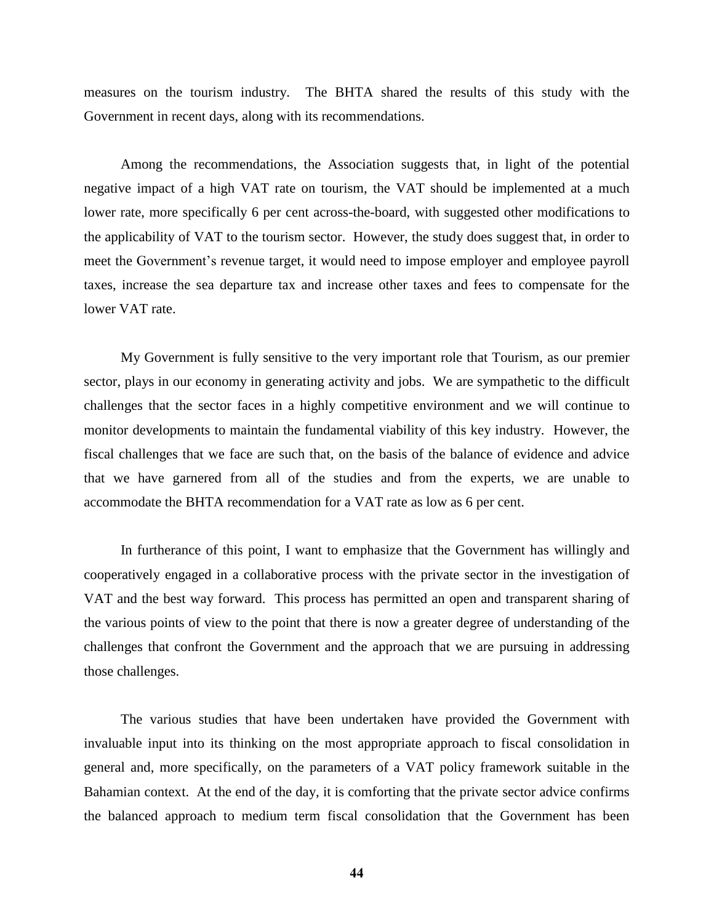measures on the tourism industry. The BHTA shared the results of this study with the Government in recent days, along with its recommendations.

Among the recommendations, the Association suggests that, in light of the potential negative impact of a high VAT rate on tourism, the VAT should be implemented at a much lower rate, more specifically 6 per cent across-the-board, with suggested other modifications to the applicability of VAT to the tourism sector. However, the study does suggest that, in order to meet the Government's revenue target, it would need to impose employer and employee payroll taxes, increase the sea departure tax and increase other taxes and fees to compensate for the lower VAT rate.

My Government is fully sensitive to the very important role that Tourism, as our premier sector, plays in our economy in generating activity and jobs. We are sympathetic to the difficult challenges that the sector faces in a highly competitive environment and we will continue to monitor developments to maintain the fundamental viability of this key industry. However, the fiscal challenges that we face are such that, on the basis of the balance of evidence and advice that we have garnered from all of the studies and from the experts, we are unable to accommodate the BHTA recommendation for a VAT rate as low as 6 per cent.

In furtherance of this point, I want to emphasize that the Government has willingly and cooperatively engaged in a collaborative process with the private sector in the investigation of VAT and the best way forward. This process has permitted an open and transparent sharing of the various points of view to the point that there is now a greater degree of understanding of the challenges that confront the Government and the approach that we are pursuing in addressing those challenges.

The various studies that have been undertaken have provided the Government with invaluable input into its thinking on the most appropriate approach to fiscal consolidation in general and, more specifically, on the parameters of a VAT policy framework suitable in the Bahamian context. At the end of the day, it is comforting that the private sector advice confirms the balanced approach to medium term fiscal consolidation that the Government has been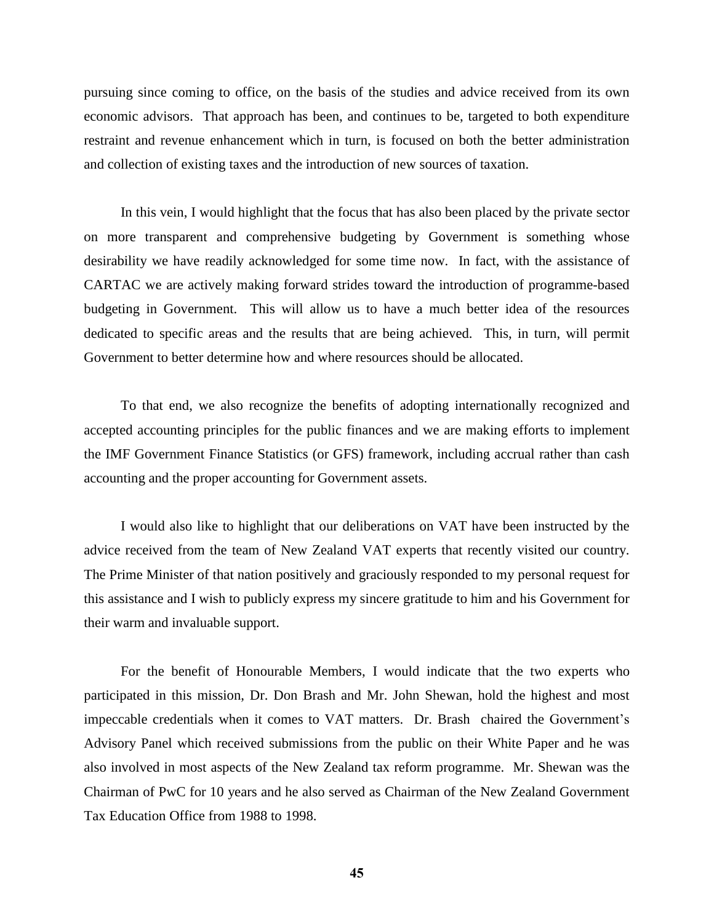pursuing since coming to office, on the basis of the studies and advice received from its own economic advisors. That approach has been, and continues to be, targeted to both expenditure restraint and revenue enhancement which in turn, is focused on both the better administration and collection of existing taxes and the introduction of new sources of taxation.

In this vein, I would highlight that the focus that has also been placed by the private sector on more transparent and comprehensive budgeting by Government is something whose desirability we have readily acknowledged for some time now. In fact, with the assistance of CARTAC we are actively making forward strides toward the introduction of programme-based budgeting in Government. This will allow us to have a much better idea of the resources dedicated to specific areas and the results that are being achieved. This, in turn, will permit Government to better determine how and where resources should be allocated.

To that end, we also recognize the benefits of adopting internationally recognized and accepted accounting principles for the public finances and we are making efforts to implement the IMF Government Finance Statistics (or GFS) framework, including accrual rather than cash accounting and the proper accounting for Government assets.

I would also like to highlight that our deliberations on VAT have been instructed by the advice received from the team of New Zealand VAT experts that recently visited our country. The Prime Minister of that nation positively and graciously responded to my personal request for this assistance and I wish to publicly express my sincere gratitude to him and his Government for their warm and invaluable support.

For the benefit of Honourable Members, I would indicate that the two experts who participated in this mission, Dr. Don Brash and Mr. John Shewan, hold the highest and most impeccable credentials when it comes to VAT matters. Dr. Brash chaired the Government's Advisory Panel which received submissions from the public on their White Paper and he was also involved in most aspects of the New Zealand tax reform programme. Mr. Shewan was the Chairman of PwC for 10 years and he also served as Chairman of the New Zealand Government Tax Education Office from 1988 to 1998.

**45**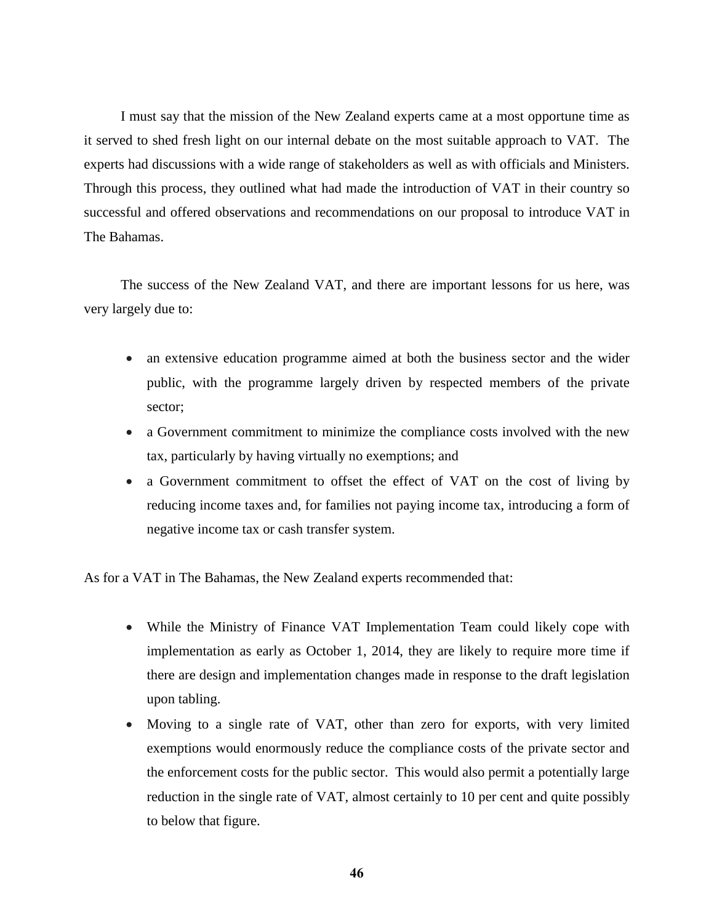I must say that the mission of the New Zealand experts came at a most opportune time as it served to shed fresh light on our internal debate on the most suitable approach to VAT. The experts had discussions with a wide range of stakeholders as well as with officials and Ministers. Through this process, they outlined what had made the introduction of VAT in their country so successful and offered observations and recommendations on our proposal to introduce VAT in The Bahamas.

The success of the New Zealand VAT, and there are important lessons for us here, was very largely due to:

- an extensive education programme aimed at both the business sector and the wider public, with the programme largely driven by respected members of the private sector;
- a Government commitment to minimize the compliance costs involved with the new tax, particularly by having virtually no exemptions; and
- a Government commitment to offset the effect of VAT on the cost of living by reducing income taxes and, for families not paying income tax, introducing a form of negative income tax or cash transfer system.

As for a VAT in The Bahamas, the New Zealand experts recommended that:

- While the Ministry of Finance VAT Implementation Team could likely cope with implementation as early as October 1, 2014, they are likely to require more time if there are design and implementation changes made in response to the draft legislation upon tabling.
- Moving to a single rate of VAT, other than zero for exports, with very limited exemptions would enormously reduce the compliance costs of the private sector and the enforcement costs for the public sector. This would also permit a potentially large reduction in the single rate of VAT, almost certainly to 10 per cent and quite possibly to below that figure.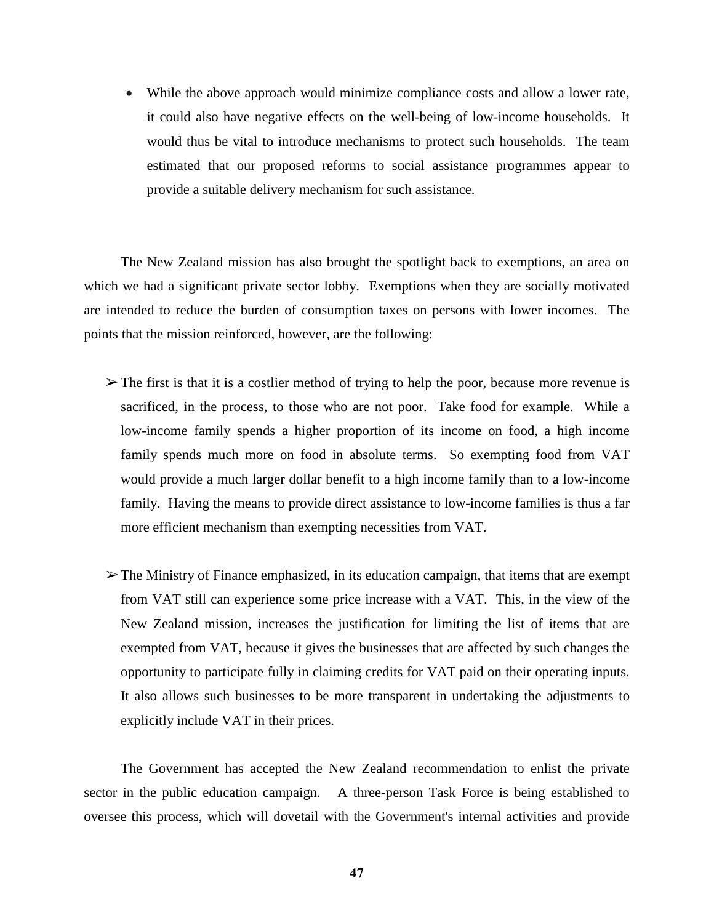While the above approach would minimize compliance costs and allow a lower rate, it could also have negative effects on the well-being of low-income households. It would thus be vital to introduce mechanisms to protect such households. The team estimated that our proposed reforms to social assistance programmes appear to provide a suitable delivery mechanism for such assistance.

The New Zealand mission has also brought the spotlight back to exemptions, an area on which we had a significant private sector lobby. Exemptions when they are socially motivated are intended to reduce the burden of consumption taxes on persons with lower incomes. The points that the mission reinforced, however, are the following:

- $\triangleright$  The first is that it is a costlier method of trying to help the poor, because more revenue is sacrificed, in the process, to those who are not poor. Take food for example. While a low-income family spends a higher proportion of its income on food, a high income family spends much more on food in absolute terms. So exempting food from VAT would provide a much larger dollar benefit to a high income family than to a low-income family. Having the means to provide direct assistance to low-income families is thus a far more efficient mechanism than exempting necessities from VAT.
- $\triangleright$  The Ministry of Finance emphasized, in its education campaign, that items that are exempt from VAT still can experience some price increase with a VAT. This, in the view of the New Zealand mission, increases the justification for limiting the list of items that are exempted from VAT, because it gives the businesses that are affected by such changes the opportunity to participate fully in claiming credits for VAT paid on their operating inputs. It also allows such businesses to be more transparent in undertaking the adjustments to explicitly include VAT in their prices.

The Government has accepted the New Zealand recommendation to enlist the private sector in the public education campaign. A three-person Task Force is being established to oversee this process, which will dovetail with the Government's internal activities and provide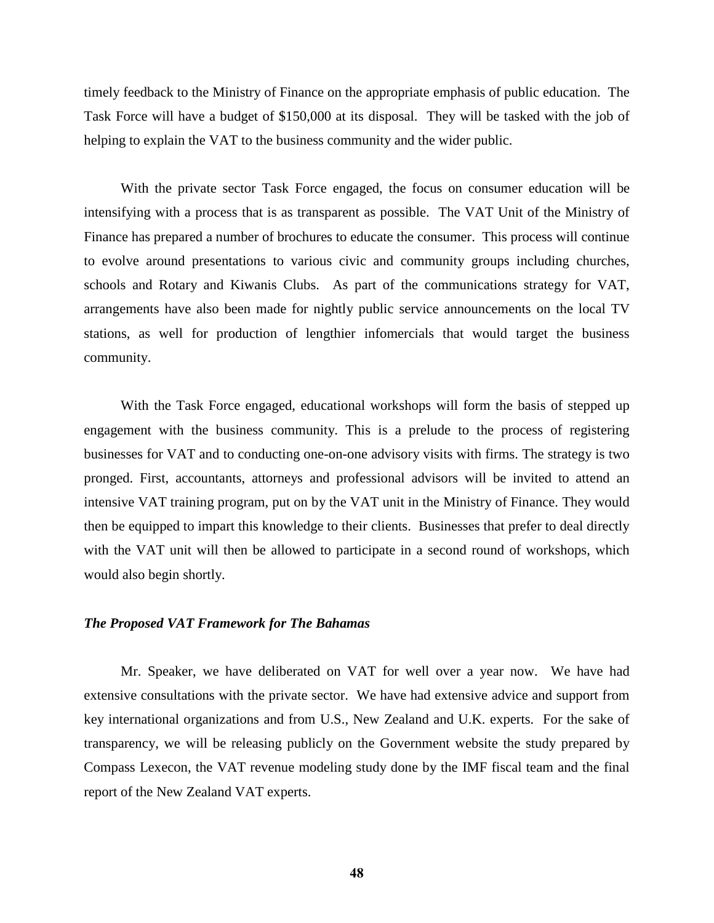timely feedback to the Ministry of Finance on the appropriate emphasis of public education. The Task Force will have a budget of \$150,000 at its disposal. They will be tasked with the job of helping to explain the VAT to the business community and the wider public.

With the private sector Task Force engaged, the focus on consumer education will be intensifying with a process that is as transparent as possible. The VAT Unit of the Ministry of Finance has prepared a number of brochures to educate the consumer. This process will continue to evolve around presentations to various civic and community groups including churches, schools and Rotary and Kiwanis Clubs. As part of the communications strategy for VAT, arrangements have also been made for nightly public service announcements on the local TV stations, as well for production of lengthier infomercials that would target the business community.

With the Task Force engaged, educational workshops will form the basis of stepped up engagement with the business community. This is a prelude to the process of registering businesses for VAT and to conducting one-on-one advisory visits with firms. The strategy is two pronged. First, accountants, attorneys and professional advisors will be invited to attend an intensive VAT training program, put on by the VAT unit in the Ministry of Finance. They would then be equipped to impart this knowledge to their clients. Businesses that prefer to deal directly with the VAT unit will then be allowed to participate in a second round of workshops, which would also begin shortly.

### *The Proposed VAT Framework for The Bahamas*

Mr. Speaker, we have deliberated on VAT for well over a year now. We have had extensive consultations with the private sector. We have had extensive advice and support from key international organizations and from U.S., New Zealand and U.K. experts. For the sake of transparency, we will be releasing publicly on the Government website the study prepared by Compass Lexecon, the VAT revenue modeling study done by the IMF fiscal team and the final report of the New Zealand VAT experts.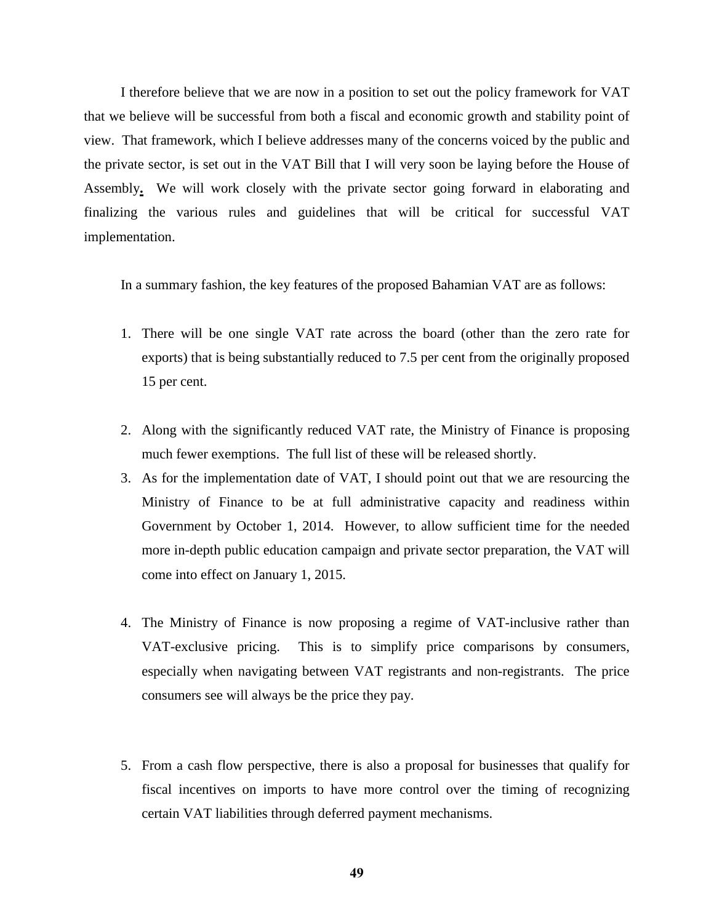I therefore believe that we are now in a position to set out the policy framework for VAT that we believe will be successful from both a fiscal and economic growth and stability point of view. That framework, which I believe addresses many of the concerns voiced by the public and the private sector, is set out in the VAT Bill that I will very soon be laying before the House of Assembly**.** We will work closely with the private sector going forward in elaborating and finalizing the various rules and guidelines that will be critical for successful VAT implementation.

In a summary fashion, the key features of the proposed Bahamian VAT are as follows:

- 1. There will be one single VAT rate across the board (other than the zero rate for exports) that is being substantially reduced to 7.5 per cent from the originally proposed 15 per cent.
- 2. Along with the significantly reduced VAT rate, the Ministry of Finance is proposing much fewer exemptions. The full list of these will be released shortly.
- 3. As for the implementation date of VAT, I should point out that we are resourcing the Ministry of Finance to be at full administrative capacity and readiness within Government by October 1, 2014. However, to allow sufficient time for the needed more in-depth public education campaign and private sector preparation, the VAT will come into effect on January 1, 2015.
- 4. The Ministry of Finance is now proposing a regime of VAT-inclusive rather than VAT-exclusive pricing. This is to simplify price comparisons by consumers, especially when navigating between VAT registrants and non-registrants. The price consumers see will always be the price they pay.
- 5. From a cash flow perspective, there is also a proposal for businesses that qualify for fiscal incentives on imports to have more control over the timing of recognizing certain VAT liabilities through deferred payment mechanisms.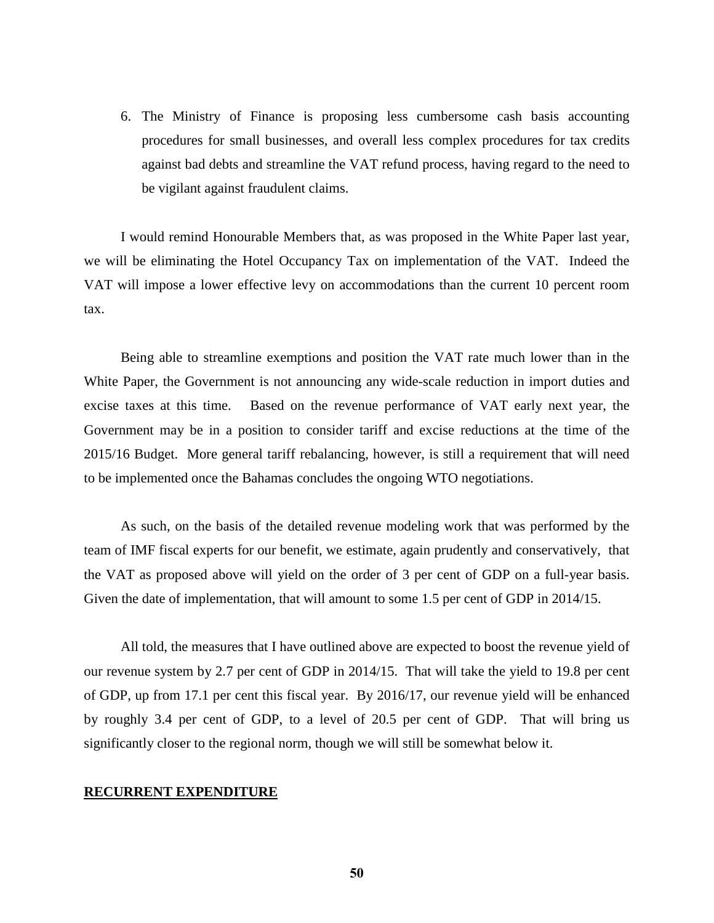6. The Ministry of Finance is proposing less cumbersome cash basis accounting procedures for small businesses, and overall less complex procedures for tax credits against bad debts and streamline the VAT refund process, having regard to the need to be vigilant against fraudulent claims.

I would remind Honourable Members that, as was proposed in the White Paper last year, we will be eliminating the Hotel Occupancy Tax on implementation of the VAT. Indeed the VAT will impose a lower effective levy on accommodations than the current 10 percent room tax.

Being able to streamline exemptions and position the VAT rate much lower than in the White Paper, the Government is not announcing any wide-scale reduction in import duties and excise taxes at this time. Based on the revenue performance of VAT early next year, the Government may be in a position to consider tariff and excise reductions at the time of the 2015/16 Budget. More general tariff rebalancing, however, is still a requirement that will need to be implemented once the Bahamas concludes the ongoing WTO negotiations.

As such, on the basis of the detailed revenue modeling work that was performed by the team of IMF fiscal experts for our benefit, we estimate, again prudently and conservatively, that the VAT as proposed above will yield on the order of 3 per cent of GDP on a full-year basis. Given the date of implementation, that will amount to some 1.5 per cent of GDP in 2014/15.

All told, the measures that I have outlined above are expected to boost the revenue yield of our revenue system by 2.7 per cent of GDP in 2014/15. That will take the yield to 19.8 per cent of GDP, up from 17.1 per cent this fiscal year. By 2016/17, our revenue yield will be enhanced by roughly 3.4 per cent of GDP, to a level of 20.5 per cent of GDP. That will bring us significantly closer to the regional norm, though we will still be somewhat below it.

#### **RECURRENT EXPENDITURE**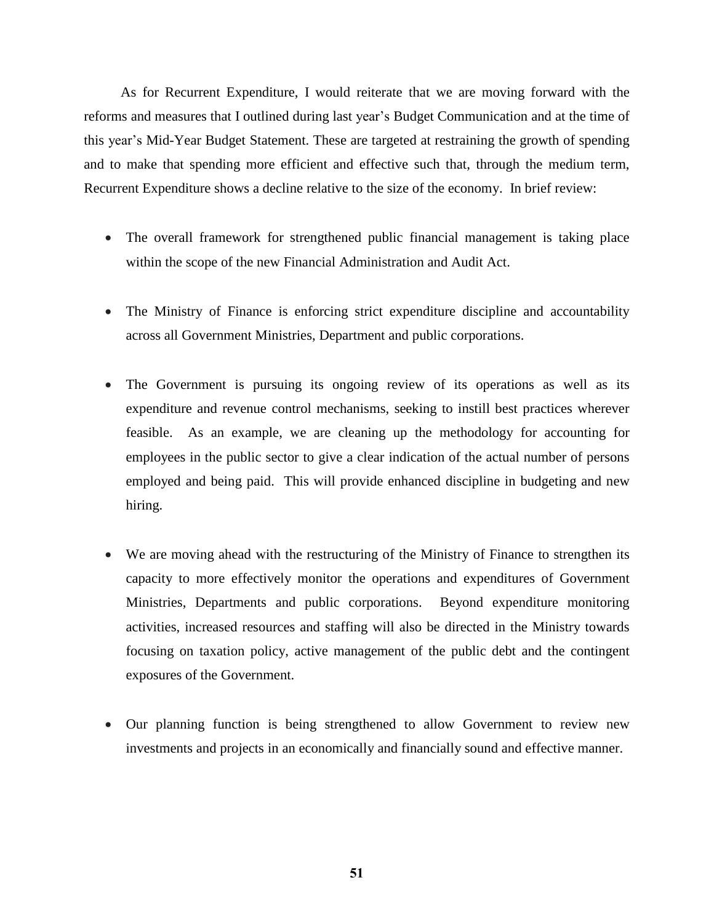As for Recurrent Expenditure, I would reiterate that we are moving forward with the reforms and measures that I outlined during last year's Budget Communication and at the time of this year's Mid-Year Budget Statement. These are targeted at restraining the growth of spending and to make that spending more efficient and effective such that, through the medium term, Recurrent Expenditure shows a decline relative to the size of the economy. In brief review:

- The overall framework for strengthened public financial management is taking place within the scope of the new Financial Administration and Audit Act.
- The Ministry of Finance is enforcing strict expenditure discipline and accountability across all Government Ministries, Department and public corporations.
- The Government is pursuing its ongoing review of its operations as well as its expenditure and revenue control mechanisms, seeking to instill best practices wherever feasible. As an example, we are cleaning up the methodology for accounting for employees in the public sector to give a clear indication of the actual number of persons employed and being paid. This will provide enhanced discipline in budgeting and new hiring.
- We are moving ahead with the restructuring of the Ministry of Finance to strengthen its capacity to more effectively monitor the operations and expenditures of Government Ministries, Departments and public corporations. Beyond expenditure monitoring activities, increased resources and staffing will also be directed in the Ministry towards focusing on taxation policy, active management of the public debt and the contingent exposures of the Government.
- Our planning function is being strengthened to allow Government to review new investments and projects in an economically and financially sound and effective manner.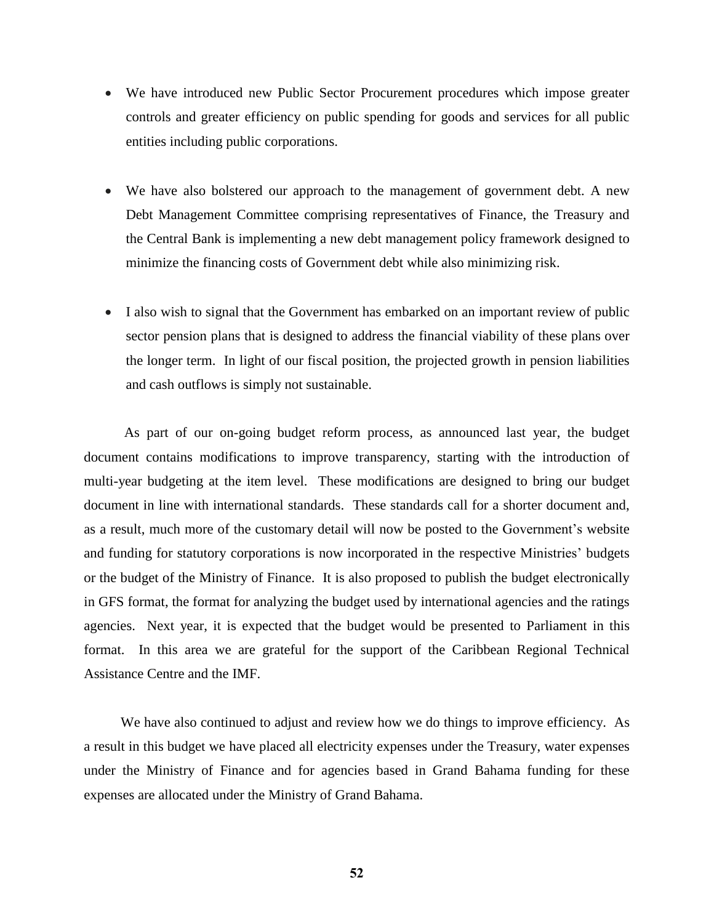- We have introduced new Public Sector Procurement procedures which impose greater controls and greater efficiency on public spending for goods and services for all public entities including public corporations.
- We have also bolstered our approach to the management of government debt. A new Debt Management Committee comprising representatives of Finance, the Treasury and the Central Bank is implementing a new debt management policy framework designed to minimize the financing costs of Government debt while also minimizing risk.
- I also wish to signal that the Government has embarked on an important review of public sector pension plans that is designed to address the financial viability of these plans over the longer term. In light of our fiscal position, the projected growth in pension liabilities and cash outflows is simply not sustainable.

As part of our on-going budget reform process, as announced last year, the budget document contains modifications to improve transparency, starting with the introduction of multi-year budgeting at the item level. These modifications are designed to bring our budget document in line with international standards. These standards call for a shorter document and, as a result, much more of the customary detail will now be posted to the Government's website and funding for statutory corporations is now incorporated in the respective Ministries' budgets or the budget of the Ministry of Finance. It is also proposed to publish the budget electronically in GFS format, the format for analyzing the budget used by international agencies and the ratings agencies. Next year, it is expected that the budget would be presented to Parliament in this format. In this area we are grateful for the support of the Caribbean Regional Technical Assistance Centre and the IMF.

We have also continued to adjust and review how we do things to improve efficiency. As a result in this budget we have placed all electricity expenses under the Treasury, water expenses under the Ministry of Finance and for agencies based in Grand Bahama funding for these expenses are allocated under the Ministry of Grand Bahama.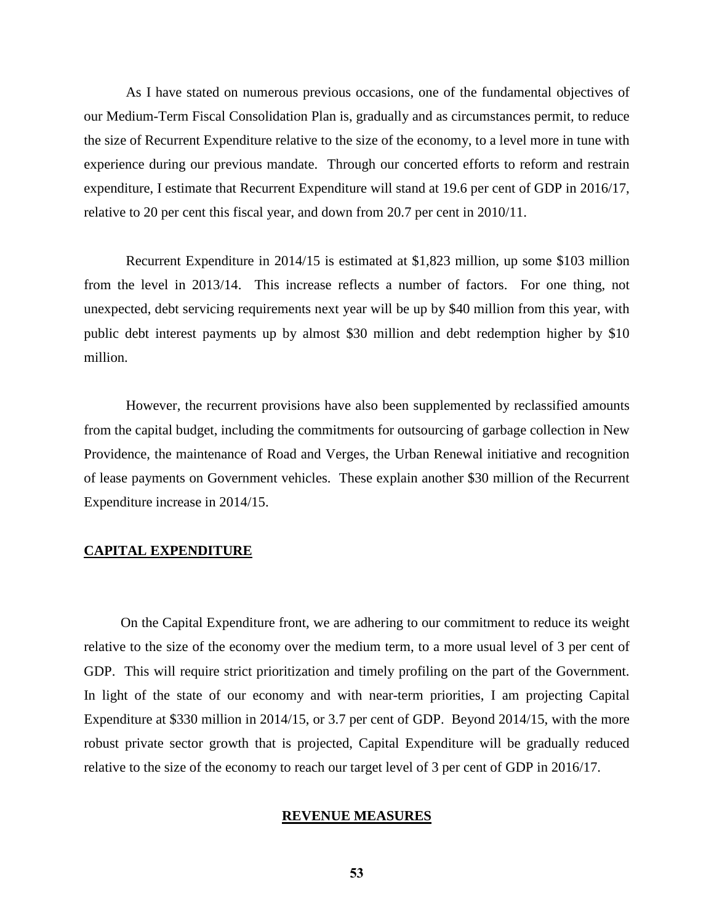As I have stated on numerous previous occasions, one of the fundamental objectives of our Medium-Term Fiscal Consolidation Plan is, gradually and as circumstances permit, to reduce the size of Recurrent Expenditure relative to the size of the economy, to a level more in tune with experience during our previous mandate. Through our concerted efforts to reform and restrain expenditure, I estimate that Recurrent Expenditure will stand at 19.6 per cent of GDP in 2016/17, relative to 20 per cent this fiscal year, and down from 20.7 per cent in 2010/11.

Recurrent Expenditure in 2014/15 is estimated at \$1,823 million, up some \$103 million from the level in 2013/14. This increase reflects a number of factors. For one thing, not unexpected, debt servicing requirements next year will be up by \$40 million from this year, with public debt interest payments up by almost \$30 million and debt redemption higher by \$10 million.

However, the recurrent provisions have also been supplemented by reclassified amounts from the capital budget, including the commitments for outsourcing of garbage collection in New Providence, the maintenance of Road and Verges, the Urban Renewal initiative and recognition of lease payments on Government vehicles. These explain another \$30 million of the Recurrent Expenditure increase in 2014/15.

## **CAPITAL EXPENDITURE**

On the Capital Expenditure front, we are adhering to our commitment to reduce its weight relative to the size of the economy over the medium term, to a more usual level of 3 per cent of GDP. This will require strict prioritization and timely profiling on the part of the Government. In light of the state of our economy and with near-term priorities, I am projecting Capital Expenditure at \$330 million in 2014/15, or 3.7 per cent of GDP. Beyond 2014/15, with the more robust private sector growth that is projected, Capital Expenditure will be gradually reduced relative to the size of the economy to reach our target level of 3 per cent of GDP in 2016/17.

## **REVENUE MEASURES**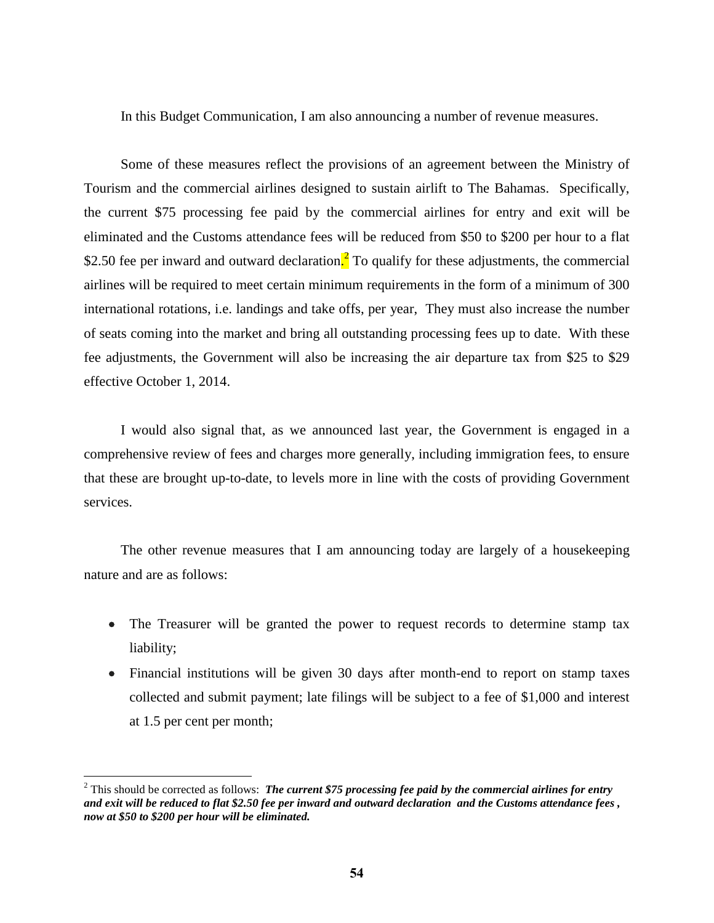In this Budget Communication, I am also announcing a number of revenue measures.

Some of these measures reflect the provisions of an agreement between the Ministry of Tourism and the commercial airlines designed to sustain airlift to The Bahamas. Specifically, the current \$75 processing fee paid by the commercial airlines for entry and exit will be eliminated and the Customs attendance fees will be reduced from \$50 to \$200 per hour to a flat \$2.50 fee per inward and outward declaration.<sup>2</sup> To qualify for these adjustments, the commercial airlines will be required to meet certain minimum requirements in the form of a minimum of 300 international rotations, i.e. landings and take offs, per year, They must also increase the number of seats coming into the market and bring all outstanding processing fees up to date. With these fee adjustments, the Government will also be increasing the air departure tax from \$25 to \$29 effective October 1, 2014.

I would also signal that, as we announced last year, the Government is engaged in a comprehensive review of fees and charges more generally, including immigration fees, to ensure that these are brought up-to-date, to levels more in line with the costs of providing Government services.

The other revenue measures that I am announcing today are largely of a housekeeping nature and are as follows:

- The Treasurer will be granted the power to request records to determine stamp tax liability;
- Financial institutions will be given 30 days after month-end to report on stamp taxes collected and submit payment; late filings will be subject to a fee of \$1,000 and interest at 1.5 per cent per month;

 $\overline{a}$ 

<sup>2</sup> This should be corrected as follows: *The current \$75 processing fee paid by the commercial airlines for entry and exit will be reduced to flat \$2.50 fee per inward and outward declaration and the Customs attendance fees , now at \$50 to \$200 per hour will be eliminated.*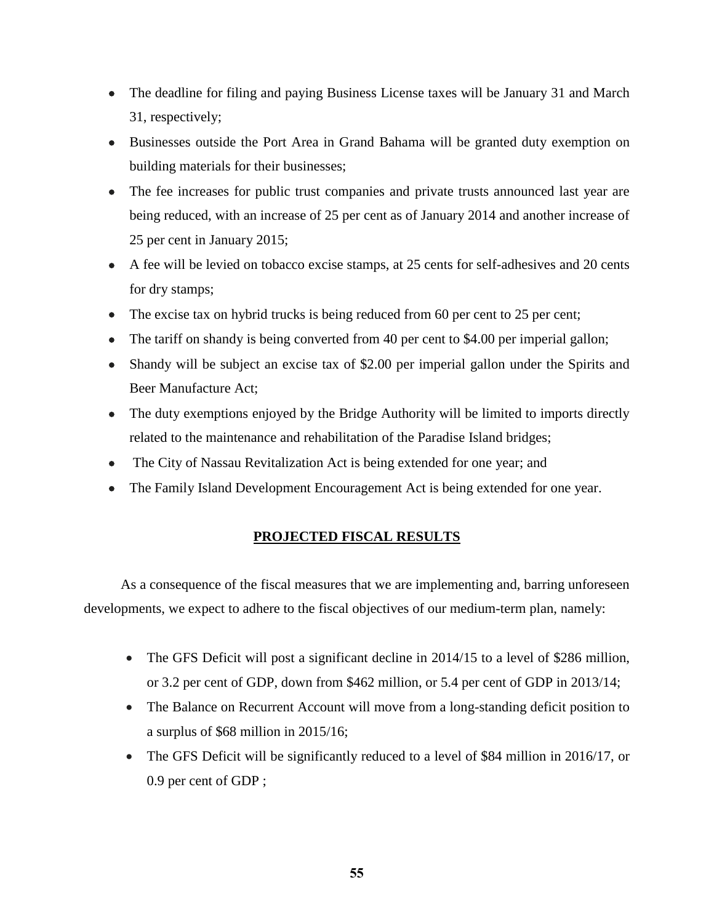- The deadline for filing and paying Business License taxes will be January 31 and March 31, respectively;
- Businesses outside the Port Area in Grand Bahama will be granted duty exemption on building materials for their businesses;
- The fee increases for public trust companies and private trusts announced last year are being reduced, with an increase of 25 per cent as of January 2014 and another increase of 25 per cent in January 2015;
- A fee will be levied on tobacco excise stamps, at 25 cents for self-adhesives and 20 cents for dry stamps;
- The excise tax on hybrid trucks is being reduced from 60 per cent to 25 per cent;
- The tariff on shandy is being converted from 40 per cent to \$4.00 per imperial gallon;
- Shandy will be subject an excise tax of \$2.00 per imperial gallon under the Spirits and Beer Manufacture Act;
- The duty exemptions enjoyed by the Bridge Authority will be limited to imports directly related to the maintenance and rehabilitation of the Paradise Island bridges;
- The City of Nassau Revitalization Act is being extended for one year; and
- The Family Island Development Encouragement Act is being extended for one year.

## **PROJECTED FISCAL RESULTS**

As a consequence of the fiscal measures that we are implementing and, barring unforeseen developments, we expect to adhere to the fiscal objectives of our medium-term plan, namely:

- The GFS Deficit will post a significant decline in 2014/15 to a level of \$286 million, or 3.2 per cent of GDP, down from \$462 million, or 5.4 per cent of GDP in 2013/14;
- The Balance on Recurrent Account will move from a long-standing deficit position to a surplus of \$68 million in 2015/16;
- The GFS Deficit will be significantly reduced to a level of \$84 million in 2016/17, or 0.9 per cent of GDP ;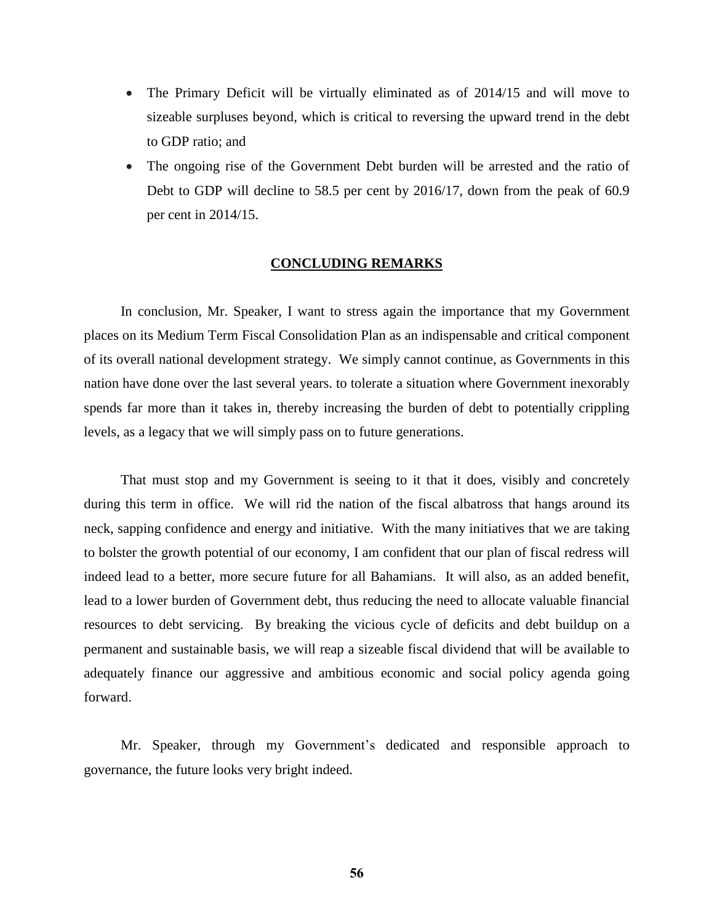- The Primary Deficit will be virtually eliminated as of 2014/15 and will move to sizeable surpluses beyond, which is critical to reversing the upward trend in the debt to GDP ratio; and
- The ongoing rise of the Government Debt burden will be arrested and the ratio of Debt to GDP will decline to 58.5 per cent by 2016/17, down from the peak of 60.9 per cent in 2014/15.

## **CONCLUDING REMARKS**

In conclusion, Mr. Speaker, I want to stress again the importance that my Government places on its Medium Term Fiscal Consolidation Plan as an indispensable and critical component of its overall national development strategy. We simply cannot continue, as Governments in this nation have done over the last several years. to tolerate a situation where Government inexorably spends far more than it takes in, thereby increasing the burden of debt to potentially crippling levels, as a legacy that we will simply pass on to future generations.

That must stop and my Government is seeing to it that it does, visibly and concretely during this term in office. We will rid the nation of the fiscal albatross that hangs around its neck, sapping confidence and energy and initiative. With the many initiatives that we are taking to bolster the growth potential of our economy, I am confident that our plan of fiscal redress will indeed lead to a better, more secure future for all Bahamians. It will also, as an added benefit, lead to a lower burden of Government debt, thus reducing the need to allocate valuable financial resources to debt servicing. By breaking the vicious cycle of deficits and debt buildup on a permanent and sustainable basis, we will reap a sizeable fiscal dividend that will be available to adequately finance our aggressive and ambitious economic and social policy agenda going forward.

Mr. Speaker, through my Government's dedicated and responsible approach to governance, the future looks very bright indeed.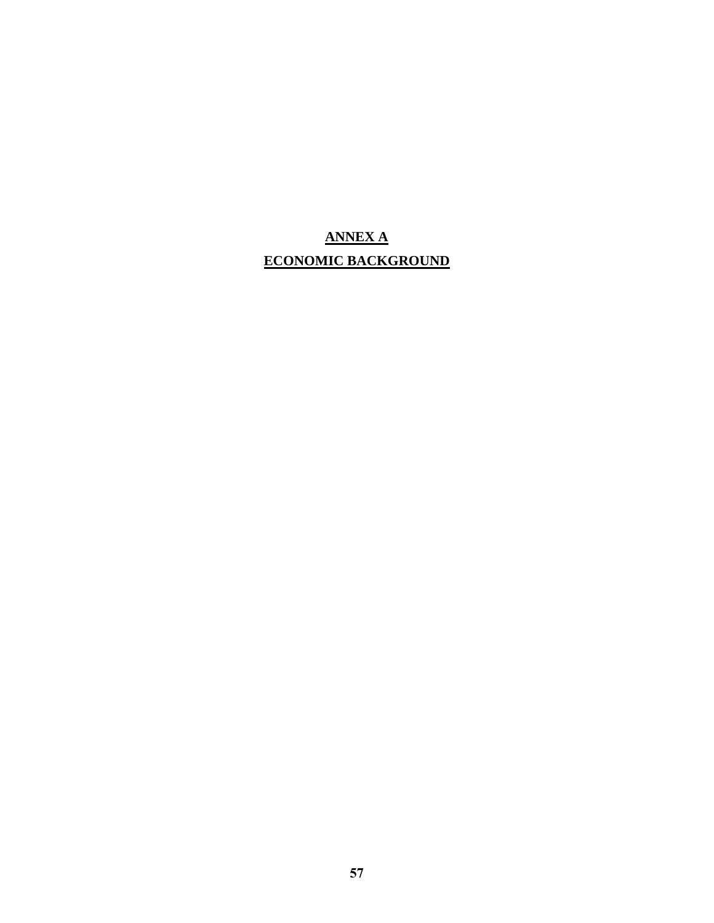# **ANNEX A ECONOMIC BACKGROUND**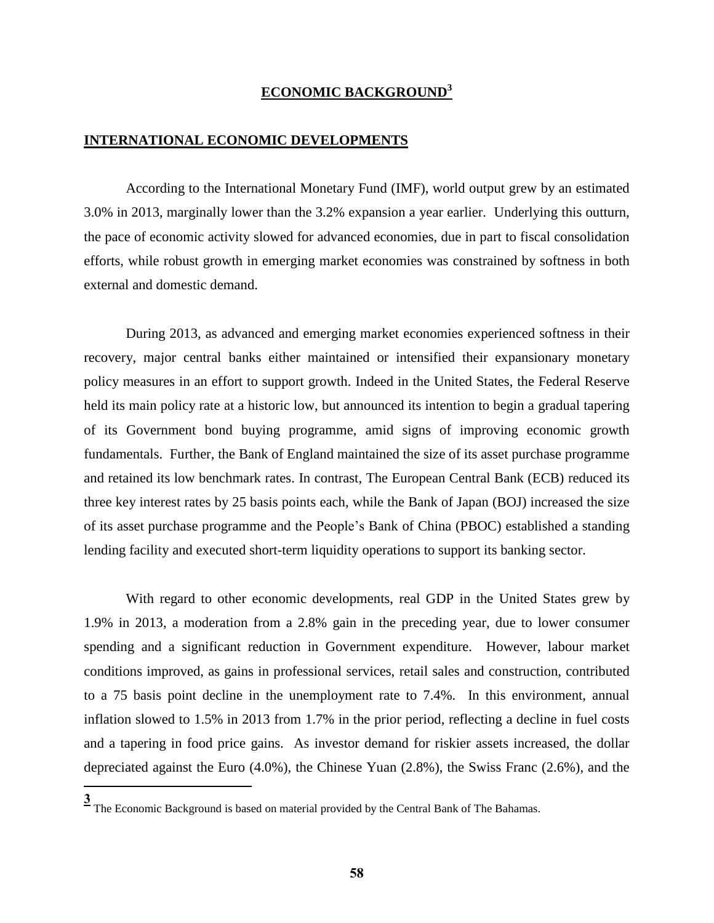## **ECONOMIC BACKGROUND<sup>3</sup>**

#### **INTERNATIONAL ECONOMIC DEVELOPMENTS**

According to the International Monetary Fund (IMF), world output grew by an estimated 3.0% in 2013, marginally lower than the 3.2% expansion a year earlier. Underlying this outturn, the pace of economic activity slowed for advanced economies, due in part to fiscal consolidation efforts, while robust growth in emerging market economies was constrained by softness in both external and domestic demand.

During 2013, as advanced and emerging market economies experienced softness in their recovery, major central banks either maintained or intensified their expansionary monetary policy measures in an effort to support growth. Indeed in the United States, the Federal Reserve held its main policy rate at a historic low, but announced its intention to begin a gradual tapering of its Government bond buying programme, amid signs of improving economic growth fundamentals. Further, the Bank of England maintained the size of its asset purchase programme and retained its low benchmark rates. In contrast, The European Central Bank (ECB) reduced its three key interest rates by 25 basis points each, while the Bank of Japan (BOJ) increased the size of its asset purchase programme and the People's Bank of China (PBOC) established a standing lending facility and executed short-term liquidity operations to support its banking sector.

With regard to other economic developments, real GDP in the United States grew by 1.9% in 2013, a moderation from a 2.8% gain in the preceding year, due to lower consumer spending and a significant reduction in Government expenditure. However, labour market conditions improved, as gains in professional services, retail sales and construction, contributed to a 75 basis point decline in the unemployment rate to 7.4%. In this environment, annual inflation slowed to 1.5% in 2013 from 1.7% in the prior period, reflecting a decline in fuel costs and a tapering in food price gains. As investor demand for riskier assets increased, the dollar depreciated against the Euro (4.0%), the Chinese Yuan (2.8%), the Swiss Franc (2.6%), and the

 $\overline{a}$ 

**<sup>3</sup>** The Economic Background is based on material provided by the Central Bank of The Bahamas.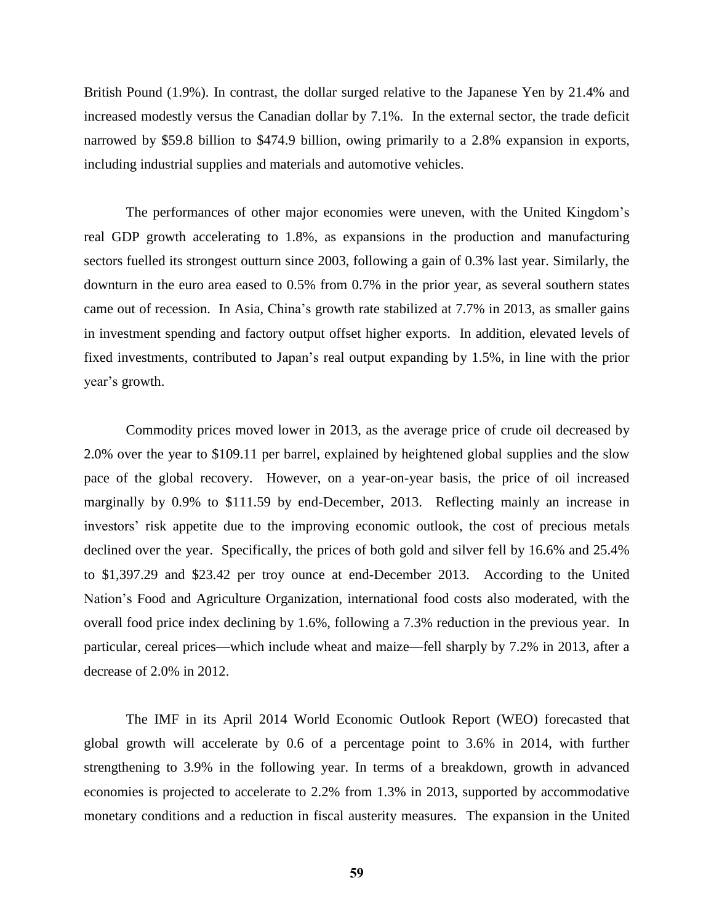British Pound (1.9%). In contrast, the dollar surged relative to the Japanese Yen by 21.4% and increased modestly versus the Canadian dollar by 7.1%. In the external sector, the trade deficit narrowed by \$59.8 billion to \$474.9 billion, owing primarily to a 2.8% expansion in exports, including industrial supplies and materials and automotive vehicles.

The performances of other major economies were uneven, with the United Kingdom's real GDP growth accelerating to 1.8%, as expansions in the production and manufacturing sectors fuelled its strongest outturn since 2003, following a gain of 0.3% last year. Similarly, the downturn in the euro area eased to 0.5% from 0.7% in the prior year, as several southern states came out of recession. In Asia, China's growth rate stabilized at 7.7% in 2013, as smaller gains in investment spending and factory output offset higher exports. In addition, elevated levels of fixed investments, contributed to Japan's real output expanding by 1.5%, in line with the prior year's growth.

Commodity prices moved lower in 2013, as the average price of crude oil decreased by 2.0% over the year to \$109.11 per barrel, explained by heightened global supplies and the slow pace of the global recovery. However, on a year-on-year basis, the price of oil increased marginally by 0.9% to \$111.59 by end-December, 2013. Reflecting mainly an increase in investors' risk appetite due to the improving economic outlook, the cost of precious metals declined over the year. Specifically, the prices of both gold and silver fell by 16.6% and 25.4% to \$1,397.29 and \$23.42 per troy ounce at end-December 2013. According to the United Nation's Food and Agriculture Organization, international food costs also moderated, with the overall food price index declining by 1.6%, following a 7.3% reduction in the previous year. In particular, cereal prices—which include wheat and maize—fell sharply by 7.2% in 2013, after a decrease of 2.0% in 2012.

The IMF in its April 2014 World Economic Outlook Report (WEO) forecasted that global growth will accelerate by 0.6 of a percentage point to 3.6% in 2014, with further strengthening to 3.9% in the following year. In terms of a breakdown, growth in advanced economies is projected to accelerate to 2.2% from 1.3% in 2013, supported by accommodative monetary conditions and a reduction in fiscal austerity measures. The expansion in the United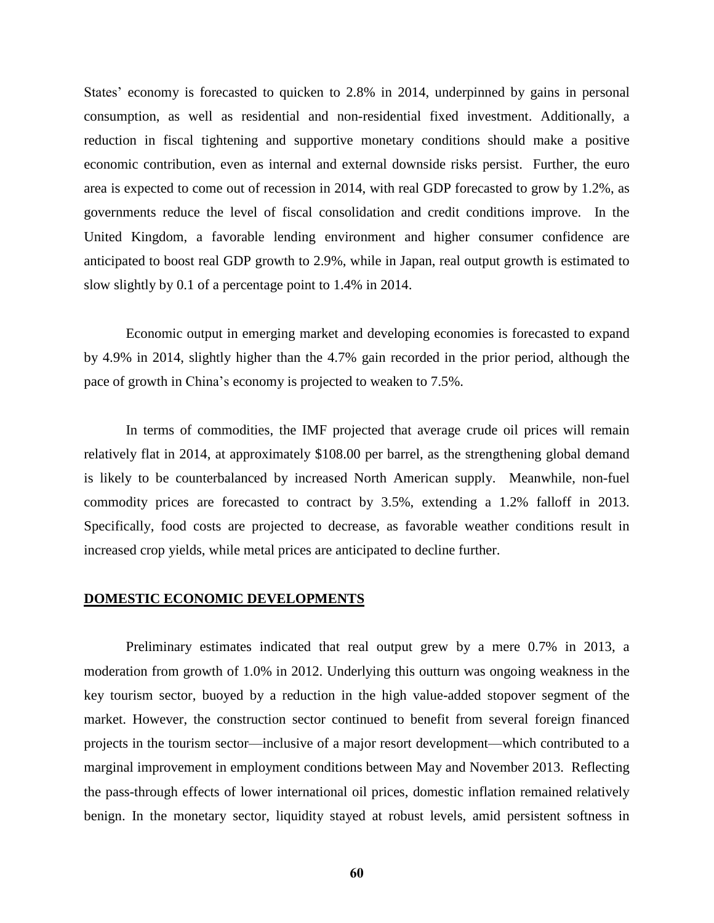States' economy is forecasted to quicken to 2.8% in 2014, underpinned by gains in personal consumption, as well as residential and non-residential fixed investment. Additionally, a reduction in fiscal tightening and supportive monetary conditions should make a positive economic contribution, even as internal and external downside risks persist. Further, the euro area is expected to come out of recession in 2014, with real GDP forecasted to grow by 1.2%, as governments reduce the level of fiscal consolidation and credit conditions improve. In the United Kingdom, a favorable lending environment and higher consumer confidence are anticipated to boost real GDP growth to 2.9%, while in Japan, real output growth is estimated to slow slightly by 0.1 of a percentage point to 1.4% in 2014.

Economic output in emerging market and developing economies is forecasted to expand by 4.9% in 2014, slightly higher than the 4.7% gain recorded in the prior period, although the pace of growth in China's economy is projected to weaken to 7.5%.

In terms of commodities, the IMF projected that average crude oil prices will remain relatively flat in 2014, at approximately \$108.00 per barrel, as the strengthening global demand is likely to be counterbalanced by increased North American supply. Meanwhile, non-fuel commodity prices are forecasted to contract by 3.5%, extending a 1.2% falloff in 2013. Specifically, food costs are projected to decrease, as favorable weather conditions result in increased crop yields, while metal prices are anticipated to decline further.

## **DOMESTIC ECONOMIC DEVELOPMENTS**

Preliminary estimates indicated that real output grew by a mere 0.7% in 2013, a moderation from growth of 1.0% in 2012. Underlying this outturn was ongoing weakness in the key tourism sector, buoyed by a reduction in the high value-added stopover segment of the market. However, the construction sector continued to benefit from several foreign financed projects in the tourism sector—inclusive of a major resort development—which contributed to a marginal improvement in employment conditions between May and November 2013. Reflecting the pass-through effects of lower international oil prices, domestic inflation remained relatively benign. In the monetary sector, liquidity stayed at robust levels, amid persistent softness in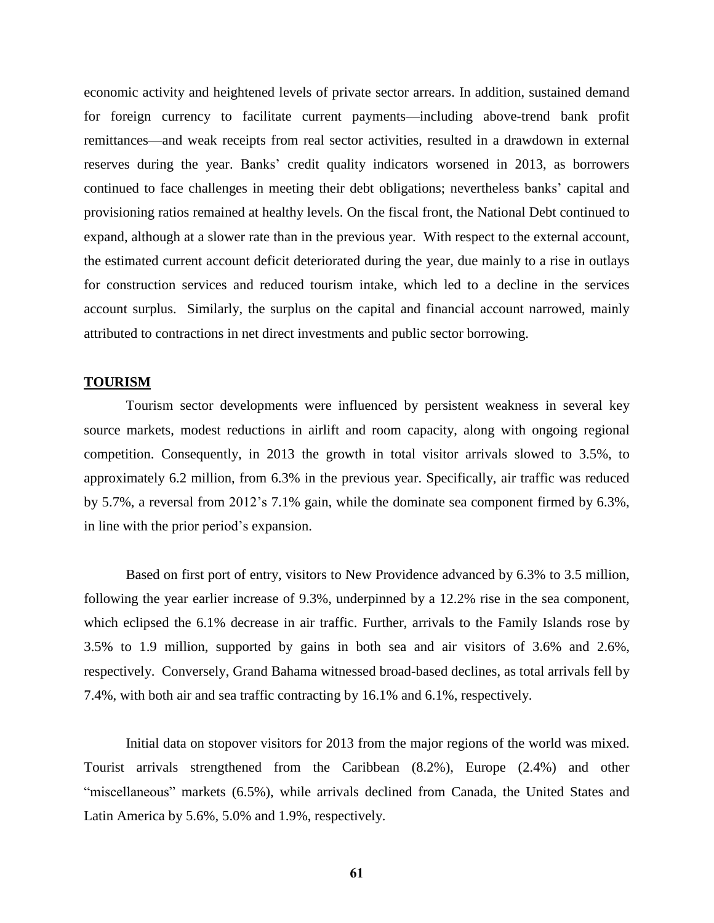economic activity and heightened levels of private sector arrears. In addition, sustained demand for foreign currency to facilitate current payments—including above-trend bank profit remittances—and weak receipts from real sector activities, resulted in a drawdown in external reserves during the year. Banks' credit quality indicators worsened in 2013, as borrowers continued to face challenges in meeting their debt obligations; nevertheless banks' capital and provisioning ratios remained at healthy levels. On the fiscal front, the National Debt continued to expand, although at a slower rate than in the previous year. With respect to the external account, the estimated current account deficit deteriorated during the year, due mainly to a rise in outlays for construction services and reduced tourism intake, which led to a decline in the services account surplus. Similarly, the surplus on the capital and financial account narrowed, mainly attributed to contractions in net direct investments and public sector borrowing.

#### **TOURISM**

Tourism sector developments were influenced by persistent weakness in several key source markets, modest reductions in airlift and room capacity, along with ongoing regional competition. Consequently, in 2013 the growth in total visitor arrivals slowed to 3.5%, to approximately 6.2 million, from 6.3% in the previous year. Specifically, air traffic was reduced by 5.7%, a reversal from 2012's 7.1% gain, while the dominate sea component firmed by 6.3%, in line with the prior period's expansion.

Based on first port of entry, visitors to New Providence advanced by 6.3% to 3.5 million, following the year earlier increase of 9.3%, underpinned by a 12.2% rise in the sea component, which eclipsed the 6.1% decrease in air traffic. Further, arrivals to the Family Islands rose by 3.5% to 1.9 million, supported by gains in both sea and air visitors of 3.6% and 2.6%, respectively. Conversely, Grand Bahama witnessed broad-based declines, as total arrivals fell by 7.4%, with both air and sea traffic contracting by 16.1% and 6.1%, respectively.

Initial data on stopover visitors for 2013 from the major regions of the world was mixed. Tourist arrivals strengthened from the Caribbean (8.2%), Europe (2.4%) and other "miscellaneous" markets (6.5%), while arrivals declined from Canada, the United States and Latin America by 5.6%, 5.0% and 1.9%, respectively.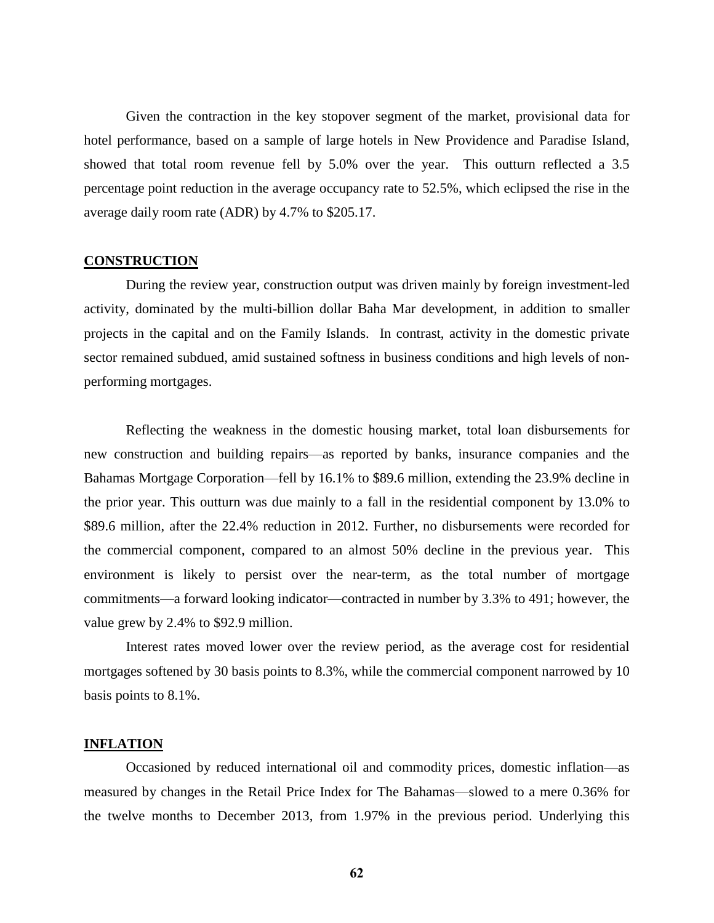Given the contraction in the key stopover segment of the market, provisional data for hotel performance, based on a sample of large hotels in New Providence and Paradise Island, showed that total room revenue fell by 5.0% over the year. This outturn reflected a 3.5 percentage point reduction in the average occupancy rate to 52.5%, which eclipsed the rise in the average daily room rate (ADR) by 4.7% to \$205.17.

#### **CONSTRUCTION**

During the review year, construction output was driven mainly by foreign investment-led activity, dominated by the multi-billion dollar Baha Mar development, in addition to smaller projects in the capital and on the Family Islands. In contrast, activity in the domestic private sector remained subdued, amid sustained softness in business conditions and high levels of nonperforming mortgages.

Reflecting the weakness in the domestic housing market, total loan disbursements for new construction and building repairs—as reported by banks, insurance companies and the Bahamas Mortgage Corporation—fell by 16.1% to \$89.6 million, extending the 23.9% decline in the prior year. This outturn was due mainly to a fall in the residential component by 13.0% to \$89.6 million, after the 22.4% reduction in 2012. Further, no disbursements were recorded for the commercial component, compared to an almost 50% decline in the previous year. This environment is likely to persist over the near-term, as the total number of mortgage commitments—a forward looking indicator—contracted in number by 3.3% to 491; however, the value grew by 2.4% to \$92.9 million.

Interest rates moved lower over the review period, as the average cost for residential mortgages softened by 30 basis points to 8.3%, while the commercial component narrowed by 10 basis points to 8.1%.

## **INFLATION**

Occasioned by reduced international oil and commodity prices, domestic inflation—as measured by changes in the Retail Price Index for The Bahamas—slowed to a mere 0.36% for the twelve months to December 2013, from 1.97% in the previous period. Underlying this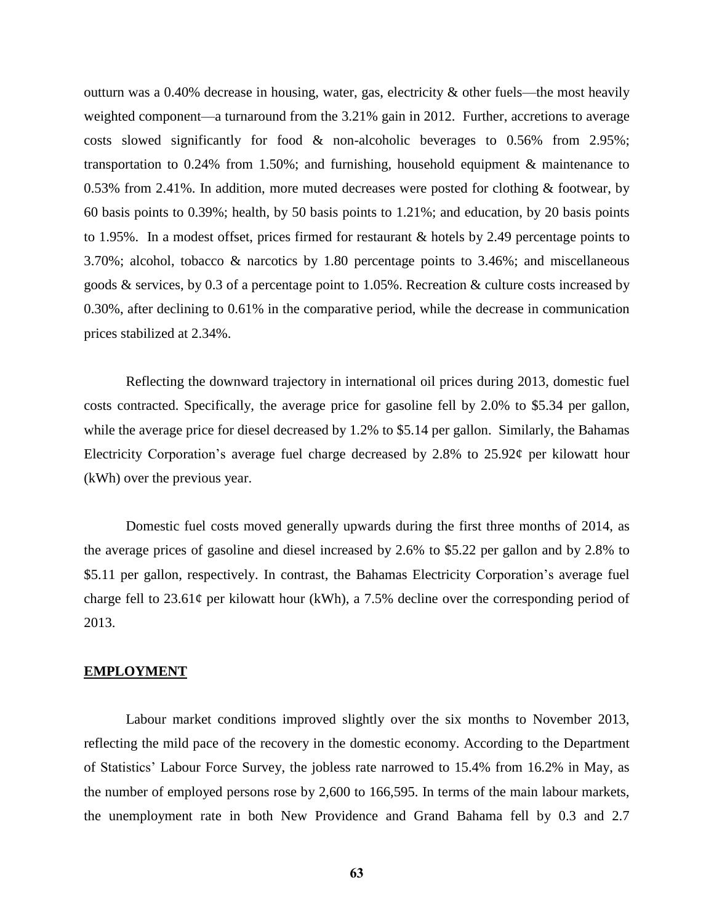outturn was a 0.40% decrease in housing, water, gas, electricity & other fuels—the most heavily weighted component—a turnaround from the 3.21% gain in 2012. Further, accretions to average costs slowed significantly for food & non-alcoholic beverages to 0.56% from 2.95%; transportation to 0.24% from 1.50%; and furnishing, household equipment & maintenance to 0.53% from 2.41%. In addition, more muted decreases were posted for clothing & footwear, by 60 basis points to 0.39%; health, by 50 basis points to 1.21%; and education, by 20 basis points to 1.95%. In a modest offset, prices firmed for restaurant & hotels by 2.49 percentage points to 3.70%; alcohol, tobacco & narcotics by 1.80 percentage points to 3.46%; and miscellaneous goods & services, by 0.3 of a percentage point to 1.05%. Recreation & culture costs increased by 0.30%, after declining to 0.61% in the comparative period, while the decrease in communication prices stabilized at 2.34%.

Reflecting the downward trajectory in international oil prices during 2013, domestic fuel costs contracted. Specifically, the average price for gasoline fell by 2.0% to \$5.34 per gallon, while the average price for diesel decreased by 1.2% to \$5.14 per gallon. Similarly, the Bahamas Electricity Corporation's average fuel charge decreased by 2.8% to  $25.92\phi$  per kilowatt hour (kWh) over the previous year.

Domestic fuel costs moved generally upwards during the first three months of 2014, as the average prices of gasoline and diesel increased by 2.6% to \$5.22 per gallon and by 2.8% to \$5.11 per gallon, respectively. In contrast, the Bahamas Electricity Corporation's average fuel charge fell to  $23.61\phi$  per kilowatt hour (kWh), a 7.5% decline over the corresponding period of 2013.

#### **EMPLOYMENT**

Labour market conditions improved slightly over the six months to November 2013, reflecting the mild pace of the recovery in the domestic economy. According to the Department of Statistics' Labour Force Survey, the jobless rate narrowed to 15.4% from 16.2% in May, as the number of employed persons rose by 2,600 to 166,595. In terms of the main labour markets, the unemployment rate in both New Providence and Grand Bahama fell by 0.3 and 2.7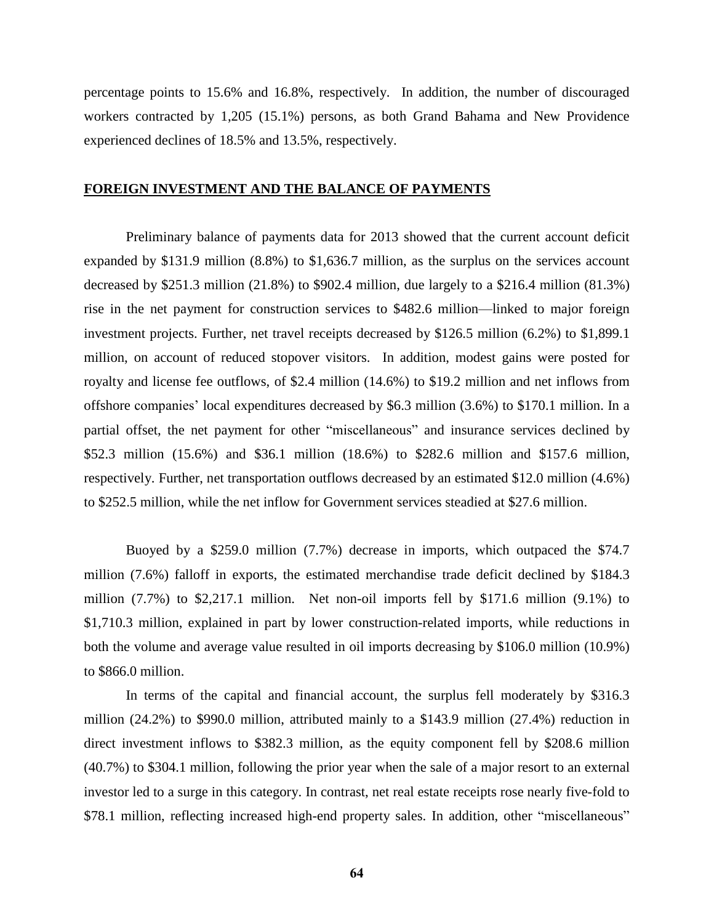percentage points to 15.6% and 16.8%, respectively. In addition, the number of discouraged workers contracted by 1,205 (15.1%) persons, as both Grand Bahama and New Providence experienced declines of 18.5% and 13.5%, respectively.

## **FOREIGN INVESTMENT AND THE BALANCE OF PAYMENTS**

Preliminary balance of payments data for 2013 showed that the current account deficit expanded by \$131.9 million (8.8%) to \$1,636.7 million, as the surplus on the services account decreased by \$251.3 million (21.8%) to \$902.4 million, due largely to a \$216.4 million (81.3%) rise in the net payment for construction services to \$482.6 million—linked to major foreign investment projects. Further, net travel receipts decreased by \$126.5 million (6.2%) to \$1,899.1 million, on account of reduced stopover visitors. In addition, modest gains were posted for royalty and license fee outflows, of \$2.4 million (14.6%) to \$19.2 million and net inflows from offshore companies' local expenditures decreased by \$6.3 million (3.6%) to \$170.1 million. In a partial offset, the net payment for other "miscellaneous" and insurance services declined by \$52.3 million (15.6%) and \$36.1 million (18.6%) to \$282.6 million and \$157.6 million, respectively. Further, net transportation outflows decreased by an estimated \$12.0 million (4.6%) to \$252.5 million, while the net inflow for Government services steadied at \$27.6 million.

Buoyed by a \$259.0 million (7.7%) decrease in imports, which outpaced the \$74.7 million (7.6%) falloff in exports, the estimated merchandise trade deficit declined by \$184.3 million (7.7%) to \$2,217.1 million. Net non-oil imports fell by \$171.6 million (9.1%) to \$1,710.3 million, explained in part by lower construction-related imports, while reductions in both the volume and average value resulted in oil imports decreasing by \$106.0 million (10.9%) to \$866.0 million.

In terms of the capital and financial account, the surplus fell moderately by \$316.3 million  $(24.2\%)$  to \$990.0 million, attributed mainly to a \$143.9 million  $(27.4\%)$  reduction in direct investment inflows to \$382.3 million, as the equity component fell by \$208.6 million (40.7%) to \$304.1 million, following the prior year when the sale of a major resort to an external investor led to a surge in this category. In contrast, net real estate receipts rose nearly five-fold to \$78.1 million, reflecting increased high-end property sales. In addition, other "miscellaneous"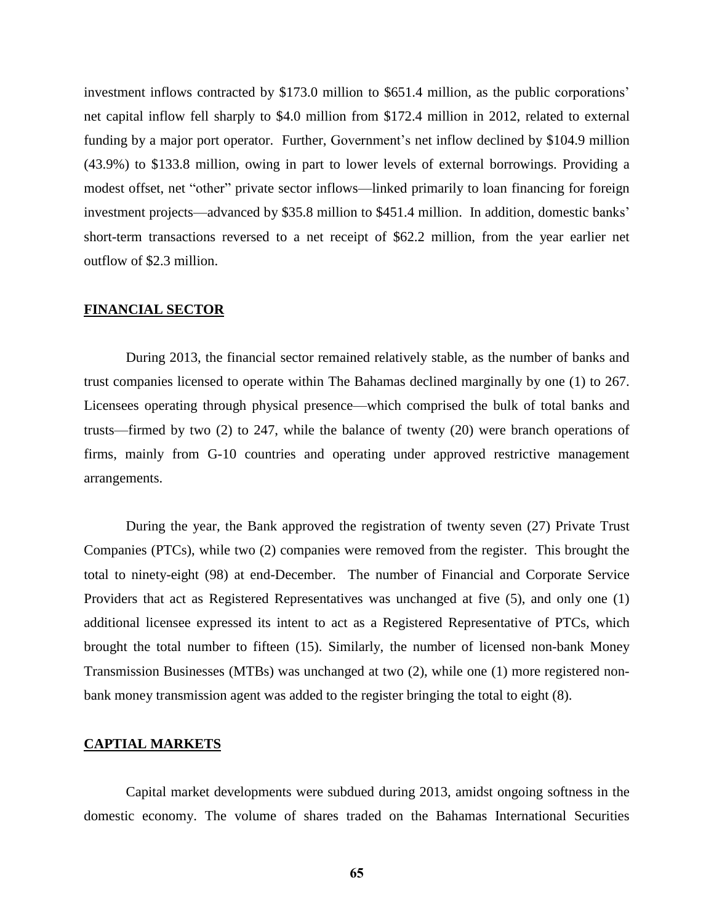investment inflows contracted by \$173.0 million to \$651.4 million, as the public corporations' net capital inflow fell sharply to \$4.0 million from \$172.4 million in 2012, related to external funding by a major port operator. Further, Government's net inflow declined by \$104.9 million (43.9%) to \$133.8 million, owing in part to lower levels of external borrowings. Providing a modest offset, net "other" private sector inflows—linked primarily to loan financing for foreign investment projects—advanced by \$35.8 million to \$451.4 million. In addition, domestic banks' short-term transactions reversed to a net receipt of \$62.2 million, from the year earlier net outflow of \$2.3 million.

#### **FINANCIAL SECTOR**

During 2013, the financial sector remained relatively stable, as the number of banks and trust companies licensed to operate within The Bahamas declined marginally by one (1) to 267. Licensees operating through physical presence—which comprised the bulk of total banks and trusts—firmed by two (2) to 247, while the balance of twenty (20) were branch operations of firms, mainly from G-10 countries and operating under approved restrictive management arrangements.

During the year, the Bank approved the registration of twenty seven (27) Private Trust Companies (PTCs), while two (2) companies were removed from the register. This brought the total to ninety-eight (98) at end-December. The number of Financial and Corporate Service Providers that act as Registered Representatives was unchanged at five (5), and only one (1) additional licensee expressed its intent to act as a Registered Representative of PTCs, which brought the total number to fifteen (15). Similarly, the number of licensed non-bank Money Transmission Businesses (MTBs) was unchanged at two (2), while one (1) more registered nonbank money transmission agent was added to the register bringing the total to eight (8).

## **CAPTIAL MARKETS**

Capital market developments were subdued during 2013, amidst ongoing softness in the domestic economy. The volume of shares traded on the Bahamas International Securities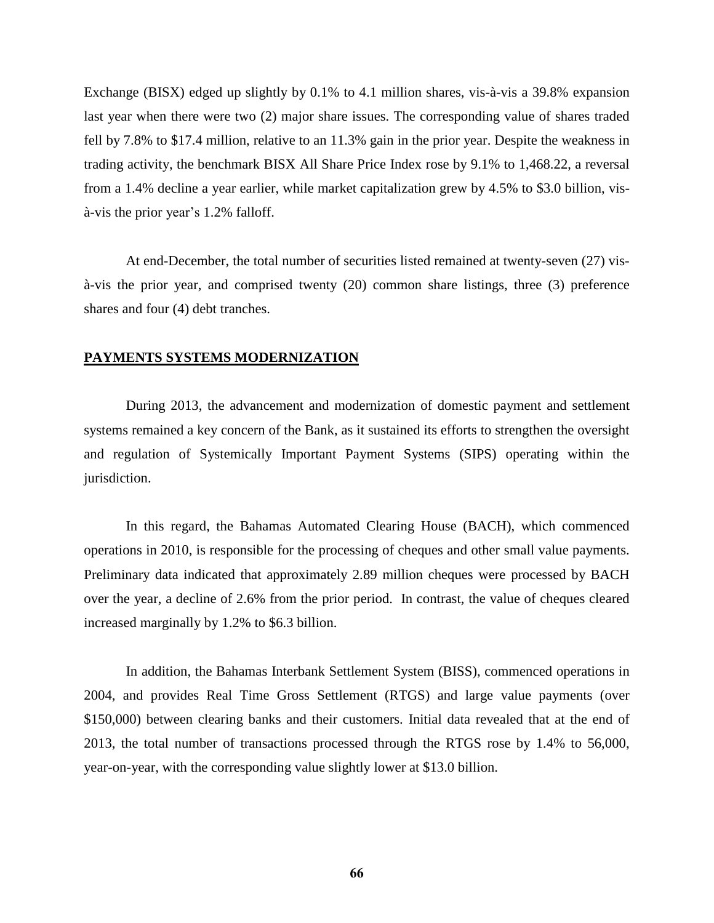Exchange (BISX) edged up slightly by 0.1% to 4.1 million shares, vis-à-vis a 39.8% expansion last year when there were two (2) major share issues. The corresponding value of shares traded fell by 7.8% to \$17.4 million, relative to an 11.3% gain in the prior year. Despite the weakness in trading activity, the benchmark BISX All Share Price Index rose by 9.1% to 1,468.22, a reversal from a 1.4% decline a year earlier, while market capitalization grew by 4.5% to \$3.0 billion, visà-vis the prior year's 1.2% falloff.

At end-December, the total number of securities listed remained at twenty-seven (27) visà-vis the prior year, and comprised twenty (20) common share listings, three (3) preference shares and four (4) debt tranches.

#### **PAYMENTS SYSTEMS MODERNIZATION**

During 2013, the advancement and modernization of domestic payment and settlement systems remained a key concern of the Bank, as it sustained its efforts to strengthen the oversight and regulation of Systemically Important Payment Systems (SIPS) operating within the jurisdiction.

In this regard, the Bahamas Automated Clearing House (BACH), which commenced operations in 2010, is responsible for the processing of cheques and other small value payments. Preliminary data indicated that approximately 2.89 million cheques were processed by BACH over the year, a decline of 2.6% from the prior period. In contrast, the value of cheques cleared increased marginally by 1.2% to \$6.3 billion.

In addition, the Bahamas Interbank Settlement System (BISS), commenced operations in 2004, and provides Real Time Gross Settlement (RTGS) and large value payments (over \$150,000) between clearing banks and their customers. Initial data revealed that at the end of 2013, the total number of transactions processed through the RTGS rose by 1.4% to 56,000, year-on-year, with the corresponding value slightly lower at \$13.0 billion.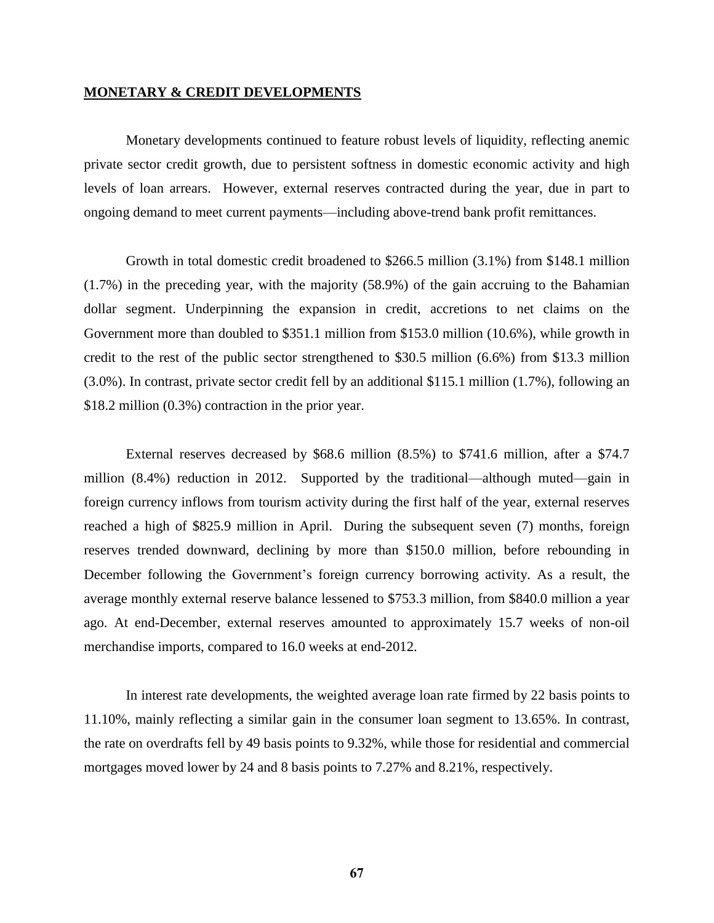#### **MONETARY & CREDIT DEVELOPMENTS**

Monetary developments continued to feature robust levels of liquidity, reflecting anemic private sector credit growth, due to persistent softness in domestic economic activity and high levels of loan arrears. However, external reserves contracted during the year, due in part to ongoing demand to meet current payments—including above-trend bank profit remittances.

Growth in total domestic credit broadened to \$266.5 million (3.1%) from \$148.1 million (1.7%) in the preceding year, with the majority (58.9%) of the gain accruing to the Bahamian dollar segment. Underpinning the expansion in credit, accretions to net claims on the Government more than doubled to \$351.1 million from \$153.0 million (10.6%), while growth in credit to the rest of the public sector strengthened to \$30.5 million (6.6%) from \$13.3 million (3.0%). In contrast, private sector credit fell by an additional \$115.1 million (1.7%), following an \$18.2 million (0.3%) contraction in the prior year.

External reserves decreased by \$68.6 million (8.5%) to \$741.6 million, after a \$74.7 million (8.4%) reduction in 2012. Supported by the traditional—although muted—gain in foreign currency inflows from tourism activity during the first half of the year, external reserves reached a high of \$825.9 million in April. During the subsequent seven (7) months, foreign reserves trended downward, declining by more than \$150.0 million, before rebounding in December following the Government's foreign currency borrowing activity. As a result, the average monthly external reserve balance lessened to \$753.3 million, from \$840.0 million a year ago. At end-December, external reserves amounted to approximately 15.7 weeks of non-oil merchandise imports, compared to 16.0 weeks at end-2012.

In interest rate developments, the weighted average loan rate firmed by 22 basis points to 11.10%, mainly reflecting a similar gain in the consumer loan segment to 13.65%. In contrast, the rate on overdrafts fell by 49 basis points to 9.32%, while those for residential and commercial mortgages moved lower by 24 and 8 basis points to 7.27% and 8.21%, respectively.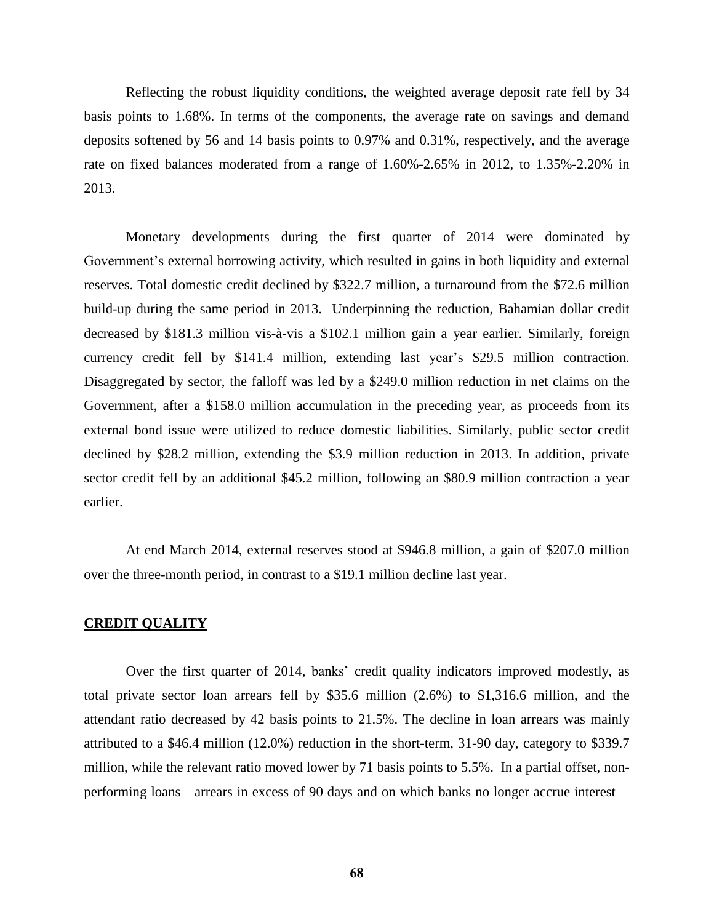Reflecting the robust liquidity conditions, the weighted average deposit rate fell by 34 basis points to 1.68%. In terms of the components, the average rate on savings and demand deposits softened by 56 and 14 basis points to 0.97% and 0.31%, respectively, and the average rate on fixed balances moderated from a range of 1.60%-2.65% in 2012, to 1.35%-2.20% in 2013.

Monetary developments during the first quarter of 2014 were dominated by Government's external borrowing activity, which resulted in gains in both liquidity and external reserves. Total domestic credit declined by \$322.7 million, a turnaround from the \$72.6 million build-up during the same period in 2013. Underpinning the reduction, Bahamian dollar credit decreased by \$181.3 million vis-à-vis a \$102.1 million gain a year earlier. Similarly, foreign currency credit fell by \$141.4 million, extending last year's \$29.5 million contraction. Disaggregated by sector, the falloff was led by a \$249.0 million reduction in net claims on the Government, after a \$158.0 million accumulation in the preceding year, as proceeds from its external bond issue were utilized to reduce domestic liabilities. Similarly, public sector credit declined by \$28.2 million, extending the \$3.9 million reduction in 2013. In addition, private sector credit fell by an additional \$45.2 million, following an \$80.9 million contraction a year earlier.

At end March 2014, external reserves stood at \$946.8 million, a gain of \$207.0 million over the three-month period, in contrast to a \$19.1 million decline last year.

### **CREDIT QUALITY**

Over the first quarter of 2014, banks' credit quality indicators improved modestly, as total private sector loan arrears fell by \$35.6 million (2.6%) to \$1,316.6 million, and the attendant ratio decreased by 42 basis points to 21.5%. The decline in loan arrears was mainly attributed to a \$46.4 million (12.0%) reduction in the short-term, 31-90 day, category to \$339.7 million, while the relevant ratio moved lower by 71 basis points to 5.5%. In a partial offset, nonperforming loans—arrears in excess of 90 days and on which banks no longer accrue interest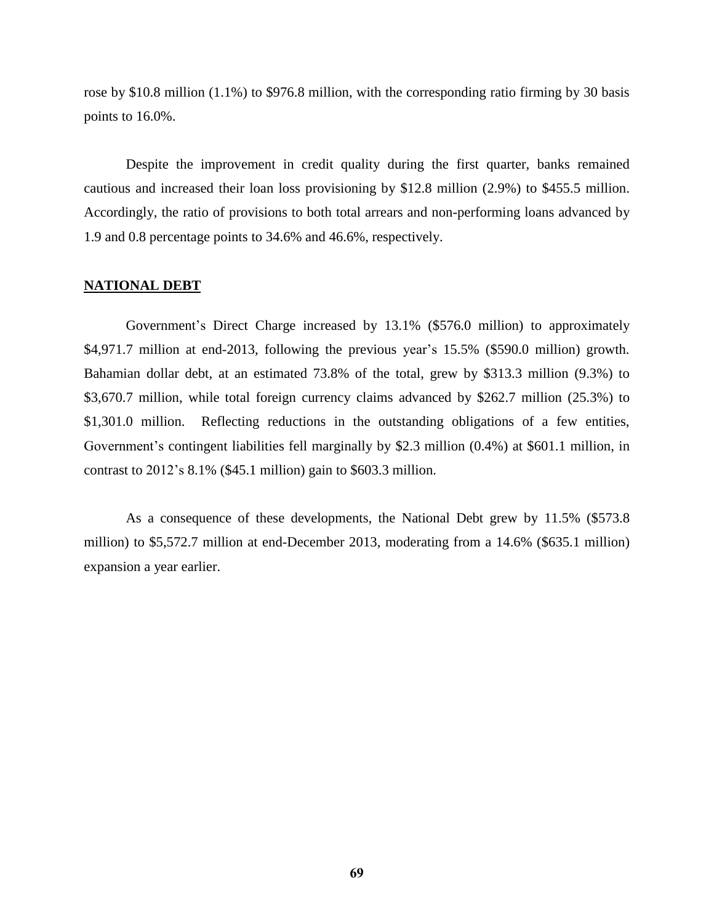rose by \$10.8 million (1.1%) to \$976.8 million, with the corresponding ratio firming by 30 basis points to 16.0%.

Despite the improvement in credit quality during the first quarter, banks remained cautious and increased their loan loss provisioning by \$12.8 million (2.9%) to \$455.5 million. Accordingly, the ratio of provisions to both total arrears and non-performing loans advanced by 1.9 and 0.8 percentage points to 34.6% and 46.6%, respectively.

## **NATIONAL DEBT**

Government's Direct Charge increased by 13.1% (\$576.0 million) to approximately \$4,971.7 million at end-2013, following the previous year's 15.5% (\$590.0 million) growth. Bahamian dollar debt, at an estimated 73.8% of the total, grew by \$313.3 million (9.3%) to \$3,670.7 million, while total foreign currency claims advanced by \$262.7 million (25.3%) to \$1,301.0 million. Reflecting reductions in the outstanding obligations of a few entities, Government's contingent liabilities fell marginally by \$2.3 million (0.4%) at \$601.1 million, in contrast to 2012's 8.1% (\$45.1 million) gain to \$603.3 million.

As a consequence of these developments, the National Debt grew by 11.5% (\$573.8 million) to \$5,572.7 million at end-December 2013, moderating from a 14.6% (\$635.1 million) expansion a year earlier.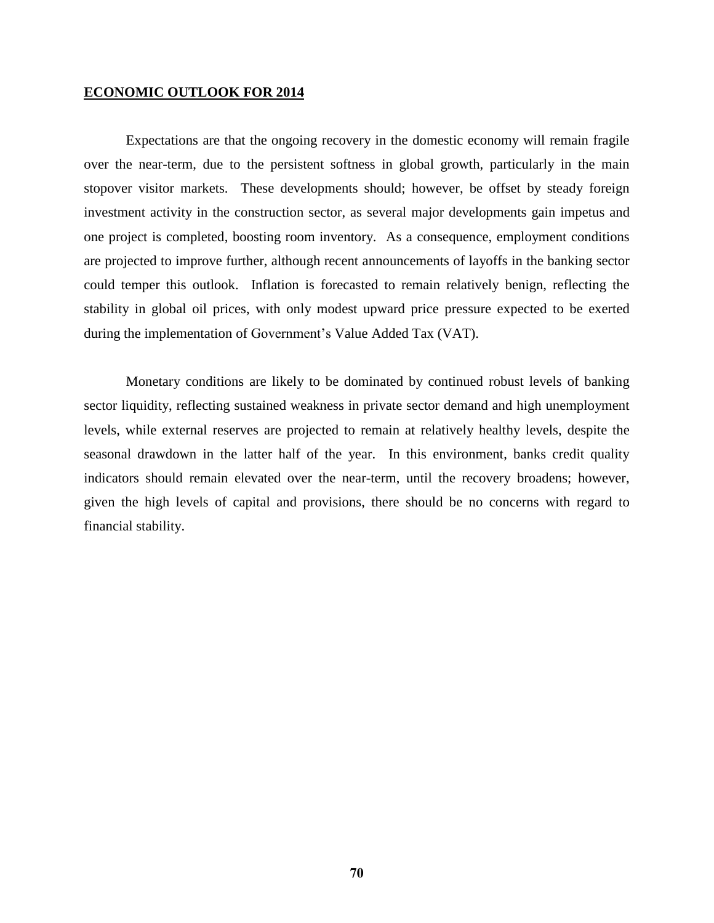## **ECONOMIC OUTLOOK FOR 2014**

Expectations are that the ongoing recovery in the domestic economy will remain fragile over the near-term, due to the persistent softness in global growth, particularly in the main stopover visitor markets. These developments should; however, be offset by steady foreign investment activity in the construction sector, as several major developments gain impetus and one project is completed, boosting room inventory. As a consequence, employment conditions are projected to improve further, although recent announcements of layoffs in the banking sector could temper this outlook. Inflation is forecasted to remain relatively benign, reflecting the stability in global oil prices, with only modest upward price pressure expected to be exerted during the implementation of Government's Value Added Tax (VAT).

Monetary conditions are likely to be dominated by continued robust levels of banking sector liquidity, reflecting sustained weakness in private sector demand and high unemployment levels, while external reserves are projected to remain at relatively healthy levels, despite the seasonal drawdown in the latter half of the year. In this environment, banks credit quality indicators should remain elevated over the near-term, until the recovery broadens; however, given the high levels of capital and provisions, there should be no concerns with regard to financial stability.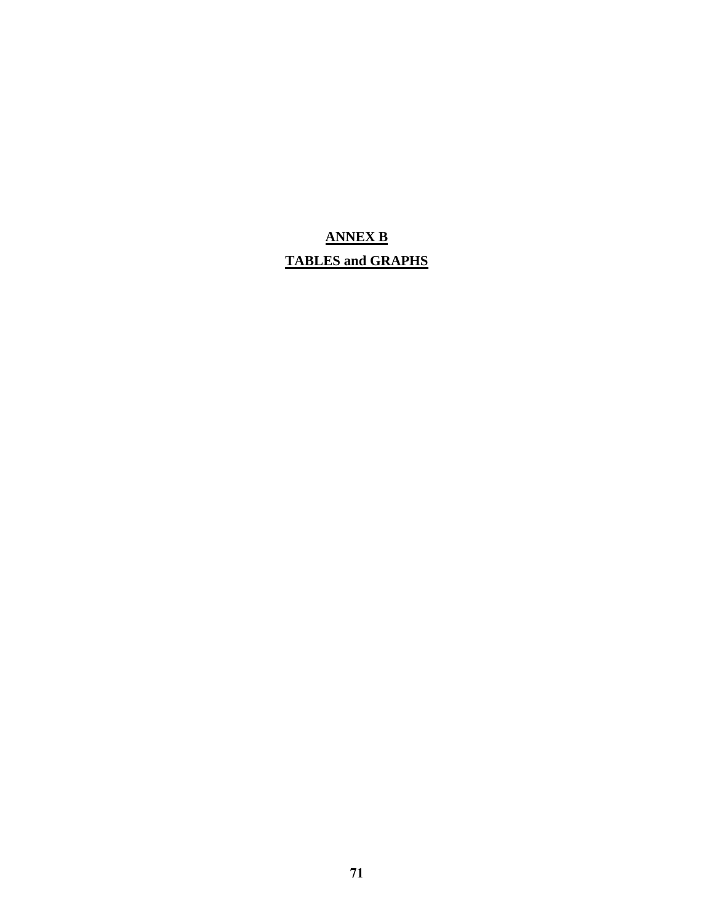## **ANNEX B TABLES and GRAPHS**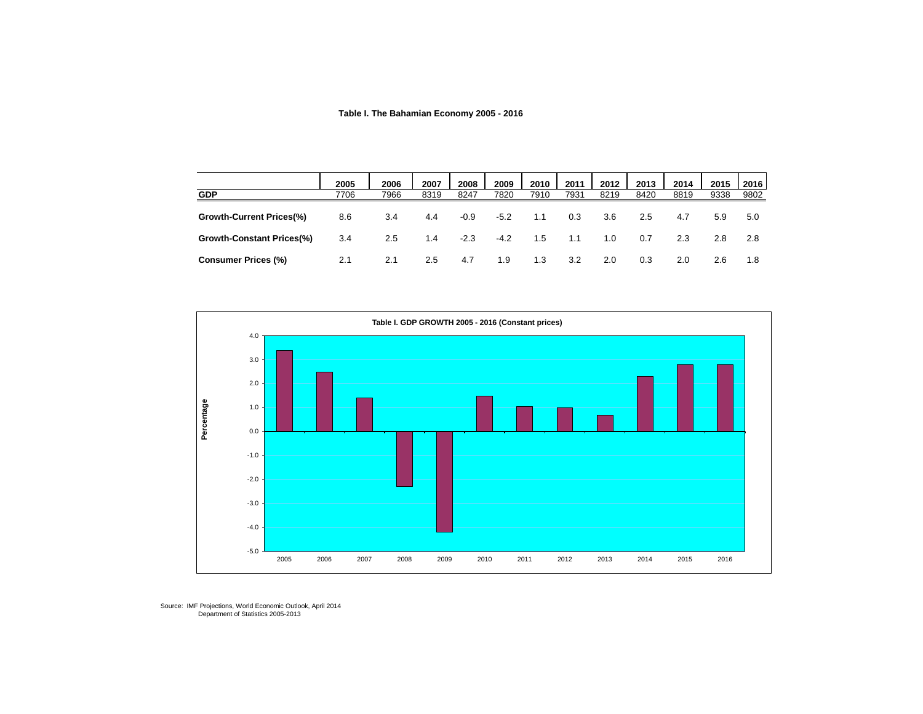## **Table I. The Bahamian Economy 2005 - 2016**

|                                 | 2005 | 2006 | 2007 | 2008   | 2009   | 2010 | 2011 | 2012 | 2013 | 2014 | 2015 | 2016 |
|---------------------------------|------|------|------|--------|--------|------|------|------|------|------|------|------|
| <b>GDP</b>                      | 7706 | 7966 | 8319 | 8247   | 7820   | 7910 | 7931 | 8219 | 8420 | 8819 | 9338 | 9802 |
| <b>Growth-Current Prices(%)</b> | 8.6  | 3.4  | 4.4  | $-0.9$ | $-5.2$ | 1.1  | 0.3  | 3.6  | 2.5  | 4.7  | 5.9  | 5.0  |
| Growth-Constant Prices(%)       | 3.4  | 2.5  | 1.4  | $-2.3$ | $-4.2$ | 1.5  | 1.1  | 1.0  | 0.7  | 2.3  | 2.8  | 2.8  |
| <b>Consumer Prices (%)</b>      | 2.1  | 2.1  | 2.5  | 4.7    | 1.9    | 1.3  | 3.2  | 2.0  | 0.3  | 2.0  | 2.6  | 1.8  |



Source: IMF Projections, World Economic Outlook, April 2014 Department of Statistics 2005-2013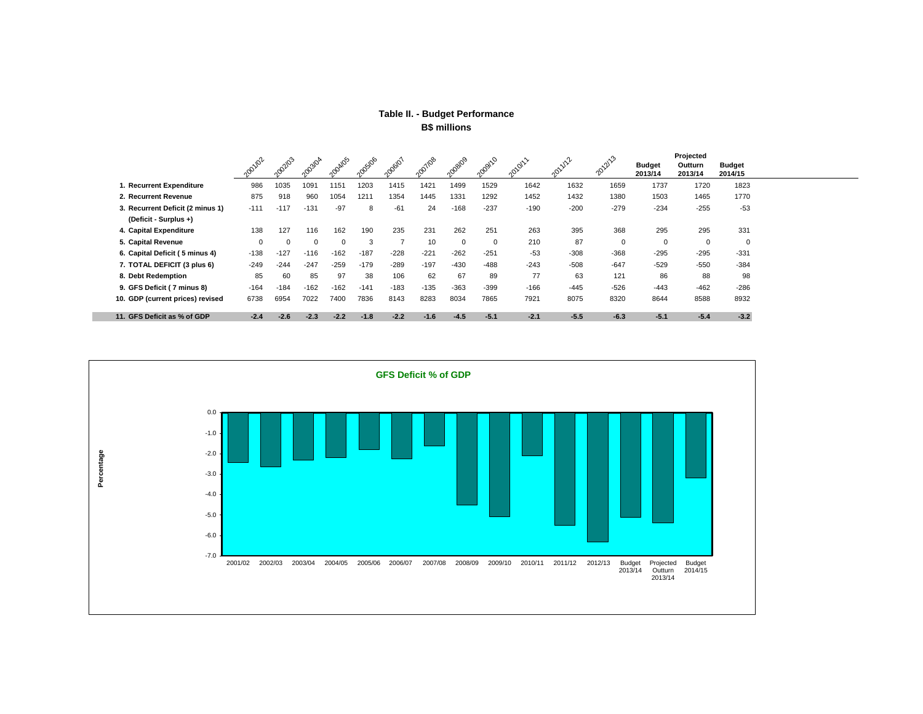## **Table II. - Budget Performance B\$ millions**

|                                  | 201102 | 1002103  | 203/04   | 2004/05 | 1005/06 | 1006/01 | 2007/08 | 1008/09  | 2009/10  | 2010/11 | 2011/12 | 201213   | <b>Budget</b><br>2013/14 | Projected<br>Outturn<br>2013/14 | <b>Budget</b><br>2014/15 |
|----------------------------------|--------|----------|----------|---------|---------|---------|---------|----------|----------|---------|---------|----------|--------------------------|---------------------------------|--------------------------|
| 1. Recurrent Expenditure         | 986    | 1035     | 1091     | 1151    | 1203    | 1415    | 1421    | 1499     | 1529     | 1642    | 1632    | 1659     | 1737                     | 1720                            | 1823                     |
| 2. Recurrent Revenue             | 875    | 918      | 960      | 1054    | 1211    | 1354    | 1445    | 1331     | 1292     | 1452    | 1432    | 1380     | 1503                     | 1465                            | 1770                     |
| 3. Recurrent Deficit (2 minus 1) | $-111$ | $-117$   | $-131$   | $-97$   | 8       | $-61$   | 24      | $-168$   | $-237$   | $-190$  | $-200$  | $-279$   | $-234$                   | $-255$                          | $-53$                    |
| (Deficit - Surplus +)            |        |          |          |         |         |         |         |          |          |         |         |          |                          |                                 |                          |
| 4. Capital Expenditure           | 138    | 127      | 116      | 162     | 190     | 235     | 231     | 262      | 251      | 263     | 395     | 368      | 295                      | 295                             | 331                      |
| 5. Capital Revenue               |        | $\Omega$ | $\Omega$ |         | 3       |         | 10      | $\Omega$ | $\Omega$ | 210     | 87      | $\Omega$ | $\mathbf 0$              | $\Omega$                        | $^{\circ}$               |
| 6. Capital Deficit (5 minus 4)   | $-138$ | $-127$   | $-116$   | $-162$  | $-187$  | $-228$  | $-221$  | $-262$   | $-251$   | $-53$   | $-308$  | $-368$   | $-295$                   | $-295$                          | $-331$                   |
| 7. TOTAL DEFICIT (3 plus 6)      | $-249$ | $-244$   | $-247$   | $-259$  | $-179$  | $-289$  | $-197$  | $-430$   | $-488$   | $-243$  | $-508$  | $-647$   | $-529$                   | -550                            | $-384$                   |
| 8. Debt Redemption               | 85     | 60       | 85       | 97      | 38      | 106     | 62      | 67       | 89       | 77      | 63      | 121      | 86                       | 88                              | 98                       |
| 9. GFS Deficit (7 minus 8)       | $-164$ | $-184$   | $-162$   | $-162$  | $-141$  | $-183$  | $-135$  | $-363$   | $-399$   | $-166$  | $-445$  | $-526$   | $-443$                   | $-462$                          | $-286$                   |
| 10. GDP (current prices) revised | 6738   | 6954     | 7022     | 7400    | 7836    | 8143    | 8283    | 8034     | 7865     | 7921    | 8075    | 8320     | 8644                     | 8588                            | 8932                     |
| 11. GFS Deficit as % of GDP      | $-2.4$ | $-2.6$   | $-2.3$   | $-2.2$  | $-1.8$  | $-2.2$  | $-1.6$  | $-4.5$   | $-5.1$   | $-2.1$  | $-5.5$  | $-6.3$   | $-5.1$                   | $-5.4$                          | $-3.2$                   |

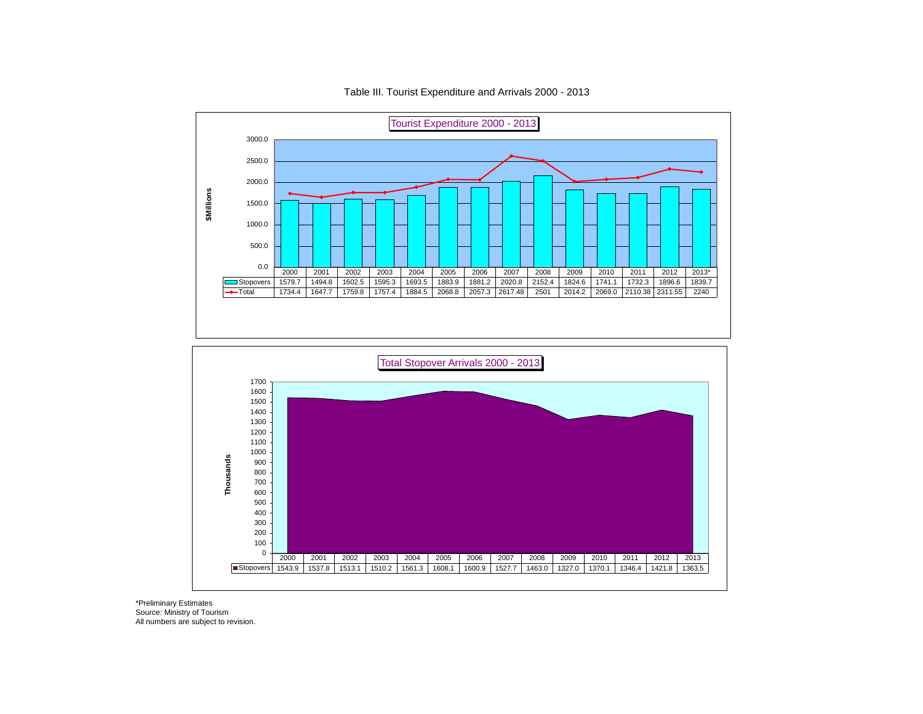

Table III. Tourist Expenditure and Arrivals 2000 - 2013

\*Preliminary Estimates Source: Ministry of Tourism All numbers are subject to revision.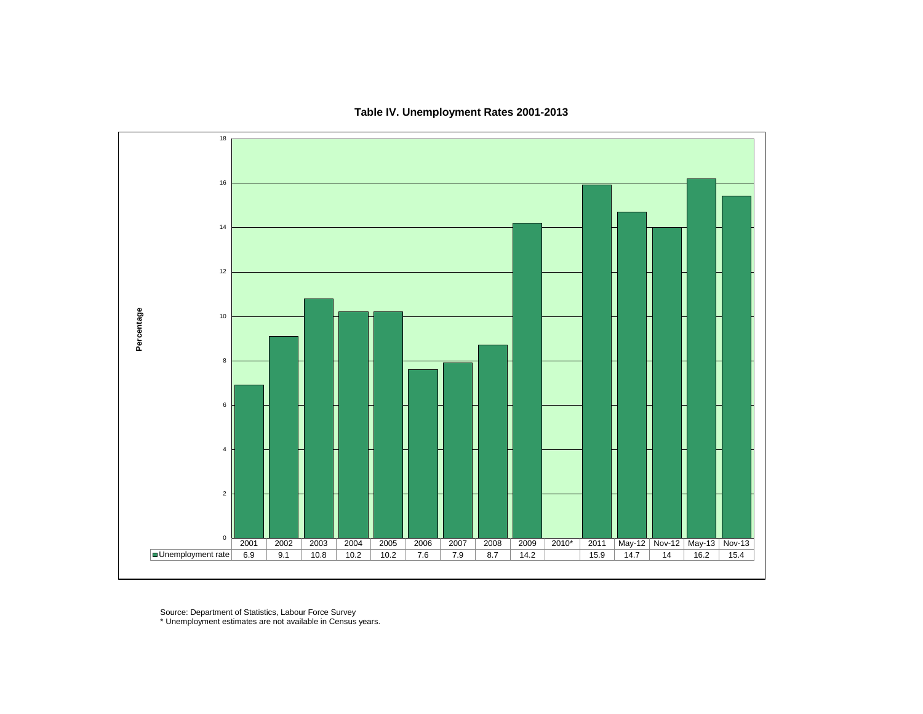Percentage **Percentage** 2002 2003 2004 2005 2006 2007 2008 2009 2010\* 2011 May-12 Nov-12 May-13 Nov-13 Unemployment rate 6.9 9.1 10.8 10.2 10.2 7.6 7.9 8.7 14.2 15.9 14.7 14 16.2 15.4

**Table IV. Unemployment Rates 2001-2013**

Source: Department of Statistics, Labour Force Survey

\* Unemployment estimates are not available in Census years.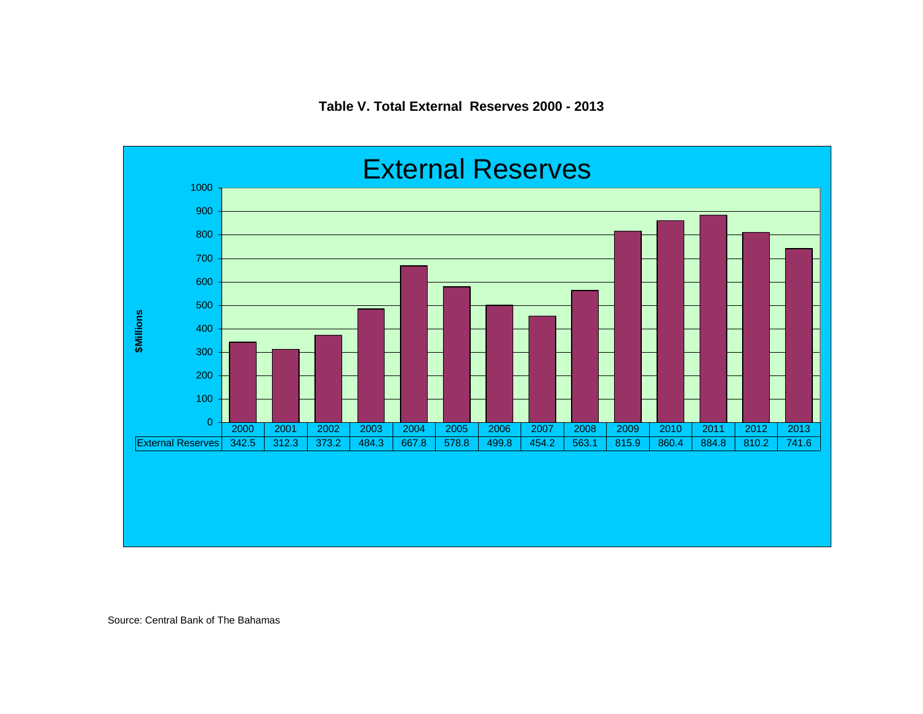

Source: Central Bank of The Bahamas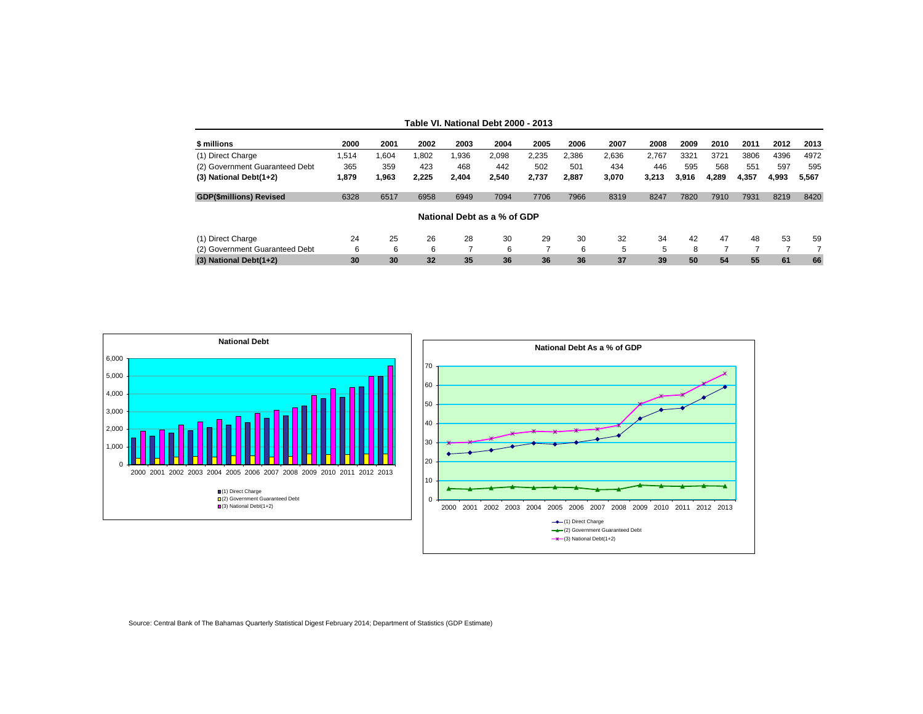|  |  | Table VI. National Debt 2000 - 2013 |  |  |  |
|--|--|-------------------------------------|--|--|--|
|--|--|-------------------------------------|--|--|--|

| \$ millions                    | 2000  | 2001  | 2002  | 2003  | 2004                        | 2005  | 2006  | 2007  | 2008  | 2009  | 2010  | 2011  | 2012  | 2013  |
|--------------------------------|-------|-------|-------|-------|-----------------------------|-------|-------|-------|-------|-------|-------|-------|-------|-------|
| (1) Direct Charge              | .514  | 1.604 | .802  | .936  | 2,098                       | 2,235 | 2.386 | 2,636 | 2.767 | 3321  | 3721  | 3806  | 4396  | 4972  |
| (2) Government Guaranteed Debt | 365   | 359   | 423   | 468   | 442                         | 502   | 501   | 434   | 446   | 595   | 568   | 551   | 597   | 595   |
| $(3)$ National Debt $(1+2)$    | 1.879 | 1,963 | 2.225 | 2.404 | 2.540                       | 2.737 | 2.887 | 3.070 | 3.213 | 3.916 | 4.289 | 4.357 | 4.993 | 5,567 |
| <b>GDP(\$millions) Revised</b> | 6328  | 6517  | 6958  | 6949  | 7094                        | 7706  | 7966  | 8319  | 8247  | 7820  | 7910  | 7931  | 8219  | 8420  |
|                                |       |       |       |       | National Debt as a % of GDP |       |       |       |       |       |       |       |       |       |
| (1) Direct Charge              | 24    | 25    | 26    | 28    | 30                          | 29    | 30    | 32    | 34    | 42    | 47    | 48    | 53    | 59    |
| (2) Government Guaranteed Debt | 6     | 6     | 6     |       | 6                           |       | 6     | 5     | 5     | 8     |       |       |       |       |
| $(3)$ National Debt $(1+2)$    | 30    | 30    | 32    | 35    | 36                          | 36    | 36    | 37    | 39    | 50    | 54    | 55    | 61    | 66    |



Source: Central Bank of The Bahamas Quarterly Statistical Digest February 2014; Department of Statistics (GDP Estimate)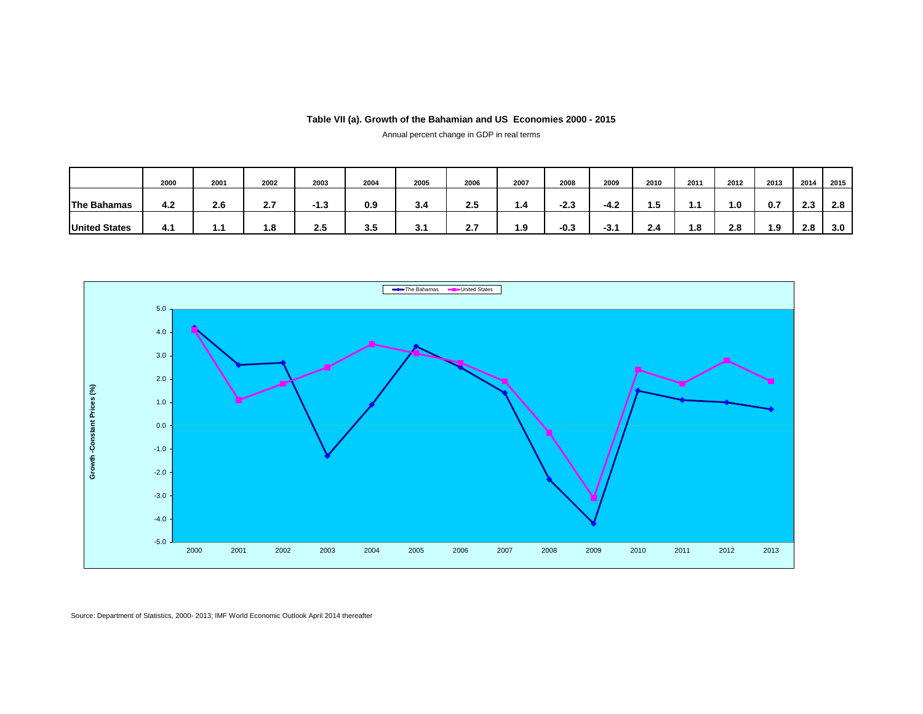### **Table VII (a). Growth of the Bahamian and US Economies 2000 - 2015**

Annual percent change in GDP in real terms

|                      | 2000 | 2001 | 2002 | 2003   | 2004 | 2005 | 2006 | 2007 | 2008   | 2009   | 2010 | 2011 | 2012           | 2013 | 2014 | 2015 |
|----------------------|------|------|------|--------|------|------|------|------|--------|--------|------|------|----------------|------|------|------|
| <b>The Bahamas</b>   | 4.2  | 2.6  | 2.7  | $-1.3$ | 0.9  | 3.4  | 2.5  | 1.4  | $-2.3$ | $-4.2$ | 1.5  |      | $\mathbf{0}$ . | 0.7  | 2.3  | 2.8  |
| <b>United States</b> | 4.1  | 1.1  | 1.8  | 2.5    | 3.5  | 3.1  | 2.7  | 1.9  | $-0.3$ | $-3.1$ | 2.4  | 1.8  | 2.8            | 1.9  | 2.8  | 3.0  |



Source: Department of Statistics, 2000- 2013; IMF World Economic Outlook April 2014 thereafter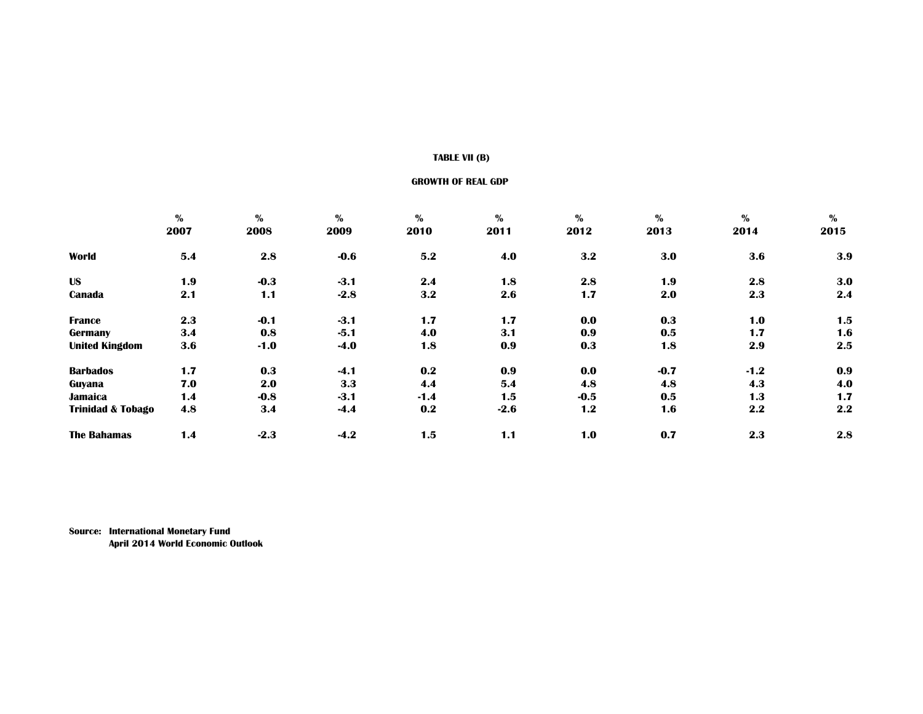## **TABLE VII (B)**

#### **GROWTH OF REAL GDP**

|                              | $\%$ | $\%$   | $\%$   | $\%$   | $\%$   | $\%$   | $\frac{1}{2}$ | $\mathbf{0}_{\mathbf{0}}^{\prime}$ | $\frac{0}{0}$    |
|------------------------------|------|--------|--------|--------|--------|--------|---------------|------------------------------------|------------------|
|                              | 2007 | 2008   | 2009   | 2010   | 2011   | 2012   | 2013          | 2014                               | 2015             |
| World                        | 5.4  | 2.8    | $-0.6$ | 5.2    | 4.0    | 3.2    | 3.0           | 3.6                                | 3.9              |
| <b>US</b>                    | 1.9  | $-0.3$ | $-3.1$ | 2.4    | 1.8    | 2.8    | 1.9           | 2.8                                | 3.0              |
| Canada                       | 2.1  | 1.1    | $-2.8$ | 3.2    | 2.6    | 1.7    | 2.0           | 2.3                                | 2.4              |
| <b>France</b>                | 2.3  | $-0.1$ | $-3.1$ | 1.7    | 1.7    | 0.0    | 0.3           | 1.0                                | 1.5              |
| Germany                      | 3.4  | 0.8    | $-5.1$ | 4.0    | 3.1    | 0.9    | 0.5           | 1.7                                | 1.6              |
| <b>United Kingdom</b>        | 3.6  | $-1.0$ | $-4.0$ | 1.8    | 0.9    | 0.3    | 1.8           | 2.9                                | $2.5\phantom{0}$ |
| <b>Barbados</b>              | 1.7  | 0.3    | $-4.1$ | 0.2    | 0.9    | 0.0    | $-0.7$        | $-1.2$                             | 0.9              |
| Guyana                       | 7.0  | 2.0    | 3.3    | 4.4    | 5.4    | 4.8    | 4.8           | 4.3                                | 4.0              |
| <b>Jamaica</b>               | 1.4  | $-0.8$ | $-3.1$ | $-1.4$ | 1.5    | $-0.5$ | 0.5           | 1.3                                | 1.7              |
| <b>Trinidad &amp; Tobago</b> | 4.8  | 3.4    | $-4.4$ | 0.2    | $-2.6$ | 1.2    | 1.6           | 2.2                                | 2.2              |
| <b>The Bahamas</b>           | 1.4  | $-2.3$ | $-4.2$ | 1.5    | 1.1    | 1.0    | 0.7           | 2.3                                | 2.8              |

**Source: International Monetary Fund April 2014 World Economic Outlook**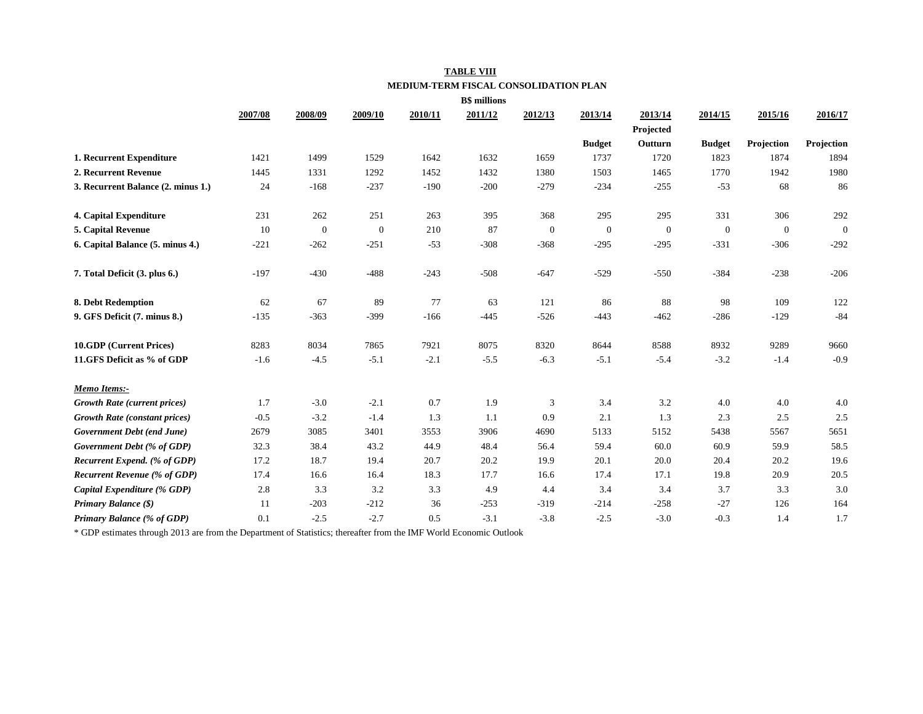## **TABLE VIII MEDIUM-TERM FISCAL CONSOLIDATION PLAN**

|                                      |         |                  |              |         | <b>B\$</b> millions |              |               |              |                  |              |              |
|--------------------------------------|---------|------------------|--------------|---------|---------------------|--------------|---------------|--------------|------------------|--------------|--------------|
|                                      | 2007/08 | 2008/09          | 2009/10      | 2010/11 | 2011/12             | 2012/13      | 2013/14       | 2013/14      | 2014/15          | 2015/16      | 2016/17      |
|                                      |         |                  |              |         |                     |              |               | Projected    |                  |              |              |
|                                      |         |                  |              |         |                     |              | <b>Budget</b> | Outturn      | <b>Budget</b>    | Projection   | Projection   |
| 1. Recurrent Expenditure             | 1421    | 1499             | 1529         | 1642    | 1632                | 1659         | 1737          | 1720         | 1823             | 1874         | 1894         |
| 2. Recurrent Revenue                 | 1445    | 1331             | 1292         | 1452    | 1432                | 1380         | 1503          | 1465         | 1770             | 1942         | 1980         |
| 3. Recurrent Balance (2. minus 1.)   | 24      | $-168$           | $-237$       | $-190$  | $-200$              | $-279$       | $-234$        | $-255$       | $-53$            | 68           | 86           |
| 4. Capital Expenditure               | 231     | 262              | 251          | 263     | 395                 | 368          | 295           | 295          | 331              | 306          | 292          |
| 5. Capital Revenue                   | 10      | $\boldsymbol{0}$ | $\mathbf{0}$ | 210     | 87                  | $\mathbf{0}$ | $\mathbf{0}$  | $\mathbf{0}$ | $\boldsymbol{0}$ | $\mathbf{0}$ | $\mathbf{0}$ |
| 6. Capital Balance (5. minus 4.)     | $-221$  | $-262$           | $-251$       | $-53$   | $-308$              | $-368$       | $-295$        | $-295$       | $-331$           | $-306$       | $-292$       |
| 7. Total Deficit (3. plus 6.)        | $-197$  | $-430$           | $-488$       | $-243$  | $-508$              | $-647$       | $-529$        | $-550$       | $-384$           | $-238$       | $-206$       |
| 8. Debt Redemption                   | 62      | 67               | 89           | 77      | 63                  | 121          | 86            | 88           | 98               | 109          | 122          |
| 9. GFS Deficit (7. minus 8.)         | $-135$  | $-363$           | $-399$       | $-166$  | $-445$              | $-526$       | $-443$        | $-462$       | $-286$           | $-129$       | $-84$        |
| 10.GDP (Current Prices)              | 8283    | 8034             | 7865         | 7921    | 8075                | 8320         | 8644          | 8588         | 8932             | 9289         | 9660         |
| 11.GFS Deficit as % of GDP           | $-1.6$  | $-4.5$           | $-5.1$       | $-2.1$  | $-5.5$              | $-6.3$       | $-5.1$        | $-5.4$       | $-3.2$           | $-1.4$       | $-0.9$       |
| Memo Items:-                         |         |                  |              |         |                     |              |               |              |                  |              |              |
| <b>Growth Rate (current prices)</b>  | 1.7     | $-3.0$           | $-2.1$       | 0.7     | 1.9                 | 3            | 3.4           | 3.2          | 4.0              | 4.0          | 4.0          |
| <b>Growth Rate (constant prices)</b> | $-0.5$  | $-3.2$           | $-1.4$       | 1.3     | 1.1                 | 0.9          | 2.1           | 1.3          | 2.3              | 2.5          | 2.5          |
| Government Debt (end June)           | 2679    | 3085             | 3401         | 3553    | 3906                | 4690         | 5133          | 5152         | 5438             | 5567         | 5651         |
| Government Debt (% of GDP)           | 32.3    | 38.4             | 43.2         | 44.9    | 48.4                | 56.4         | 59.4          | 60.0         | 60.9             | 59.9         | 58.5         |
| Recurrent Expend. (% of GDP)         | 17.2    | 18.7             | 19.4         | 20.7    | 20.2                | 19.9         | 20.1          | 20.0         | 20.4             | 20.2         | 19.6         |
| <b>Recurrent Revenue (% of GDP)</b>  | 17.4    | 16.6             | 16.4         | 18.3    | 17.7                | 16.6         | 17.4          | 17.1         | 19.8             | 20.9         | 20.5         |
| Capital Expenditure (% GDP)          | 2.8     | 3.3              | 3.2          | 3.3     | 4.9                 | 4.4          | 3.4           | 3.4          | 3.7              | 3.3          | 3.0          |
| Primary Balance (\$)                 | 11      | $-203$           | $-212$       | 36      | $-253$              | $-319$       | $-214$        | $-258$       | $-27$            | 126          | 164          |
| Primary Balance (% of GDP)           | 0.1     | $-2.5$           | $-2.7$       | 0.5     | $-3.1$              | $-3.8$       | $-2.5$        | $-3.0$       | $-0.3$           | 1.4          | 1.7          |

\* GDP estimates through 2013 are from the Department of Statistics; thereafter from the IMF World Economic Outlook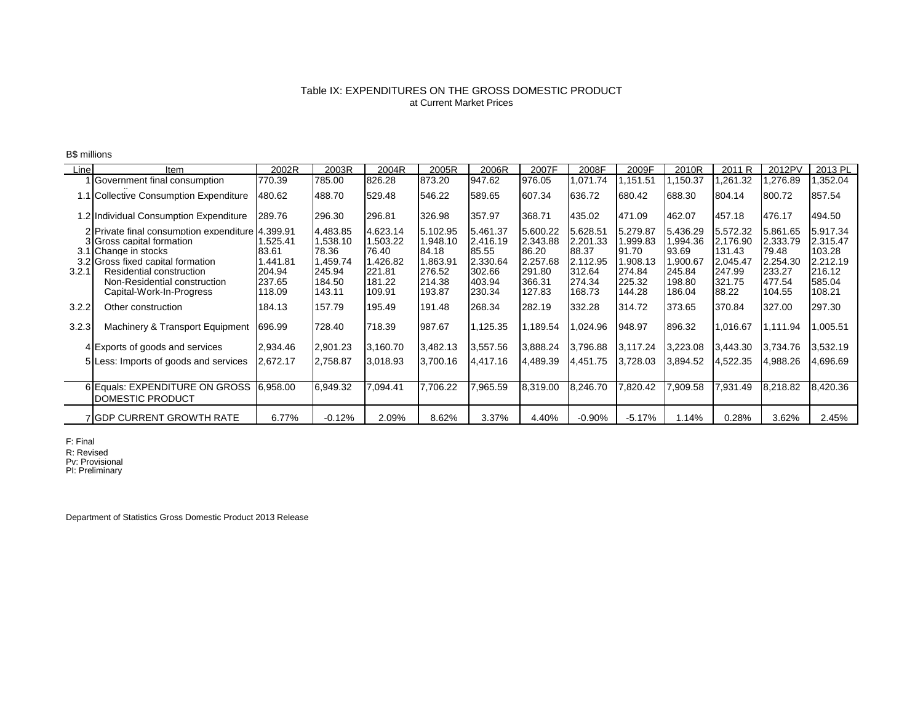## at Current Market Prices Table IX: EXPENDITURES ON THE GROSS DOMESTIC PRODUCT

B\$ millions

| Line  | ltem                                                                                                                                                                                                                                | 2002R                                                     | 2003R                                                                   | 2004R                                                                   | 2005R                                                                   | 2006R                                                                   | 2007F                                                                   | 2008F                                                                   | 2009F                                                                   | 2010R                                                                    | 2011 R                                                                  | 2012PV                                                                  | 2013 PL                                                                  |
|-------|-------------------------------------------------------------------------------------------------------------------------------------------------------------------------------------------------------------------------------------|-----------------------------------------------------------|-------------------------------------------------------------------------|-------------------------------------------------------------------------|-------------------------------------------------------------------------|-------------------------------------------------------------------------|-------------------------------------------------------------------------|-------------------------------------------------------------------------|-------------------------------------------------------------------------|--------------------------------------------------------------------------|-------------------------------------------------------------------------|-------------------------------------------------------------------------|--------------------------------------------------------------------------|
|       | Government final consumption                                                                                                                                                                                                        | 770.39                                                    | 785.00                                                                  | 826.28                                                                  | 873.20                                                                  | 947.62                                                                  | 976.05                                                                  | 1,071.74                                                                | 1,151.51                                                                | ,150.37                                                                  | ,261.32                                                                 | ,276.89                                                                 | 1,352.04                                                                 |
|       | 1.1 Collective Consumption Expenditure                                                                                                                                                                                              | 480.62                                                    | 488.70                                                                  | 529.48                                                                  | 546.22                                                                  | 589.65                                                                  | 607.34                                                                  | 636.72                                                                  | 680.42                                                                  | 688.30                                                                   | 804.14                                                                  | 800.72                                                                  | 857.54                                                                   |
|       | 1.2 Individual Consumption Expenditure                                                                                                                                                                                              | 289.76                                                    | 296.30                                                                  | 296.81                                                                  | 326.98                                                                  | 357.97                                                                  | 368.71                                                                  | 435.02                                                                  | 471.09                                                                  | 462.07                                                                   | 457.18                                                                  | 476.17                                                                  | 494.50                                                                   |
| 3.2.1 | 2 Private final consumption expenditure 14.399.91<br>3 Gross capital formation<br>3.1 Change in stocks<br>3.2 Gross fixed capital formation<br>Residential construction<br>Non-Residential construction<br>Capital-Work-In-Progress | .525.41<br>83.61<br>.441.81<br>204.94<br>237.65<br>118.09 | 4,483.85<br>1,538.10<br>78.36<br>1,459.74<br>245.94<br>184.50<br>143.11 | 4.623.14<br>1.503.22<br>76.40<br>1.426.82<br>221.81<br>181.22<br>109.91 | 5,102.95<br>1.948.10<br>84.18<br>1,863.91<br>276.52<br>214.38<br>193.87 | 5,461.37<br>2.416.19<br>85.55<br>2.330.64<br>302.66<br>403.94<br>230.34 | 5,600.22<br>2.343.88<br>86.20<br>2,257.68<br>291.80<br>366.31<br>127.83 | 5,628.51<br>2,201.33<br>88.37<br>2.112.95<br>312.64<br>274.34<br>168.73 | 5,279.87<br>1,999.83<br>91.70<br>1.908.13<br>274.84<br>225.32<br>144.28 | 5.436.29<br>994.36. ا<br>93.69<br>1.900.67<br>245.84<br>198.80<br>186.04 | 5,572.32<br>2,176.90<br>131.43<br>2,045.47<br>247.99<br>321.75<br>88.22 | 5,861.65<br>2,333.79<br>79.48<br>2.254.30<br>233.27<br>477.54<br>104.55 | 5,917.34<br>2,315.47<br>103.28<br>2.212.19<br>216.12<br>585.04<br>108.21 |
| 3.2.2 | Other construction                                                                                                                                                                                                                  | 184.13                                                    | 157.79                                                                  | 195.49                                                                  | 191.48                                                                  | 268.34                                                                  | 282.19                                                                  | 332.28                                                                  | 314.72                                                                  | 373.65                                                                   | 370.84                                                                  | 327.00                                                                  | 297.30                                                                   |
| 3.2.3 | Machinery & Transport Equipment                                                                                                                                                                                                     | 696.99                                                    | 728.40                                                                  | 718.39                                                                  | 987.67                                                                  | 1,125.35                                                                | 1,189.54                                                                | 1,024.96                                                                | 948.97                                                                  | 896.32                                                                   | 1,016.67                                                                | 1,111.94                                                                | 1,005.51                                                                 |
|       | 4 Exports of goods and services                                                                                                                                                                                                     | 2,934.46                                                  | 2,901.23                                                                | 3,160.70                                                                | 3,482.13                                                                | 3,557.56                                                                | 3,888.24                                                                | 3,796.88                                                                | 3,117.24                                                                | 3,223.08                                                                 | 3,443.30                                                                | 3,734.76                                                                | 3,532.19                                                                 |
|       | 5 Less: Imports of goods and services                                                                                                                                                                                               | 2,672.17                                                  | 2,758.87                                                                | 3,018.93                                                                | 3,700.16                                                                | 4,417.16                                                                | 4,489.39                                                                | 4,451.75                                                                | 3,728.03                                                                | 3,894.52                                                                 | 4,522.35                                                                | 4,988.26                                                                | 4,696.69                                                                 |
|       | 6 Equals: EXPENDITURE ON GROSS<br>DOMESTIC PRODUCT                                                                                                                                                                                  | 6,958.00                                                  | 6,949.32                                                                | 7,094.41                                                                | 7,706.22                                                                | 7,965.59                                                                | 8,319.00                                                                | 8,246.70                                                                | 7,820.42                                                                | 7,909.58                                                                 | 7,931.49                                                                | 8,218.82                                                                | 8,420.36                                                                 |
|       | 7 GDP CURRENT GROWTH RATE                                                                                                                                                                                                           | 6.77%                                                     | $-0.12%$                                                                | 2.09%                                                                   | 8.62%                                                                   | 3.37%                                                                   | 4.40%                                                                   | $-0.90\%$                                                               | $-5.17\%$                                                               | 1.14%                                                                    | 0.28%                                                                   | 3.62%                                                                   | 2.45%                                                                    |

F: Final

R: Revised Pv: Provisional PI: Preliminary

Department of Statistics Gross Domestic Product 2013 Release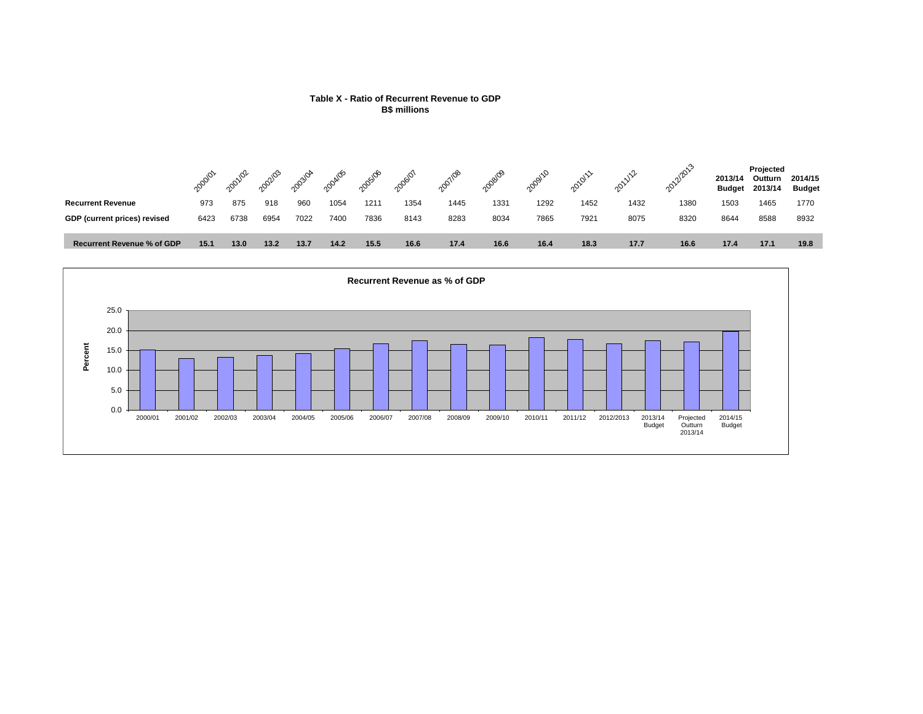



#### **Table X - Ratio of Recurrent Revenue to GDP B\$ millions**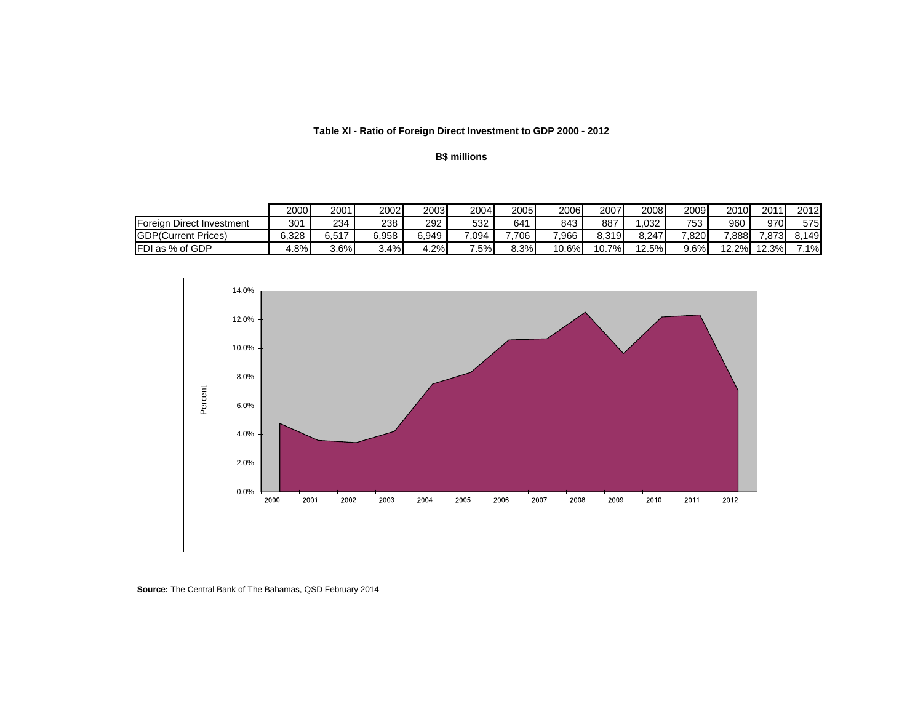## **Table XI - Ratio of Foreign Direct Investment to GDP 2000 - 2012**

## **B\$ millions**

|                              | 2000  | 2001    | 2002  | 2003  | 2004  | 2005 | 2006  | 2007        | 2008  | 2009       | 2010  | 2011     | 2012  |
|------------------------------|-------|---------|-------|-------|-------|------|-------|-------------|-------|------------|-------|----------|-------|
| Direct Investment<br>Foreign | 301   | 234     | 238   | 292   | 532   | 641  | 843   | 887         | .032  | 752<br>ົບບ | 960   | 970I     | 575   |
| <b>GDP</b> (Current Prices)  | 6.328 | 6.517   | 6.958 | 6.949 | 7.094 | 706  | 7.966 | 8.319       | 8.247 | 7.8201     | 7.888 | 7.873    | 8.149 |
| <b>FDI as % of GDP</b>       | 4.8%  | $3.6\%$ | ا%3.4 | 4.2%  | 7.5%  | 8.3% | 10.6% | ו%ד<br>10.7 | 12.5% | 9.6%       | 12.2% | $12.3\%$ | $1\%$ |



**Source:** The Central Bank of The Bahamas, QSD February 2014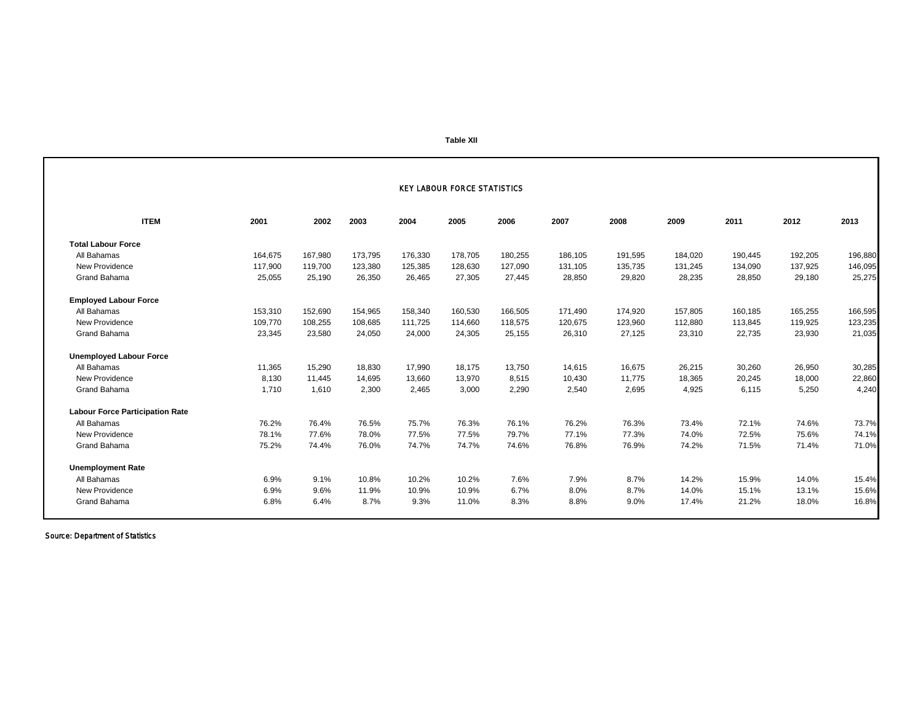#### **Table XII**

|                                        |         |         |         |         | <b>KEY LABOUR FORCE STATISTICS</b> |         |         |         |         |         |         |         |
|----------------------------------------|---------|---------|---------|---------|------------------------------------|---------|---------|---------|---------|---------|---------|---------|
| <b>ITEM</b>                            | 2001    | 2002    | 2003    | 2004    | 2005                               | 2006    | 2007    | 2008    | 2009    | 2011    | 2012    | 2013    |
| <b>Total Labour Force</b>              |         |         |         |         |                                    |         |         |         |         |         |         |         |
| All Bahamas                            | 164,675 | 167,980 | 173,795 | 176,330 | 178,705                            | 180,255 | 186,105 | 191,595 | 184,020 | 190,445 | 192,205 | 196,880 |
| New Providence                         | 117,900 | 119,700 | 123,380 | 125,385 | 128,630                            | 127.090 | 131,105 | 135,735 | 131,245 | 134,090 | 137,925 | 146,095 |
| Grand Bahama                           | 25,055  | 25,190  | 26,350  | 26,465  | 27,305                             | 27,445  | 28,850  | 29,820  | 28,235  | 28,850  | 29,180  | 25,275  |
| <b>Employed Labour Force</b>           |         |         |         |         |                                    |         |         |         |         |         |         |         |
| All Bahamas                            | 153,310 | 152,690 | 154,965 | 158,340 | 160,530                            | 166,505 | 171,490 | 174,920 | 157,805 | 160,185 | 165,255 | 166,595 |
| New Providence                         | 109,770 | 108,255 | 108,685 | 111,725 | 114,660                            | 118,575 | 120,675 | 123,960 | 112,880 | 113,845 | 119,925 | 123,235 |
| Grand Bahama                           | 23,345  | 23,580  | 24,050  | 24,000  | 24,305                             | 25,155  | 26,310  | 27,125  | 23,310  | 22,735  | 23,930  | 21,035  |
| <b>Unemployed Labour Force</b>         |         |         |         |         |                                    |         |         |         |         |         |         |         |
| All Bahamas                            | 11,365  | 15,290  | 18,830  | 17,990  | 18,175                             | 13,750  | 14,615  | 16,675  | 26,215  | 30,260  | 26,950  | 30,285  |
| New Providence                         | 8,130   | 11,445  | 14,695  | 13,660  | 13,970                             | 8,515   | 10,430  | 11,775  | 18,365  | 20,245  | 18,000  | 22,860  |
| Grand Bahama                           | 1,710   | 1,610   | 2,300   | 2,465   | 3,000                              | 2,290   | 2,540   | 2,695   | 4,925   | 6,115   | 5,250   | 4,240   |
| <b>Labour Force Participation Rate</b> |         |         |         |         |                                    |         |         |         |         |         |         |         |
| All Bahamas                            | 76.2%   | 76.4%   | 76.5%   | 75.7%   | 76.3%                              | 76.1%   | 76.2%   | 76.3%   | 73.4%   | 72.1%   | 74.6%   | 73.7%   |
| New Providence                         | 78.1%   | 77.6%   | 78.0%   | 77.5%   | 77.5%                              | 79.7%   | 77.1%   | 77.3%   | 74.0%   | 72.5%   | 75.6%   | 74.1%   |
| Grand Bahama                           | 75.2%   | 74.4%   | 76.0%   | 74.7%   | 74.7%                              | 74.6%   | 76.8%   | 76.9%   | 74.2%   | 71.5%   | 71.4%   | 71.0%   |
| <b>Unemployment Rate</b>               |         |         |         |         |                                    |         |         |         |         |         |         |         |
| All Bahamas                            | 6.9%    | 9.1%    | 10.8%   | 10.2%   | 10.2%                              | 7.6%    | 7.9%    | 8.7%    | 14.2%   | 15.9%   | 14.0%   | 15.4%   |
| New Providence                         | 6.9%    | 9.6%    | 11.9%   | 10.9%   | 10.9%                              | 6.7%    | 8.0%    | 8.7%    | 14.0%   | 15.1%   | 13.1%   | 15.6%   |
| Grand Bahama                           | 6.8%    | 6.4%    | 8.7%    | 9.3%    | 11.0%                              | 8.3%    | 8.8%    | 9.0%    | 17.4%   | 21.2%   | 18.0%   | 16.8%   |

Source: Department of Statistics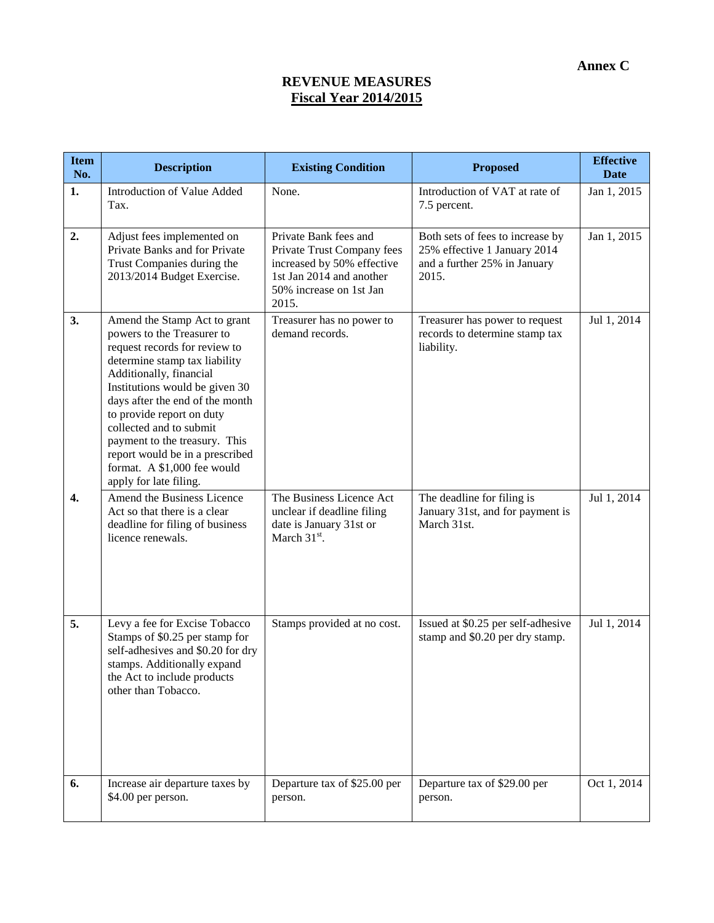# **REVENUE MEASURES Fiscal Year 2014/2015**

| <b>Item</b><br>No. | <b>Description</b>                                                                                                                                                                                                                                                                                                                                                                                                | <b>Existing Condition</b>                                                                                                                         | <b>Proposed</b>                                                                                           | <b>Effective</b><br><b>Date</b> |
|--------------------|-------------------------------------------------------------------------------------------------------------------------------------------------------------------------------------------------------------------------------------------------------------------------------------------------------------------------------------------------------------------------------------------------------------------|---------------------------------------------------------------------------------------------------------------------------------------------------|-----------------------------------------------------------------------------------------------------------|---------------------------------|
| 1.                 | <b>Introduction of Value Added</b><br>Tax.                                                                                                                                                                                                                                                                                                                                                                        | None.                                                                                                                                             | Introduction of VAT at rate of<br>7.5 percent.                                                            | Jan 1, 2015                     |
| 2.                 | Adjust fees implemented on<br>Private Banks and for Private<br>Trust Companies during the<br>2013/2014 Budget Exercise.                                                                                                                                                                                                                                                                                           | Private Bank fees and<br>Private Trust Company fees<br>increased by 50% effective<br>1st Jan 2014 and another<br>50% increase on 1st Jan<br>2015. | Both sets of fees to increase by<br>25% effective 1 January 2014<br>and a further 25% in January<br>2015. | Jan 1, 2015                     |
| 3.                 | Amend the Stamp Act to grant<br>powers to the Treasurer to<br>request records for review to<br>determine stamp tax liability<br>Additionally, financial<br>Institutions would be given 30<br>days after the end of the month<br>to provide report on duty<br>collected and to submit<br>payment to the treasury. This<br>report would be in a prescribed<br>format. A \$1,000 fee would<br>apply for late filing. | Treasurer has no power to<br>demand records.                                                                                                      | Treasurer has power to request<br>records to determine stamp tax<br>liability.                            | Jul 1, 2014                     |
| 4.                 | Amend the Business Licence<br>Act so that there is a clear<br>deadline for filing of business<br>licence renewals.                                                                                                                                                                                                                                                                                                | The Business Licence Act<br>unclear if deadline filing<br>date is January 31st or<br>March $31st$ .                                               | The deadline for filing is<br>January 31st, and for payment is<br>March 31st.                             | Jul 1, 2014                     |
| 5.                 | Levy a fee for Excise Tobacco<br>Stamps of \$0.25 per stamp for<br>self-adhesives and \$0.20 for dry<br>stamps. Additionally expand<br>the Act to include products<br>other than Tobacco.                                                                                                                                                                                                                         | Stamps provided at no cost.                                                                                                                       | Issued at \$0.25 per self-adhesive<br>stamp and \$0.20 per dry stamp.                                     | Jul 1, 2014                     |
| 6.                 | Increase air departure taxes by<br>\$4.00 per person.                                                                                                                                                                                                                                                                                                                                                             | Departure tax of \$25.00 per<br>person.                                                                                                           | Departure tax of \$29.00 per<br>person.                                                                   | Oct 1, 2014                     |